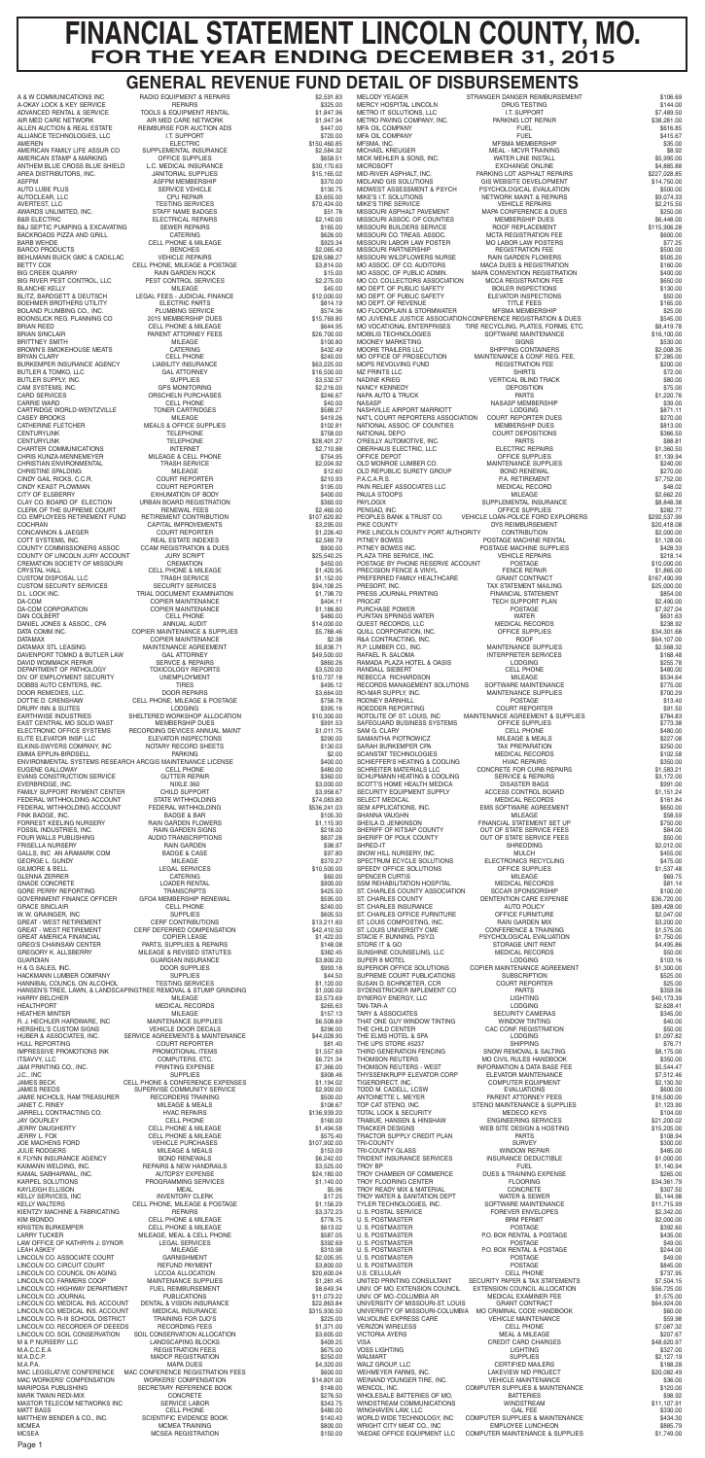| A & W COMMUNICATIONS INC<br><b>A-OKAY LOCK &amp; KEY SERVICE</b><br>ADVANCED RENTAL & SERVICE | RADIO EQUIPMENT & REPAIRS<br><b>REPAIRS</b><br>TOOLS & EQUIPMENT RENTAL                    | \$2,591.83<br>\$325.00               | STRANGER DANGER REIMBURSEMENT<br><b>MELODY YEAGER</b><br><b>MERCY HOSPITAL LINCOLN</b><br>DRUG TESTING<br><b>I.T. SUPPORT</b>                                          | \$106.69<br>\$144.00                  |
|-----------------------------------------------------------------------------------------------|--------------------------------------------------------------------------------------------|--------------------------------------|------------------------------------------------------------------------------------------------------------------------------------------------------------------------|---------------------------------------|
| AIR MED CARE NETWORK<br>ALLEN AUCTION & REAL ESTATE                                           | AIR MED CARE NETWORK<br>REIMBURSE FOR AUCTION ADS                                          | \$1,847.96<br>\$1,947.94<br>\$447.00 | METRO IT SOLUTIONS, LLC<br>METRO PAVING COMPANY, INC.<br>PARKING LOT REPAIR<br><b>FUEL</b><br>MFA OIL COMPANY                                                          | \$7,489.50<br>\$38,281.00<br>\$616.85 |
| ALLIANCE TECHNOLOGIES, LLC<br>AMEREN                                                          | I.T. SUPPORT<br><b>ELECTRIC</b>                                                            | \$720.00<br>\$150,460.85             | <b>FUEL</b><br>MFA OIL COMPANY<br>MFSMA MEMBERSHIP<br>MFSMA, INC.                                                                                                      | \$415.67<br>\$35.00                   |
| AMERICAN FAMILY LIFE ASSUR CO<br>AMERICAN STAMP & MARKING                                     | SUPPLEMENTAL INSURANCE<br>OFFICE SUPPLIES                                                  | \$2,584.32<br>\$658.51               | <b>MICHAEL KREUGER</b><br>MEAL - MCVR TRAINING<br>MICK MEHLER & SONS, INC.<br>WATER LINE INSTALL                                                                       | \$8.92<br>\$5,995.00                  |
| ANTHEM BLUE CROSS BLUE SHIELD<br>AREA DISTRIBUTORS, INC.                                      | L.C. MEDICAL INSURANCE<br><b>JANITORIAL SUPPLIES</b>                                       | \$30,170.63<br>\$15,165.02           | <b>MICROSOFT</b><br><b>EXCHANGE ONLINE</b><br>MID-RIVER ASPHALT, INC.<br>PARKING LOT ASPHALT REPAIRS                                                                   | \$4,885.88<br>\$227,028.85            |
| ASFPM<br>AUTO LUBE PLUS                                                                       | ASFPM MEMBERSHIP<br><b>SERVICE VEHICLE</b>                                                 | \$370.00<br>\$130.75                 | MIDLAND GIS SOLUTIONS<br>GIS WEBSITE DEVELOPMENT<br>MIDWEST ASSESSMENT & PSYCH<br>PSYCHOLOGICAL EVAULATION                                                             | \$14,750.00<br>\$500.00               |
| AUTOCLEAR, LLC<br><b>AVERTEST, LLC</b>                                                        | <b>CPU REPAIR</b><br><b>TESTING SERVICES</b>                                               | \$3,655.00<br>\$70,424.00            | MIKE'S I.T. SOLUTIONS<br>NETWORK MAINT. & REPAIRS<br>MIKE'S TIRE SERVICE<br><b>VEHICLE REPAIRS</b>                                                                     | \$9,074.33<br>\$2,215.50              |
| AWARDS UNLIMITED, INC.<br><b>B&amp;B ELECTRIC</b>                                             | STAFF NAME BADGES<br>ELECTRICAL REPAIRS                                                    | \$51.78<br>\$2,140.00                | MISSOURI ASPHALT PAVEMENT<br>MAPA CONFERENCE & DUES<br>MISSOURI ASSOC, OF COUNTIES<br>MEMBERSHIP DUES                                                                  | \$250.00<br>\$6,448.00                |
| B&J SEPTIC PUMPING & EXCAVATING<br>BACKROADS PIZZA AND GRILL                                  | <b>SEWER REPAIRS</b><br><b>CATERING</b>                                                    | \$165.00<br>\$626.00                 | MISSOURI BUILDERS SERVICE<br>ROOF REPLACEMENT<br>MISSOURI CO. TREAS. ASSOC.<br><b>MCTA REGISTRATION FEE</b>                                                            | \$115,906.28<br>\$600.00              |
| BARB WEHDE<br><b>BARCO PRODUCTS</b>                                                           | <b>CELL PHONE &amp; MILEAGE</b><br><b>BENCHES</b>                                          | \$923.34<br>\$2,065.43               | MISSOURI LABOR LAW POSTER<br>MO LABOR LAW POSTERS<br>MISSOURI PARTNERSHIP<br><b>REGISTRATION FEE</b>                                                                   | \$77.25<br>\$500.00                   |
| BEHLMANN BUICK GMC & CADILLAC<br>BETTY COX                                                    | <b>VEHICLE REPAIRS</b><br>CELL PHONE, MILEAGE & POSTAGE                                    | \$28,588.27<br>\$3,814.00            | MISSOURI WILDFLOWERS NURSE<br>RAIN GARDEN FLOWERS<br>MO ASSOC. OF CO. AUDITORS<br>MACA DUES & REGISTRATION                                                             | \$505.20<br>\$160.00                  |
| <b>BIG CREEK QUARRY</b><br>BIG RIVER PEST CONTROL, LLC                                        | RAIN GARDEN ROCK<br>PEST CONTROL SERVICES                                                  | \$15.00<br>\$2,275.00                | MO ASSOC. OF PUBLIC ADMIN.<br>MAPA CONVENTION REGISTRATION<br>MO CO. COLLECTORS ASSOCIATION<br><b>MCCA REGISTRATION FEE</b>                                            | \$400.00<br>\$650.00                  |
| <b>BLANCHE KELLY</b><br>BLITZ. BARDGETT & DEUTSCH                                             | <b>MILEAGE</b><br>LEGAL FEES - JUDICIAL FINANCE                                            | \$45.00<br>\$12,000.00               | MO DEPT. OF PUBLIC SAFETY<br><b>BOILER INSPECTIONS</b><br>MO DEPT. OF PUBLIC SAFETY<br>ELEVATOR INSPECTIONS                                                            | \$130.00<br>\$50.00                   |
| BOEHMER BROTHERS UTILITY<br>BOLAND PLUMBING CO., INC.                                         | <b>ELECTRIC PARTS</b><br>PLUMBING SERVICE                                                  | \$814.19<br>\$574.36                 | MO DEPT. OF REVENUE<br><b>TITLE FEES</b><br><b>MFSMA MEMBERSHIP</b><br><b>MO FLOODPLAIN &amp; STORMWATER</b>                                                           | \$165.00<br>\$25.00                   |
| BOONSLICK REG. PLANNING CO<br>BRIAN REED                                                      | 2015 MEMBERSHIP DUES<br><b>CELL PHONE &amp; MILEAGE</b>                                    | \$15,769.80<br>\$644.95              | MO JUVENILE JUSTICE ASSOCIATION CONFERENCE REGISTRATION & DUES<br><b>MO VOCATIONAL ENTERPRISES</b><br>TIRE RECYCLING, PLATES, FORMS, ETC.                              | \$545.00<br>\$8,419.78                |
| BRIAN SINCLAIR<br>BRITTNEY SMITH                                                              | PARENT ATTORNEY FEES<br>MILEAGE                                                            | \$26,700.00<br>\$100.80              | MOBILIS TECHNOLOGIES<br>SOFTWARE MAINTENANCE<br>MOONEY MARKETING<br><b>SIGNS</b>                                                                                       | \$16,100.00<br>\$530.00               |
| BROWN'S SMOKEHOUSE MEATS<br><b>BRYAN CLARY</b>                                                | <b>CATERING</b><br><b>CELL PHONE</b>                                                       | \$432.49<br>\$240.00                 | SHIPPING CONTAINERS<br>MOORE TRAILERS LLC<br>MO OFFICE OF PROSECUTION<br>MAINTENANCE & CONF. REG. FEE.                                                                 | \$2,008.35<br>\$7,285.00              |
| BURKEMPER INSURANCE AGENCY<br>BUTLER & TOMKO, LLC                                             | LIABILITY INSURANCE<br><b>GAL ATTORNEY</b>                                                 | \$63,225.00<br>\$16,500.00           | <b>REGISTRATION FEE</b><br>MOPS REVOLVING FUND<br><b>MZ PRINTS LLC</b><br><b>SHIRTS</b>                                                                                | \$200.00<br>\$72.00                   |
| BUTLER SUPPLY, INC.<br>CAM SYSTEMS, INC.                                                      | <b>SUPPLIES</b><br><b>GPS MONITORING</b>                                                   | \$3,532.57<br>\$2,216.00             | <b>VERTICAL BLIND TRACK</b><br>NADINE KRIEG<br><b>DEPOSITION</b><br><b>NANCY KENNEDY</b>                                                                               | \$80.00<br>\$75.00                    |
| CARD SERVICES<br><b>CARRIE WARD</b>                                                           | ORSCHELN PURCHASES<br><b>CELL PHONE</b>                                                    | \$246.67<br>\$40.00                  | NAPA AUTO & TRUCK<br><b>PARTS</b><br>NASASP MEMBERSHIP<br>NASASP                                                                                                       | \$1,220.76<br>\$39.00                 |
| CARTRIDGE WORLD-WENTZVILLE<br><b>CASEY BROOKS</b>                                             | <b>TONER CARTRIDGES</b><br><b>MILEAGE</b>                                                  | \$588.27<br>\$419.26                 | NASHVILLE AIRPORT MARRIOTT<br><b>LODGING</b><br>COURT REPORTER DUES<br>NAT'L COURT REPORTERS ASSOCIATION                                                               | \$871.11<br>\$270.00                  |
| CATHERINE FLETCHER<br><b>CENTURYLINK</b>                                                      | <b>MEALS &amp; OFFICE SUPPLIES</b><br><b>TELEPHONE</b>                                     | \$102.81<br>\$758.00                 | NATIONAL ASSOC. OF COUNTIES<br>MEMBERSHIP DUES<br>NATIONAL DEPO<br>COURT DEPOSITIONS                                                                                   | \$813.00<br>\$366.50                  |
| CENTURYLINK<br>CHARTER COMMUNICATIONS                                                         | <b>TELEPHONE</b><br><b>INTERNET</b>                                                        | \$28,401.27<br>\$2,710.88            | O'REILLY AUTOMOTIVE, INC.<br><b>PARTS</b><br><b>ELECTRIC REPAIRS</b><br>OBERHAUS ELECTRIC, LLC                                                                         | \$88.81<br>\$1,360.50                 |
| CHRIS KUNZA-MENNEMEYER<br>CHRISTIAN ENVIRONMENTAL                                             | MILEAGE & CELL PHONE<br><b>TRASH SERVICE</b>                                               | \$754.95<br>\$2,004.92               | OFFICE DEPOT<br>OFFICE SUPPLIES<br>OLD MONROE LUMBER CO.<br>MAINTENANCE SUPPLIES                                                                                       | \$1,139.94<br>\$240.00                |
| CHRISTINE SPALDING<br>CINDY GAIL RICKS, C.C.R.                                                | MILEAGE<br><b>COURT REPORTER</b>                                                           | \$12.60<br>\$210.93                  | OLD REPUBLIC SURETY GROUP<br><b>BOND RENEWAL</b><br>P.A.C.A.R.S.<br>P.A. RETIREMENT                                                                                    | \$270.00<br>\$7,752.00                |
| CINDY KEAST PLOWMAN<br>CITY OF ELSBERRY                                                       | <b>COURT REPORTER</b><br><b>EXHUMATION OF BODY</b>                                         | \$195.00<br>\$400.00                 | PAIN RELIEF ASSOCIATES LLC<br><b>MEDICAL RECORD</b><br>PAULA STOOPS<br><b>MILEAGE</b>                                                                                  | \$48.02<br>\$2,662.20                 |
| CLAY CO. BOARD OF ELECTION<br>CLERK OF THE SUPREME COURT                                      | URBAN BOARD REGISTRATION<br><b>RENEWAL FEES</b>                                            | \$360.00<br>\$2,460.00               | <b>PAYLOGIX</b><br>SUPPLEMENTAL INSURANCE<br>PENGAD, INC.<br>OFFICE SUPPLIES                                                                                           | \$8,848.38<br>\$282.77                |
| CO. EMPLOYEES RETIREMENT FUND<br><b>COCHRAN</b>                                               | RETIREMENT CONTRIBUTION<br>CAPITAL IMPROVEMENTS                                            | \$107,620.82<br>\$3,295.00           | PEOPLES BANK & TRUST CO.<br>VEHICLE LOAN-POLICE FORD EXPLORERS<br>PIKE COUNTY<br>DYS REIMBURSEMENT                                                                     | \$292,537.99<br>\$20,418.08           |
| <b>CONCANNON &amp; JAEGER</b><br>COTT SYSTEMS, INC.                                           | <b>COURT REPORTER</b><br><b>REAL ESTATE INDEXES</b>                                        | \$1,226.40<br>\$2,589.79             | PIKE LINCOLN COUNTY PORT AUTHORITY<br><b>CONTRIBUTION</b><br>PITNEY BOWES<br>POSTAGE MACHINE RENTAL                                                                    | \$2,000.00<br>\$1,128.00              |
| COUNTY COMMISSIONERS ASSOC<br>COUNTY OF LINCOLN JURY ACCOUNT                                  | <b>CCAM REGISTRATION &amp; DUES</b><br><b>JURY SCRIPT</b>                                  | \$900.00<br>\$25,540.25              | POSTAGE MACHINE SUPPLIES<br>PITNEY BOWES INC.<br>PLAZA TIRE SERVICE, INC.<br><b>VEHICLE REPAIRS</b>                                                                    | \$428.33<br>\$218.14                  |
| CREMATION SOCIETY OF MISSOURI<br><b>CRYSTAL HALL</b>                                          | <b>CREMATION</b><br><b>CELL PHONE &amp; MILEAGE</b>                                        | \$450.00<br>\$1,420.95               | POSTAGE BY PHONE RESERVE ACCOUNT<br>POSTAGE<br><b>FENCE REPAIR</b><br>PRECISION FENCE & VINYL                                                                          | \$10,000.00<br>\$1,865.00             |
| CUSTOM DISPOSAL LLC<br><b>CUSTOM SECURITY SERVICES</b>                                        | <b>TRASH SERVICE</b><br><b>SECURITY SERVICES</b>                                           | \$1,152.00<br>\$94,108.25            | PREFERRED FAMILY HEALTHCARE<br><b>GRANT CONTRACT</b><br>PRESORT, INC.<br>TAX STATEMENT MAILING                                                                         | \$167,490.99<br>\$25,000.00           |
| D.L. LOCK INC.<br>DA-COM                                                                      | TRIAL DOCUMENT EXAMINATION<br><b>COPIER MAINTENANCE</b>                                    | \$1,798.70<br>\$404.11               | PRESS JOURNAL PRINTING<br><b>FINANCIAL STATEMENT</b><br><b>PROCAT</b><br>TECH SUPPORT PLAN                                                                             | \$854.00<br>\$2,490.00                |
| <b>DA-COM CORPORATION</b><br>DAN COLBERT                                                      | <b>COPIER MAINTENANCE</b><br><b>CELL PHONE</b>                                             | \$1,186.80<br>\$480.00               | PURCHASE POWER<br>POSTAGE<br>PURITAN SPRINGS WATER<br>WATER                                                                                                            | \$7,927.04<br>\$631.63                |
| DANIEL JONES & ASSOC., CPA<br>DATA COMM INC.                                                  | ANNUAL AUDIT<br>COPIER MAINTENANCE & SUPPLIES                                              | \$14,000.00<br>\$5,788.46            | QUEST RECORDS, LLC<br><b>MEDICAL RECORDS</b><br>OFFICE SUPPLIES<br>QUILL CORPORATION. INC.                                                                             | \$238.92<br>\$34,301.68               |
| DATAMAX<br>DATAMAX STL LEASING                                                                | <b>COPIER MAINTENANCE</b><br>MAINTENANCE AGREEMENT                                         | \$2.38<br>\$5,838.71                 | R&A CONTRACTING, INC.<br><b>ROOF</b><br>R.P. LUMBER CO., INC.<br>MAINTENANCE SUPPLIES                                                                                  | \$64,107.00<br>\$2,568.32             |
| DAVENPORT TOMKO & BUTLER LAW<br>DAVID WOMMACK REPAIR                                          | <b>GAL ATTORNEY</b><br><b>SERVCE &amp; REPAIRS</b>                                         | \$49,500.00<br>\$860.26              | RAFAEL R. SALOMA<br>INTERPRETER SERVICES<br>RAMADA PLAZA HOTEL & OASIS<br><b>LODGING</b>                                                                               | \$168.48<br>\$255.78                  |
| DEPARTMENT OF PATHOLOGY<br>DIV. OF EMPLOYMENT SECURITY                                        | <b>TOXICOLOGY REPORTS</b><br><b>UNEMPLOYMENT</b>                                           | \$3,520.00<br>\$10,737.18            | <b>CELL PHONE</b><br>RANDALL SIEBERT<br>REBECCA RICHARDSON<br>MILEAGE                                                                                                  | \$480.00<br>\$534.64                  |
| DOBBS AUTO CENTERS, INC.<br>DOOR REMEDIES, LLC.                                               | <b>TIRES</b><br><b>DOOR REPAIRS</b>                                                        | \$495.12<br>\$3,664.00               | RECORDS MANAGEMENT SOLUTIONS<br>SOFTWARE MAINTENANCE<br>MAINTENANCE SUPPLIES<br>RO-MAR SUPPLY, INC.                                                                    | \$775.00<br>\$700.29                  |
| DOTTIE D. CRENSHAW<br>DRURY INN & SUITES                                                      | CELL PHONE, MILEAGE & POSTAGE<br><b>LODGING</b>                                            | \$758.78<br>\$395.16                 | POSTAGE<br>RODNEY BARNHILL<br><b>COURT REPORTER</b><br>ROEDDER REPORTING                                                                                               | \$13.40<br>\$91.50                    |
| EARTHWISE INDUSTRIES<br>EAST CENTRAL MO SOLID WAST                                            | SHELTERED WORKSHOP ALLOCATION<br>MEMBERSHIP DUES                                           | \$10,300.00<br>\$991.53              | ROTOLITE OF ST. LOUIS, INC<br>MAINTENANCE AGREEMENT & SUPPLIES<br>OFFICE SUPPLIES<br>SAFEGUARD BUSINESS SYSTEMS                                                        | \$784.83<br>\$773.38                  |
| ELECTRONIC OFFICE SYSTEMS<br>ELITE ELEVATOR INSP. LLC                                         | RECORDING DEVICES ANNUAL MAINT<br>ELEVATOR INSPECTIONS                                     | \$1,011.75<br>\$290.00               | <b>CELL PHONE</b><br>SAM G. CLARY<br>SAMANTHA PIOTROWICZ<br>MILEAGE & MEALS                                                                                            | \$480.00<br>\$227.08                  |
| ELKINS-SWYERS COMPANY, INC<br>EMMA EPPLIN-BIRDSELL                                            | NOTARY RECORD SHEETS<br><b>PARKING</b>                                                     | \$130.03<br>\$2.00                   | TAX PREPARATION<br>SARAH BURKEMPER CPA<br>SCANSTAT TECHNOLOGIES<br><b>MEDICAL RECORDS</b>                                                                              | \$250.00<br>\$102.58                  |
| ENVIRONMENTAL SYSTEMS RESEARCH ARCGIS MAINTENANCE LICENSE<br>EUGENE GALLOWAY                  | <b>CELL PHONE</b>                                                                          | \$400.00<br>\$480.00                 | SCHIEFFER'S HEATING & COOLING<br><b>HVAC REPAIRS</b><br>SCHREITER MATERIALS LLC<br>CONCRETE FOR CURB REPAIRS                                                           | \$350.00<br>\$1,583.21                |
| EVANS CONSTRUCTION SERVICE<br>EVERBRIDGE, INC.<br>FAMILY SUPPORT PAYMENT CENTER               | <b>GUTTER REPAIR</b><br>NIXLE 360<br>CHILD SUPPORT                                         | \$360.00<br>\$3,000.00<br>\$3,958.67 | <b>SERVICE &amp; REPAIRS</b><br>SCHUPMANN HEATING & COOLING<br><b>DISASTER BAGS</b><br>SCOTT'S HOME HEALTH MEDICA<br>SECURITY EQUIPMENT SUPPLY<br>ACCESS CONTROL BOARD | \$3,172.00<br>\$991.00<br>\$1,151.24  |
| FEDERAL WITHHOLDING ACCOUNT<br>FEDERAL WITHHOLDING ACCOUNT                                    | STATE WITHHOLDING<br>FEDERAL WITHHOLDING                                                   | \$74,083.80<br>\$536,241.03          | <b>SELECT MEDICAL</b><br><b>MEDICAL RECORDS</b><br>EMS SOFTWARE AGREEMENT<br>SEM APPLICATIONS, INC.                                                                    | \$161.84<br>\$650.00                  |
| FINK BADGE, INC.<br>FORREST KEELING NURSERY                                                   | <b>BADGE &amp; BAR</b><br>RAIN GARDEN FLOWERS                                              | \$105.30<br>\$1,115.90               | MILEAGE<br>SHANNA VAUGHN<br>FINANCIAL STATEMENT SET UP<br>SHEILA D. JENKINSON                                                                                          | \$58.59<br>\$750.00                   |
| FOSSIL INDUSTRIES, INC.<br>FOUR WALLS PUBLISHING                                              | <b>RAIN GARDEN SIGNS</b><br>AUDIO TRANSCRIPTIONS                                           | \$218.00<br>\$837.28                 | SHERIFF OF KITSAP COUNTY<br>OUT OF STATE SERVICE FEES<br>SHERIFF OF POLK COUNTY<br>OUT OF STATE SERVICE FEES                                                           | \$84.00<br>\$50.00                    |
| FRISELLA NURSERY<br>GALLS, INC AN ARAMARK COM                                                 | <b>RAIN GARDEN</b><br><b>BADGE &amp; CASE</b>                                              | \$98.97<br>\$97.80                   | <b>SHREDDING</b><br>SHRED-IT<br>SNOW HILL NURSERY, INC.<br>MULCH                                                                                                       | \$2,012.00<br>\$455.00                |
| GEORGE L. GUNDY<br><b>GILMORE &amp; BELL</b>                                                  | MILEAGE<br><b>LEGAL SERVICES</b>                                                           | \$370.27<br>\$10,500.00              | ELECTRONICS RECYCLING<br>SPECTRUM ECYCLE SOLUTIONS<br>SPEEDY OFFICE SOLUTIONS<br>OFFICE SUPPLIES                                                                       | \$475.00<br>\$1,537.48                |
| GLENNA ZERRER<br>GNADE CONCRETE                                                               | <b>CATERING</b><br><b>LOADER RENTAL</b>                                                    | \$60.00<br>\$900.00                  | SPENCER CURTIS<br>MILEAGE<br>SSM REHABILITATION HOSPITAL<br><b>MEDICAL RECORDS</b>                                                                                     | \$69.75<br>\$81.14                    |
| GORE PERRY REPORTING<br><b>GOVERNMENT FINANCE OFFICER</b>                                     | <b>TRANSCRIPTS</b><br>GFOA MEMBERSHIP RENEWAL                                              | \$425.50<br>\$595.00                 | ST. CHARLES COUNTY ASSOCIATION<br><b>SCCAR SPONSORSHIP</b><br>DENTENTION CARE EXPENSE<br>ST. CHARLES COUNTY                                                            | \$100.00<br>\$36,720.00               |
| <b>GRACE SINCLAIR</b><br>W. W. GRAINGER, INC                                                  | <b>CELL PHONE</b><br><b>SUPPLIES</b>                                                       | \$240.00<br>\$605.50                 | ST. CHARLES INSURANCE<br><b>AUTO POLICY</b><br>ST. CHARLES OFFICE FURNITURE<br><b>OFFICE FURNITURE</b>                                                                 | \$89,428.00<br>\$2,047.00             |
| <b>GREAT - WEST RETIREMENT</b><br>GREAT - WEST RETIREMENT                                     | <b>CERF CONTRIBUTIONS</b><br>CERF DEFERRED COMPENSATION                                    | \$13,211.60<br>\$42,410.50           | ST. LOUIS COMPOSTING, INC.<br>RAIN GARDEN MIX<br>ST. LOUIS UNIVERSITY CME<br><b>CONFERENCE &amp; TRAINING</b>                                                          | \$3,200.00<br>\$1,575.00              |
| <b>GREAT AMERICA FINANCIAL</b><br>GREG'S CHAINSAW CENTER                                      | <b>COPIER LEASE</b><br>PARTS, SUPPLIES & REPAIRS                                           | \$1,422.00<br>\$148.08               | STACIE F. BUNNING, PSY.D.<br>PSYCHOLOGICAL EVALUATION<br>STORE IT & GO<br>STORAGE UNIT RENT                                                                            | \$1,750.00<br>\$4,495.86              |
| GREGORY K. ALLSBERRY<br><b>GUARDIAN</b>                                                       | MILEAGE & REVISED STATUTES<br><b>GUARDIAN INSURANCE</b>                                    | \$382.45<br>\$3,800.20               | SUNSHINE COUNSELING, LLC<br><b>MEDICAL RECORDS</b><br><b>LODGING</b><br>SUPER 8 MOTEL                                                                                  | \$50.00<br>\$103.16                   |
| H & G SALES, INC.<br>HACKMANN LUMBER COMPANY                                                  | <b>DOOR SUPPLIES</b><br><b>SUPPLIES</b>                                                    | \$993.18<br>\$44.50                  | COPIER MAINTENANCE AGREEMENT<br>SUPERIOR OFFICE SOLUTIONS<br><b>SUBSCRIPTION</b><br>SUPREME COURT PUBLICATIONS                                                         | \$1,300.00<br>\$525.00                |
| HANNIBAL COUNCIL ON ALCOHOL                                                                   | <b>TESTING SERVICES</b><br>HANSEN'S TREE, LAWN, & LANDSCAPINGTREE REMOVAL & STUMP GRINDING | \$1,120.00<br>\$1,000.00             | <b>COURT REPORTER</b><br>SUSAN D. SCHROETER, CCR<br>SYDENSTRICKER IMPLEMENT CO<br><b>PARTS</b>                                                                         | \$25.00<br>\$359.56                   |
| HARRY BELCHER<br><b>HEALTHPORT</b>                                                            | MILEAGE<br><b>MEDICAL RECORDS</b>                                                          | \$3,573.69<br>\$265.63               | <b>LIGHTING</b><br>SYNERGY ENERGY, LLC<br><b>LODGING</b><br>TAN-TAR-A                                                                                                  | \$40,173.39<br>\$2,628.41             |
| HEATHER MINTER<br>R. J. HECHLER HARDWARE, INC                                                 | <b>MILEAGE</b><br>MAINTENANCE SUPPLIES                                                     | \$157.13<br>\$6,508.69               | SECURITY CAMERAS<br><b>TARY &amp; ASSOCIATES</b><br>THAT ONE GUY WINDOW TINTING<br><b>WINDOW TINTING</b>                                                               | \$345.00<br>\$40.00                   |
| HERSHEL'S CUSTOM SIGNS<br>HUBER & ASSOCIATES, INC.                                            | VEHICLE DOOR DECALS<br>SERVICE AGREEMENTS & MAINTENANCE                                    | \$296.00<br>\$44,028.90              | CAC CONF. REGISTRATION<br>THE CHILD CENTER<br>THE ELMS HOTEL & SPA<br><b>LODGING</b>                                                                                   | \$50.00<br>\$1,097.82                 |
| HULL REPORTING<br>IMPRESSIVE PROMOTIONS INK                                                   | <b>COURT REPORTER</b><br>PROMOTIONAL ITEMS                                                 | \$81.40<br>\$1,557.69                | <b>SHIPPING</b><br>THE UPS STORE #5237<br>THIRD GENERATION FENCING<br>SNOW REMOVAL & SALTING                                                                           | \$76.71<br>\$8,175.00                 |
| ITSAVVY, LLC<br><b>J&amp;M PRINTING CO., INC.</b>                                             | COMPUTERS, ETC.<br>PRINTING EXPENSE                                                        | \$6,721.34<br>\$7,366.00             | <b>THOMSON REUTERS</b><br>MO CIVIL RULES HANDBOOK<br><b>THOMSON REUTERS - WEST</b><br>INFORMATION & DATA BASE FEE                                                      | \$350.00<br>\$5,544.47                |
| J.C., INC<br>JAMES BECK                                                                       | <b>SUPPLIES</b><br>CELL PHONE & CONFERENCE EXPENSES<br>SUPERVISE COMMUNITY SERVICE         | \$908.46<br>\$1,194.02               | THYSSENKRUPP ELEVATOR CORP<br>ELEVATOR MAINTENANCE<br>TIGERDIRECT, INC.<br><b>COMPUTER EQUIPMENT</b>                                                                   | \$7,512.46<br>\$2,130.30              |
| <b>JAMES REEDS</b><br>JAMIE NICHOLS, RAM TREASURER                                            | <b>RECORDERS TRAINING</b>                                                                  | \$2,900.00<br>\$500.00               | TODD M. CADELL, LCSW<br><b>EVALUATIONS</b><br>PARENT ATTORNEY FEES<br>ANTOINETTE L. MEYER                                                                              | \$600.00<br>\$16,500.00               |
| JANET C. RINEY<br>JARRELL CONTRACTING CO.<br>JAY GOURLEY                                      | <b>MILEAGE &amp; MEALS</b><br><b>HVAC REPAIRS</b><br><b>CELL PHONE</b>                     | \$108.67<br>\$136,939.20<br>\$160.00 | TOP CAT STENO, INC.<br>STENO MAINTENANCE & SUPPLIES<br><b>TOTAL LOCK &amp; SECURITY</b><br>MEDECO KEYS<br>TRABUE, HANSEN & HINSHAW<br><b>ENGINEERING SERVICES</b>      | \$1,123.90<br>\$104.00<br>\$21,200.02 |
| JERRY DAUGHERTY<br>JERRY L. FOX                                                               | <b>CELL PHONE &amp; MILEAGE</b><br><b>CELL PHONE &amp; MILEAGE</b>                         | \$1,494.58<br>\$575.40               | <b>TRACKER DESIGNS</b><br>WEB SITE DESIGN & HOSTING<br>TRACTOR SUPPLY CREDIT PLAN<br><b>PARTS</b>                                                                      | \$15,205.00<br>\$108.94               |
| JOE MACHENS FORD<br>JULIE RODGERS                                                             | <b>VEHICLE PURCHASES</b><br><b>MILEAGE &amp; MEALS</b>                                     | \$107,902.00<br>\$153.09             | <b>SURVEY</b><br><b>TRI-COUNTY</b><br>TRI-COUNTY GLASS<br><b>WINDOW REPAIR</b>                                                                                         | \$300.00<br>\$485.00                  |
| K FLYNN INSURANCE AGENCY<br>KAIMANN WELDING, INC.                                             | <b>BOND RENEWALS</b><br>REPAIRS & NEW HANDRAILS                                            | \$6,242.00<br>\$3,525.00             | TRIDENT INSURANCE SERVICES<br>INSURANCE DEDUCTIBLE<br>TROY BP<br><b>FUEL</b>                                                                                           | \$1,000.00<br>\$1,140.94              |
| KAMAL SABHARWAL, INC.<br>KARPEL SOLUTIONS                                                     | <b>AUTOPSY EXPENSE</b><br>PROGRAMMING SERVICES                                             | \$24,180.00<br>\$1,140.00            | TROY CHAMBER OF COMMERCE<br>DUES & TRAINING EXPENSE<br><b>TROY FLOORING CENTER</b><br><b>FLOORING</b>                                                                  | \$265.00<br>\$34,361.79               |
| KAYLEIGH ELLISON<br>KELLY SERVICES, INC                                                       | MEAL<br><b>INVENTORY CLERK</b>                                                             | \$5.96<br>\$17.25                    | CONCRETE<br>TROY READY MIX & MATERIAL<br>TROY WATER & SANITATION DEPT<br><b>WATER &amp; SEWER</b>                                                                      | \$307.50<br>\$5,144.98                |
| KELLY WALTERS<br>KIENTZY MACHINE & FABRICATING                                                | CELL PHONE, MILEAGE & POSTAGE<br><b>REPAIRS</b>                                            | \$1,156.29<br>\$3,372.23             | TYLER TECHNOLOGIES, INC.<br>SOFTWARE MAINTENANCE<br>U. S. POSTAL SERVICE<br><b>FOREVER ENVELOPES</b>                                                                   | \$11,715.99<br>\$2,342.00             |
| KIM BIONDO<br>KRISTEN BURKEMPER                                                               | <b>CELL PHONE &amp; MILEAGE</b><br><b>CELL PHONE &amp; MILEAGE</b>                         | \$778.75<br>\$613.02                 | <b>U.S. POSTMASTER</b><br><b>BRM PERMIT</b><br>POSTAGE<br>U. S. POSTMASTER                                                                                             | \$2,000.00<br>\$392.60                |
| <b>LARRY TUCKER</b><br>LAW OFFICE OF KATHRYN J. SYNOR                                         | MILEAGE, MEAL & CELL PHONE<br><b>LEGAL SERVICES</b>                                        | \$587.05<br>\$392.69                 | P.O. BOX RENTAL & POSTAGE<br>U. S. POSTMASTER<br>U.S. POSTMASTER<br><b>POSTAGE</b>                                                                                     | \$435.00<br>\$49.00                   |
| <b>LEAH ASKEY</b><br>LINCOLN CO. ASSOCIATE COURT                                              | MILEAGE<br><b>GARNISHMENT</b>                                                              | \$310.98<br>\$2,005.95               | P.O. BOX RENTAL & POSTAGE<br>U. S. POSTMASTER<br>U. S. POSTMASTER<br><b>POSTAGE</b>                                                                                    | \$244.00<br>\$49.00                   |
| LINCOLN CO. CIRCUIT COURT<br>LINCOLN CO. COUNCIL ON AGING                                     | <b>REFUND PAYMENT</b><br>LCCOA ALLOCATION                                                  | \$3,800.00<br>\$20,600.04            | POSTAGE<br>U. S. POSTMASTER<br>U.S. CELLULAR<br><b>CELL PHONE</b>                                                                                                      | \$845.00<br>\$737.95                  |
| LINCOLN CO. FARMERS COOP<br>LINCOLN CO. HIGHWAY DEPARTMENT                                    | MAINTENANCE SUPPLIES<br>FUEL REIMBURSEMENT                                                 | \$1,281.45<br>\$8,649.34             | UNITED PRINTING CONSULTANT<br>SECURITY PAPER & TAX STATEMENTS<br>UNIV. OF MO. EXTENSION COUNCIL<br>EXTENSION COUNCIL ALLOCATION                                        | \$7,504.15<br>\$56,725.00             |
| LINCOLN CO. JOURNAL<br>LINCOLN CO. MEDICAL INS. ACCOUNT                                       | <b>PUBLICATIONS</b><br>DENTAL & VISION INSURANCE                                           | \$11,073.22<br>\$22,863.84           | UNIV OF MO.-COLUMBIA AR<br>MEDICAL EXAMINER FEE<br>UNIVERSITY OF MISSOURI-ST. LOUIS<br><b>GRANT CONTRACT</b>                                                           | \$1,575.00<br>\$64,924.00             |
| LINCOLN CO. MEDICAL INS. ACCOUNT<br>LINCOLN CO. R-III SCHOOL DISTRICT                         | <b>MEDICAL INSURANCE</b><br>TRAINING FOR DJO'S                                             | \$315,930.50<br>\$225.00             | UNIVERSITY OF MISSOURI-COLUMBIA MO CRIMINAL CODE HANDBOOK<br>VALVOLINE EXPRESS CARE<br><b>VEHICLE MAINTENANCE</b>                                                      | \$60.00<br>\$59.98                    |
| LINCOLN CO. RECORDER OF DEEEDS<br>LINCOLN CO. SOIL CONSERVATION                               | <b>RECORDING FEES</b><br>SOIL CONSERVATION ALLOCATION                                      | \$1,371.00<br>\$3,605.00             | <b>VERIZON WIRELESS</b><br><b>CELL PHONE</b><br><b>VICTORIA AYERS</b><br><b>MEAL &amp; MILEAGE</b>                                                                     | \$7,087.32<br>\$207.67                |
| M & P NURSERY LLC<br>M.A.C.C.E.A                                                              | LANDSCAPING BLOCKS<br><b>REGISTRATION FEES</b>                                             | \$409.25<br>\$675.00                 | VISA<br>CREDIT CARD CHARGES<br><b>VOSS LIGHTING</b><br>LIGHTING                                                                                                        | \$48,620.97<br>\$327.00               |
| M.A.D.C.P.<br>M.A.P.A.                                                                        | <b>MADCP REGISTRATION</b><br><b>MAPA DUES</b>                                              | \$250.00<br>\$4,320.00               | <b>SUPPLIES</b><br>WALMART<br><b>CERTIFIED MAILERS</b><br>WALZ GROUP, LLC                                                                                              | \$2,127.19<br>\$188.28                |
| MAC LEGISLATIVE CONFERENCE<br>MAC WORKERS' COMPENSATION                                       | MAC CONFERENCE REGISTRATION FEES<br><b>WORKERS' COMPENSATION</b>                           | \$600.00<br>\$14,801.00              | WEHMEYER FARMS, INC.<br>LAKEVIEW NID PROJECT<br>WEINAND YOUNGER TIRE, INC.<br><b>VEHICLE MAINTENANCE</b>                                                               | \$20,082.49<br>\$36.00                |
| MARIPOSA PUBLISHING<br>MARK TWAIN REDI-MIX                                                    | SECRETARY REFERENCE BOOK<br>CONCRETE                                                       | \$148.00<br>\$276.50                 | <b>COMPUTER SUPPLIES &amp; MAINTENANCE</b><br>WENCOL, INC.<br>WHOLESALE BATTERIES OF MO.<br><b>BATTERIES</b>                                                           | \$120.00<br>\$98.92                   |
| MASTOR TELECOM NETWORKS INC<br>MATT BASS                                                      | <b>SERVICE LABOR</b><br><b>CELL PHONE</b>                                                  | \$343.75<br>\$480.00                 | WINDSTREAM COMMUNICATIONS<br>WINDSTREAM<br><b>GAL FEE</b><br>WINGHAVEN LAW, LLC                                                                                        | \$11,107.91<br>\$330.00               |
| MATTHEW BENDER & CO., INC.<br>MCMEA                                                           | <b>SCIENTIFIC EVIDENCE BOOK</b><br><b>MCMEA TRAINING</b>                                   | \$140.43<br>\$800.00                 | WORLD WIDE TECHNOLOGY, INC<br><b>COMPUTER SUPPLIES &amp; MAINTENANCE</b><br>WRIGHT CITY MEAT CO., INC<br><b>EMPLOYEE LUNCHEON</b>                                      | \$434.30<br>\$885.79                  |
| MCSEA                                                                                         | <b>MCSEA REGISTRATION</b>                                                                  | \$150.00                             | YAEDAE OFFICE EQUIPMENT LLC<br><b>COMPUTER MAINTENANCE &amp; SUPPLIES</b>                                                                                              | \$1,749.00                            |

# **FINANCIAL STATEMENT LINCOLN COUNTY, MO. FOR THE YEAR ENDING DECEMBER 31, 2015**

# **GENERAL REVENUE FUND DETAIL OF DISBURSEMENTS**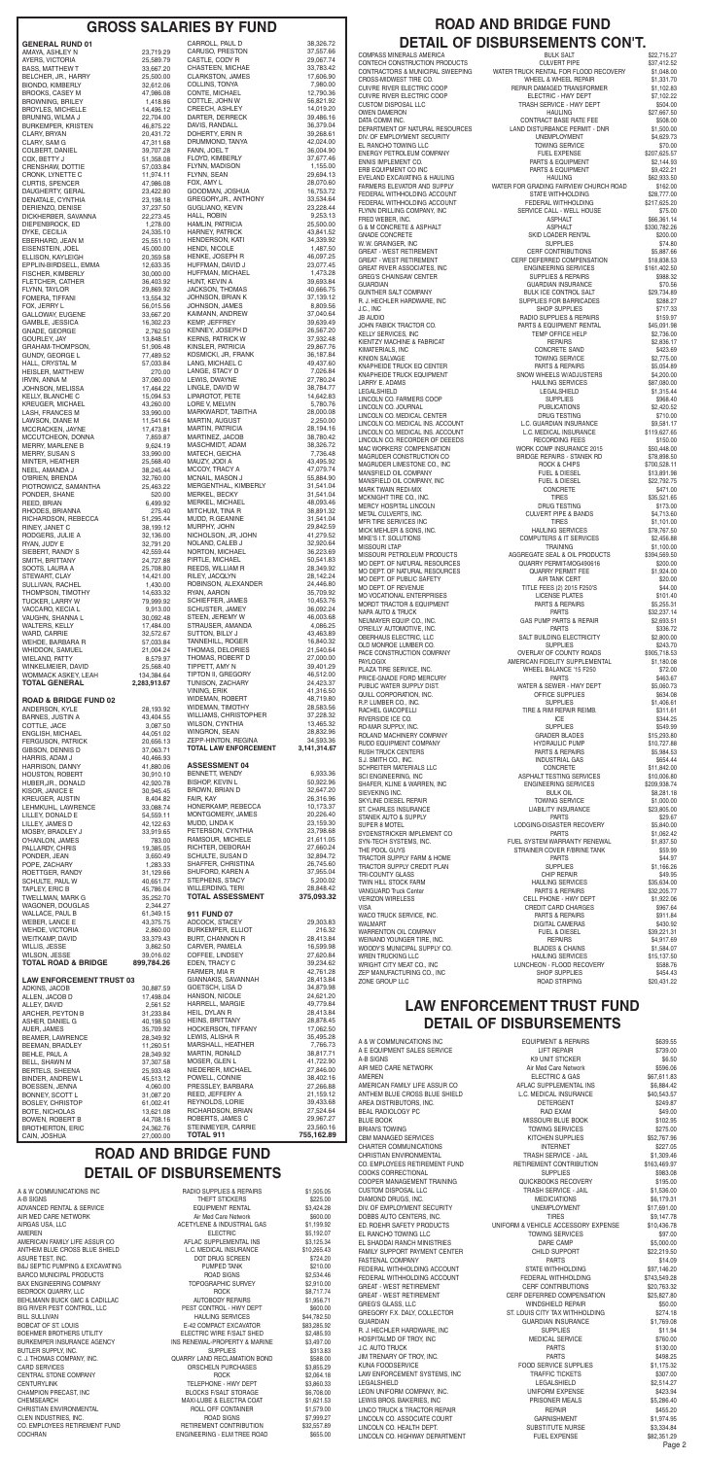# **ROAD AND BRIDGE FUND DETAIL OF DISBURSEMENTS**

A & W COMMUNICATIONS INC RADIO SUPPLIES & REPAIRS \$1,505.05 A-B SIGNS \$225.00 ADVANCED RENTAL & SERVICE THE RESOLUTION OF SALE RENTAL SALES AND \$3,424.28 AIR MED CARE NETWORK **Air Media Care Network** Air Med Care Network \$600.00 AIRGAS USA, LLC 61,199.92 AMEREN ELECTRIC \$5,192.07 AMERICAN FAMILY LIFE ASSUR CO AFLAC SUPPLEMENTAL INS \$3,125.34 ANTHEM BLUE CROSS BLUE SHIELD L.C. MEDICAL INSURANCE \$10.265.43 ASURE TEST, INC. DOT DRUG SCREEN \$724.20 B&J SEPTIC PUMPING & EXCAVATING PUMPED TANK \$210.00 BARCO MUNICIPAL PRODUCTS ROAD SIGNS \$2,534.46 BAX ENGINEERING COMPANY TOPOGRAPHIC SURVEY \$2,910.00 BEDROCK QUARRY, LLC **EXECUTE:** ROCK \$8.717.74 BEHLMANN BUICK GMC & CADILLAC AUTOBODY REPAIRS \$1,956.71 BIG RIVER PEST CONTROL, LLC PEST CONTROL - HWY DEPT \$600.00 BILL SULLIVAN HAULING SERVICES \$44,782.50 BOBCAT OF ST. LOUIS<br>BOEHMER BROTHERS UTILITY FRAME RELECTRIC WIRE F/SALT SHED \$2.485.93 BOEHMER BROTHERS UTILITY ELECTRIC WIRE F/SALT SHED \$2,485.93 BUTLER SUPPLY, INC.<br>C. J. THOMAS COMPANY INC. CONFINENTIAL COUARRY LAND RECLAMATION BOND \$588.00 C. J. THOMAS COMPANY, INC. QUARRY LAND RECLAMATION BOND \$588.00 CARD SERVICES **CARD SERVICES CARD SERVICES 3,855.29** CENTRAL STONE COMPANY COMPANY ROCK ROCK \$2,064.18 CENTURYLINK TELEPHONE - HWY DEPT \$3,860.33 CHAMPION PRECAST, INC BLOCKS F/SALT STORAGE \$6,708.00 CHEMSEARCH START SON THE MAXI-LUBE & ELECTRA COAT START START START START START START START AND ROLL OFF CONTAINER CHRISTIAN ENVIRONMENTAL CHRISTIAN ENVIRONMENTAL CHRISTIAN ENVIRONMENTAL CLEN INDUSTRIES, INC. ROAD SIGNS \$7,999.27 CO. EMPLOYEES RETIREMENT FUND RETIREMENT CONTRIBUTION \$32,557.89 COCHRAN **ENGINEERING - ELM TREE ROAD** \$655.00

INS RENEWAL-PROPERTY & MARINE \$3,497.00

| <b>GENERAL RUND 01</b>                  |                        | CARROLL, PAUL D                                     | 38,326.72                 |
|-----------------------------------------|------------------------|-----------------------------------------------------|---------------------------|
| AMAYA, ASHLEY N                         | 23,719.29              | CARUSO, PRESTON                                     | 37,557.66                 |
| AYERS, VICTORIA                         | 25,589.79              | CASTLE, CODY R                                      | 29,067.74                 |
| <b>BASS, MATTHEW T</b>                  | 33,667.20              | CHASTEEN, MICHAE                                    | 33,783.42                 |
| BELCHER, JR., HARRY                     | 25,500.00              | CLARKSTON, JAMES                                    | 17,606.90                 |
| <b>BIONDO, KIMBERLY</b>                 | 32,612.06              | COLLINS, TONYA                                      | 7,980.00                  |
| <b>BROOKS, CASEY M</b>                  | 47,986.08              | CONTE, MICHAEL                                      | 12,790.36                 |
| <b>BROWNING, BRILEY</b>                 | 1,418.86               | COTTLE, JOHN W                                      | 56,821.92                 |
| <b>BROYLES, MICHELLE</b>                | 14,496.12              | CREECH, ASHLEY                                      | 14,019.20                 |
| BRUNING, WILMA J                        | 22,704.00              | DARTER, DERRECK                                     | 39,486.16                 |
| BURKEMPER, KRISTEN                      | 46,875.22              | DAVIS, RANDALL                                      | 36,379.04                 |
| CLARY, BRYAN                            | 20,431.72              | DOHERTY, ERIN R                                     | 39,268.61                 |
| CLARY, SAM G                            | 47,311.68              | DRUMMOND, TANYA                                     | 42,024.00                 |
| COLBERT, DANIEL                         | 39,707.28              | FANN, JOEL T                                        | 36,004.90                 |
| COX, BETTY J                            | 51,358.08              | FLOYD, KIMBERLY                                     | 37,677.46                 |
| CRENSHAW, DOTTIE                        | 57,033.84              | FLYNN, MADISON                                      | 1,155.00                  |
| CRONK, LYNETTE C                        | 11,974.11              | FLYNN, SEAN                                         | 29,694.13                 |
| <b>CURTIS, SPENCER</b>                  | 47,986.08              | FOX, AMY L                                          | 28,070.60                 |
| DAUGHERTY, GERAL                        | 23,422.80              | GOODMAN, JOSHUA                                     | 16,753.72                 |
| DENATALE, CYNTHIA                       | 23,198.18              | GREGORY, JR., ANTHONY<br><b>GUGLIANO, KEVIN</b>     | 33,534.64<br>23,228.44    |
| DERIENZO, DENISE<br>DICKHERBER, SAVANNA | 37,237.50<br>22,273.45 | HALL, ROBIN                                         | 9,253.13                  |
| DIEPENBROCK, ED                         | 1,278.00               | HAMLIN, PATRICIA                                    | 25,500.00                 |
| DYKE, CECILIA                           | 24,335.10              | HARNEY, PATRICK                                     | 43,841.52                 |
| EBERHARD, JEAN M                        | 25,551.10              | <b>HENDERSON, KATI</b>                              | 34,339.92                 |
| EISENSTEIN, JOEL                        | 45,000.00              | HENDI, NICOLE                                       | 1,487.50                  |
| ELLISON, KAYLEIGH                       | 20,359.58              | HENKE, JOSEPH R                                     | 46,097.25                 |
| EPPLIN-BIRDSELL, EMMA                   | 12,633.35              | HUFFMAN, DAVID J                                    | 23,077.45                 |
| <b>FISCHER, KIMBERLY</b>                | 30,000.00              | HUFFMAN, MICHAEL                                    | 1,473.28                  |
| FLETCHER, CATHER                        | 36,403.92              | HUNT, KEVIN A                                       | 39,693.84                 |
| FLYNN, TAYLOR                           | 29,869.92              | JACKSON, THOMAS                                     | 40,666.75                 |
|                                         | 13,554.32              | JOHNSON, BRIAN K                                    | 37,139.12                 |
| FOMERA, TIFFANI<br>FOX, JERRY L         | 56,015.56              | JOHNSON, JAMES                                      | 8,809.56                  |
| GALLOWAY, EUGENE                        | 33,667.20              | KAIMANN, ANDREW                                     | 37,040.64                 |
| GAMBLE, JESSICA                         | 16,302.23              | KEMP, JEFFREY                                       | 39,639.49                 |
| GNADE, GEORGE                           | 2,762.50               | KENNEY, JOSEPH D                                    | 26,567.20                 |
| GOURLEY, JAY                            | 13,848.51              | <b>KERNS, PATRICK W</b>                             | 37,932.48                 |
| GRAHAM-THOMPSON,                        | 51,906.48              | KINSLER, PATRICIA                                   | 29,867.76                 |
| GUNDY, GEORGE L                         | 77,489.52              | KOSMICKI, JR, FRANK                                 | 36,187.84                 |
| HALL, CRYSTAL M                         | 57,033.84              | LANG, MICHAEL C                                     | 49,437.60                 |
| HEISLER, MATTHEW                        | 270.00                 | LANGE, STACY D                                      | 7,026.84                  |
| IRVIN, ANNA M                           | 37,080.00              | LEWIS, DWAYNE<br>LINGLE, DAVID W                    | 27,780.24                 |
| JOHNSON, MELISSA                        | 17,464.22              | LIPAROTOT, PETE                                     | 38,784.77                 |
| <b>KELLY, BLANCHE C</b>                 | 15,094.53              |                                                     | 14,642.83                 |
| KREUGER, MICHAEL                        | 43,260.00              | LORE V, MELVIN                                      | 5,780.76                  |
| LASH, FRANCES M                         | 33,990.00              | MARKWARDT, TABITHA                                  | 28,000.08                 |
| LAWSON, DIANE M                         | 11,541.64              | MARTIN, AUGUST                                      | 2,250.00                  |
| MCCRACKEN, JAYNE                        | 17,473.81              | MARTIN, PATRICIA                                    | 28,194.16                 |
| MCCUTCHEON, DONNA                       | 7,859.87               | MARTINEZ, JACOB                                     | 38,780.42                 |
| <b>MERRY, MARLENE B</b>                 | 9,624.19               | MASCHMIDT, ADAM                                     | 38,326.72                 |
| MERRY, SUSAN S                          | 33,990.00              | MATECH, GEICHA                                      | 7,736.48                  |
| MINTER, HEATHER                         | 25,568.40              | MAUZY, JODI A                                       | 43,495.92                 |
| NEEL, AMANDA J                          | 38,245.44              | MCCOY, TRACY A                                      | 47,079.74                 |
| O'BRIEN, BRENDA                         | 32,760.00              | MCNAIL, MASON J                                     | 55,884.90                 |
| PIOTROWICZ, SAMANTHA                    | 25,463.22              | MERGENTHAL, KIMBERLY                                | 31,541.04                 |
| PONDER, SHANE                           | 520.00                 | MERKEL, BECKY                                       | 31,541.04                 |
| REED, BRIAN                             | 6,499.92               | MERKEL, MICHAEL                                     | 48,093.46                 |
| RHODES, BRIANNA                         | 275.40                 | MITCHUM, TINA R                                     | 38,891.32                 |
| RICHARDSON, REBECCA                     | 51,295.44              | MUDD, R.GEANINE                                     | 31,541.04                 |
| RINEY, JANET C                          | 38,199.12              | MURPHY, JOHN                                        | 29,842.59                 |
| RODGERS, JULIE A                        | 32,136.00              | NICHOLSON, JR, JOHN                                 | 41,279.52                 |
| RYAN, JUDY E                            | 32,791.20              | NOLAND, CALEB J                                     | 32,920.64                 |
| SIEBERT, RANDY S                        | 42,559.44              | NORTON, MICHAEL                                     | 36,223.69                 |
| SMITH, BRITTANY                         | 24,727.88              | PIRTLE, MICHAEL                                     | 50,541.83                 |
| SOOTS, LAURA A                          | 25,708.80              | REEDS, WILLIAM R                                    | 28,349.92                 |
| STEWART, CLAY                           | 14,421.00              | RILEY, JACQLYN                                      | 28,142.24                 |
| <b>SULLIVAN, RACHEL</b>                 | 1,430.00               | ROBINSON, ALEXANDER                                 | 24,446.80                 |
| THOMPSON, TIMOTHY                       | 14,633.32              | RYAN, AARON                                         | 35,709.92                 |
| TUCKER, LARRY W                         | 79,999.92              | SCHIEFFER, JAMES                                    | 10,453.76                 |
| VACCARO, KECIA L                        | 9,913.00               | SCHUSTER, JAMEY                                     | 36,092.24                 |
| VAUGHN, SHANNA L                        | 30,092.48              | STEEN, JEREMY W                                     | 46,003.68                 |
| WALTERS, KELLY                          | 17,484.00              | STRAUSER, AMANDA                                    | 4,086.25                  |
| WARD, CARRIE                            | 32,572.67              | SUTTON, BILLY J                                     | 43,463.89                 |
| WEHDE, BARBARA R                        | 57,033.84              | TANNEHILL, ROGER                                    | 16,840.32                 |
| WHIDDON, SAMUEL                         | 21,004.24              | THOMAS, DELORIES                                    | 21,540.64                 |
| <b>WIELAND, PATTY</b>                   | 8,579.97               | THOMAS, ROBERT D                                    | 27,000.00                 |
| WINKELMEIER, DAVID                      | 25,568.40              | TIPPETT, AMY N                                      | 39,401.29                 |
| WOMMACK ASKEY, LEAH                     | 134,384.64             | TIPTON II, GREGORY                                  | 46,512.00                 |
| <b>TOTAL GENERAL</b>                    | 2,283,913.67           | TUNISON, ZACHARY                                    | 24,423.37                 |
|                                         |                        | VINING, ERIK                                        | 41,316.50                 |
| <b>ROAD &amp; BRIDGE FUND 02</b>        | 28,193.92              | <b>WIDEMAN, ROBERT</b>                              | 48,719.80                 |
| ANDERSON, KYLE                          |                        | WIDEMAN, TIMOTHY                                    | 28,583.56                 |
| <b>BARNES, JUSTIN A</b>                 | 43,404.55              | WILLIAMS, CHRISTOPHER                               | 37,228.32                 |
| COTTLE, JACE                            | 3,087.50               | WILSON, CYNTHIA                                     | 13,465.32                 |
| <b>ENGLISH, MICHAEL</b>                 | 44,051.02              | WINGRON, SEAN                                       | 28,832.96                 |
| <b>FERGUSON, PATRICK</b>                | 20,656.13              | ZEPP-HINTON, REGINA<br><b>TOTAL LAW ENFORCEMENT</b> | 34,593.36<br>3,141,314.67 |
| GIBSON, DENNIS D<br>HARRIS, ADAM J      | 37,063.71<br>40,466.93 |                                                     |                           |
| HARRISON, DANNY                         | 41,880.06              | <b>ASSESSMENT 04</b>                                | 6,933.36                  |
| HOUSTON, ROBERT                         | 30,910.10              | BENNETT, WENDY                                      |                           |
| HUBER, JR., DONALD                      | 42,920.78              | <b>BISHOP, KEVIN L</b>                              | 50,922.96                 |
| KISOR, JANICE E                         | 30,945.45              | BROWN, BRIAN D                                      | 32,647.20                 |
| <b>KREUGER, AUSTIN</b>                  | 8,404.82               | FAIR, KAY                                           | 26,316.96                 |
| LEHMKUHL, LAWRENCE                      | 33,088.74              | HONERKAMP, REBECCA                                  | 10,173.37                 |
| LILLEY, DONALD E                        | 54,559.11              | MONTGOMERY, JAMES                                   | 20,226.40                 |
| LILLEY, JAMES D                         | 42,122.63              | MUDD, LINDA K                                       | 23,159.30                 |
| MOSBY, BRADLEY J                        | 33,919.65              | PETERSON, CYNTHIA<br>RAMSOUR, MICHELE               | 23,798.68<br>21,611.05    |
| O'HANLON, JAMES<br>PALLARDY, CHRIS      | 783.00<br>19,385.05    | RICHTER, DEBORAH                                    | 27,660.24                 |
| PONDER, JEAN                            | 3,650.49               | SCHULTE, SUSAN D                                    | 32,894.72                 |
| POPE, ZACHARY                           | 1,283.33               | SHAFFER, CHRISTINA                                  | 26,745.60                 |
| ROETTGER, RANDY                         | 31,129.66              | SHUFORD, KAREN A                                    | 37,955.04                 |
| SCHULTE, PAUL W                         | 40,651.77              | STEPHENS, STACY                                     | 5,200.02                  |
| TAPLEY, ERIC B                          | 45,786.04              | WILLERDING, TERI                                    | 28,848.42                 |
| TWELLMAN, MARK G                        | 35,252.70              | <b>TOTAL ASSESSMENT</b>                             | 375,093.32                |
| WAGONER, DOUGLAS<br>WALLACE, PAUL B     | 2,344.27<br>61,349.15  | 911 FUND 07                                         |                           |
| WEBER, LANCE E                          | 43,375.75              | ADCOCK, STACEY                                      | 29,303.83                 |
| WEHDE, VICTORIA                         | 2,860.00               | <b>BURKEMPER, ELLIOT</b>                            | 216.32                    |
| WEITKAMP, DAVID                         | 33,379.43              | <b>BURT, CHANNON R</b>                              | 28,413.84                 |
| WILLIS, JESSE                           | 3,862.50               | CARVER, PAMELA                                      | 16,599.98                 |
| WILSON, JESSE                           | 39,016.02              | COFFEE, LINDSEY                                     | 27,620.84                 |
| <b>TOTAL ROAD &amp; BRIDGE</b>          | 899,784.26             | EDEN, TRACY C                                       | 39,234.62                 |
| <b>LAW ENFORCEMENT TRUST 03</b>         |                        | FARMER, MIA R<br>GIANNAKIS, SAVANNAH                | 42,761.28<br>28,413.84    |
| ADKINS, JACOB                           | 30,887.59              | GOETSCH, LISA D                                     | 34,879.98                 |
| ALLEN, JACOB D                          | 17,498.04              | HANSON, NICOLE                                      | 24,621.20                 |
| ALLEY, DAVID                            | 2,561.52               | HARRELL, MARGIE                                     | 49,779.84                 |
| ARCHER, PEYTON B                        | 31,233.84              | HEIL, DYLAN R                                       | 28,413.84                 |
| ASHER, DANIEL G                         | 40,198.50              | <b>HEINS, BRITTANY</b>                              | 28,878.45                 |
| AUER, JAMES                             | 35,709.92              | HOCKERSON, TIFFANY                                  | 17,062.50                 |
| BEAMER, LAWRENCE                        | 28,349.92              | LEWIS, ALISHA R                                     | 35,495.28                 |
| BEEMAN, BRADLEY                         | 11,260.51              | MARSHALL, HEATHER                                   | 7,766.73                  |
| BEHLE, PAUL A                           | 28,349.92              | MARTIN, RONALD                                      | 38,817.71                 |
| BELL, SHAWN M                           | 37,307.58              | MOSER, GLEN L                                       | 41,722.90                 |
| <b>BERTELS, SHEENA</b>                  | 25,933.48              | NIEDERER, MICHAEL                                   | 27,846.00                 |
| BINDER, ANDREW L                        | 45,513.12              | POWELL, CONNIE                                      | 38,402.16                 |
| BOESSEN, JENNA                          | 4,060.00               | PRESSLEY, BARBARA                                   | 27,266.88                 |
| BONNEY, SCOTT L                         | 31,087.20              | REED, JEFFERY A                                     | 21,159.12                 |
| <b>BOSLEY, CHRISTOP</b>                 | 61,002.41              | REYNOLDS, LORIE                                     | 39,433.68<br>27,524.64    |
| BOTE, NICHOLAS                          | 13,621.08              | RICHARDSON, BRIAN                                   | 29,967.27                 |
| BOWEN, ROBERT B                         | 44,708.16              | ROBERTS, JAMES C                                    |                           |
| <b>BROTHERTON, ERIC</b>                 | 24,362.76              | STEINMEYER, CARRIE<br><b>TOTAL 911</b>              | 23,560.16<br>755,162.89   |
| CAIN, JOSHUA                            | 27,000.00              |                                                     |                           |

# **GROSS SALARIES BY FUND ROAD AND BRIDGE FUND DETAIL OF DISBURSEMENTS CON'T.**

| COMPASS MINERALS AMERICA                                       | <b>BULK SALT</b>                                                                                     | \$22,715.27                 |
|----------------------------------------------------------------|------------------------------------------------------------------------------------------------------|-----------------------------|
| CONTECH CONSTRUCTION PRODUCTS                                  | <b>CULVERT PIPE</b><br>CONTRACTORS & MUNICIPAL SWEEPING ______ WATER TRUCK RENTAL FOR FLOOD RECOVERY | \$37,412.52<br>\$1,048.00   |
| CROSS-MIDWEST TIRE CO.                                         | WHEEL & WHEEL REPAIR                                                                                 | \$1,331.70                  |
| CUIVRE RIVER ELECTRIC COOP                                     | REPAIR DAMAGED TRANSFORMER                                                                           | \$1,102.83                  |
| CUIVRE RIVER ELECTRIC COOP                                     | ELECTRIC - HWY DEPT                                                                                  | \$7,102.22                  |
| CUSTOM DISPOSAL LLC<br>OWEN DAMERON                            | TRASH SERVICE - HWY DEPT<br><b>HAULING</b>                                                           | \$504.00<br>\$27,667.50     |
| DATA COMM INC.                                                 | CONTRACT BASE RATE FEE                                                                               | \$508.00                    |
| DEPARTMENT OF NATURAL RESOURCES                                | LAND DISTURBANCE PERMIT - DNR                                                                        | \$1,500.00                  |
| DIV. OF EMPLOYMENT SECURITY                                    | <b>UNEMPLOYMENT</b>                                                                                  | \$4,629.73                  |
| EL RANCHO TOWING LLC<br>ENERGY PETROLEUM COMPANY               | <b>TOWING SERVICE</b><br>FUEL EXPENSE                                                                | \$70.00<br>\$207,625.57     |
| ENNIS IMPLEMENT CO.                                            | PARTS & EQUIPMENT                                                                                    | \$2,144.93                  |
| ERB EQUIPMENT CO INC                                           | PARTS & EQUIPMENT                                                                                    | \$9,422.21                  |
| EVELAND EXCAVATING & HAULING                                   | <b>HAULING</b>                                                                                       | \$62.933.50                 |
| FARMERS ELEVATOR AND SUPPLY                                    | WATER FOR GRADING FAIRVIEW CHURCH ROAD                                                               | \$162.00                    |
| FEDERAL WITHHOLDING ACCOUNT<br>FEDERAL WITHHOLDING ACCOUNT     | <b>STATE WITHHOLDING</b><br>FEDERAL WITHHOLDING                                                      | \$28,777.00<br>\$217,625.20 |
| FLYNN DRILLING COMPANY, INC                                    | SERVICE CALL - WELL HOUSE                                                                            | \$75.00                     |
| FRED WEBER, INC.                                               | <b>ASPHALT</b>                                                                                       | \$66,361.14                 |
| G & M CONCRETE & ASPHALT                                       | <b>ASPHALT</b>                                                                                       | \$330,782.26                |
| <b>GNADE CONCRETE</b><br>W. W. GRAINGER, INC                   | SKID LOADER RENTAL<br><b>SUPPLIES</b>                                                                | \$200.00<br>\$74.80         |
| GREAT - WEST RETIREMENT                                        | CERF CONTRIBUTIONS                                                                                   | \$5,887.66                  |
| GREAT - WEST RETIREMENT                                        | CERF DEFERRED COMPENSATION                                                                           | \$18,838.53                 |
| GREAT RIVER ASSOCIATES, INC                                    | <b>ENGINEERING SERVICES</b>                                                                          | \$161,402.50                |
| GREG'S CHAINSAW CENTER<br><b>GUARDIAN</b>                      | <b>SUPPLIES &amp; REPAIRS</b><br><b>GUARDIAN INSURANCE</b>                                           | \$988.32<br>\$70.56         |
| GUNTHER SALT COMPANY                                           | <b>BULK ICE CONTROL SALT</b>                                                                         | \$29,734.89                 |
| R. J. HECHLER HARDWARE, INC                                    | SUPPLIES FOR BARRICADES                                                                              | \$288.27                    |
| J.C., INC                                                      | <b>SHOP SUPPLIES</b>                                                                                 | \$717.33                    |
| jb audio<br>JOHN FABICK TRACTOR CO.                            | RADIO SUPPLIES & REPAIRS<br>PARTS & EQUIPMENT RENTAL                                                 | \$159.97                    |
| KELLY SERVICES, INC                                            | TEMP OFFICE HELP                                                                                     | \$45,091.98<br>\$2,736.00   |
| KIENTZY MACHINE & FABRICAT                                     | <b>REPAIRS</b>                                                                                       | \$2,836.17                  |
| KIMATERIALS, INC                                               | <b>CONCRETE SAND</b>                                                                                 | \$423.69                    |
| KINION SALVAGE                                                 | <b>TOWING SERVICE</b>                                                                                | \$2,775.00                  |
| KNAPHEIDE TRUCK EQ CENTER<br>KNAPHEIDE TRUCK EQUIPMENT         | PARTS & REPAIRS<br>SNOW WHEELS W/ADJUSTERS                                                           | \$5,054.89<br>\$4,200.00    |
| LARRY E. ADAMS                                                 | <b>HAULING SERVICES</b>                                                                              | \$87,080.00                 |
| LEGALSHIELD                                                    | LEGALSHIELD                                                                                          | \$1,315.44                  |
| LINCOLN CO. FARMERS COOP                                       | <b>SUPPLIES</b>                                                                                      | \$968.40                    |
| LINCOLN CO. JOURNAL                                            | <b>PUBLICATIONS</b>                                                                                  | \$2,420.52                  |
| LINCOLN CO. MEDICAL CENTER<br>LINCOLN CO. MEDICAL INS. ACCOUNT | <b>DRUG TESTING</b><br>L.C. GUARDIAN INSURANCE                                                       | \$710.00<br>\$9,581.17      |
| LINCOLN CO. MEDICAL INS. ACCOUNT                               | L.C. MEDICAL INSURANCE                                                                               | \$119,627.65                |
| LINCOLN CO. RECORDER OF DEEEDS                                 | RECORDING FEES                                                                                       | \$150.00                    |
| MAC WORKERS' COMPENSATION                                      | WORK COMP INSURANCE 2015                                                                             | \$50,448.00                 |
| MAGRUDER CONSTRUCTION CO<br>MAGRUDER LIMESTONE CO., INC        | <b>BRIDGE REPAIRS - STANEK RD</b><br>ROCK & CHIPS                                                    | \$78,898.50<br>\$700,528.11 |
| MANSFIELD OIL COMPANY                                          | FUEL & DIESEL                                                                                        | \$13,891.98                 |
| MANSFIELD OIL COMPANY, INC                                     | FUEL & DIESEL                                                                                        | \$22,792.75                 |
| MARK TWAIN REDI-MIX                                            | CONCRETE                                                                                             | \$471.00                    |
| MCKNIGHT TIRE CO., INC.                                        | <b>TIRES</b>                                                                                         | \$35,521.65                 |
| MERCY HOSPITAL LINCOLN                                         | DRUG TESTING                                                                                         | \$173.00                    |
| METAL CULVERTS, INC.<br>MFR TIRE SERVICES INC                  | <b>CULVERT PIPE &amp; BANDS</b><br><b>TIRES</b>                                                      | \$4.713.60<br>\$1,101.00    |
| MICK MEHLER & SONS, INC.                                       | <b>HAULING SERVICES</b>                                                                              | \$78.767.50                 |
| MIKE'S I.T. SOLUTIONS                                          | <b>COMPUTERS &amp; IT SERVICES</b>                                                                   | \$2,456.88                  |
| MISSOURI LTAP                                                  | <b>TRAINING</b>                                                                                      | \$1,100.00                  |
| MISSOURI PETROLEUM PRODUCTS                                    | AGGREGATE SEAL & OIL PRODUCTS                                                                        | \$394,569.50                |
| MO DEPT. OF NATURAL RESOURCES<br>MO DEPT. OF NATURAL RESOURCES | QUARRY PERMIT-MOG490616<br><b>QUARRY PERMIT FEE</b>                                                  | \$200.00<br>\$1,924.00      |
| MO DEPT. OF PUBLIC SAFETY                                      | <b>AIR TANK CERT</b>                                                                                 | \$20.00                     |
| MO DEPT. OF REVENUE                                            | TITLE FEES (2) 2015 F250'S                                                                           | \$44.00                     |
| MO VOCATIONAL ENTERPRISES                                      | LICENSE PLATES                                                                                       | \$101.40                    |
| MORDT TRACTOR & EQUIPMENT                                      | PARTS & REPAIRS                                                                                      | \$5,255.31                  |
| NAPA AUTO & TRUCK<br>NEUMAYER EQUIP. CO., INC.                 | <b>PARTS</b><br>GAS PUMP PARTS & REPAIR                                                              | \$32,237.14<br>\$2,693.51   |
| O'REILLY AUTOMOTIVE, INC.                                      | <b>PARTS</b>                                                                                         | \$336.72                    |
| OBERHAUS ELECTRIC, LLC                                         | SALT BUILDING ELECTRICITY                                                                            | \$2,800.00                  |
| OLD MONROE LUMBER CO.                                          | <b>SUPPLIES</b>                                                                                      | \$243.70                    |
| PACE CONSTRUCTION COMPANY                                      | OVERLAY OF COUNTY ROADS                                                                              | \$905,718.53                |
| PAYLOGIX<br>PLAZA TIRE SERVICE, INC.                           | AMERICAN FIDELITY SUPPLEMENTAL<br>WHEEL BALANCE '15 F250                                             | \$1,180.08<br>\$72.00       |
| PRICE-GNADE FORD MERCURY                                       | <b>PARTS</b>                                                                                         | \$463.67                    |
| PUBLIC WATER SUPPLY DIST.                                      | WATER & SEWER - HWY DEPT                                                                             | \$5,060.73                  |
| QUILL CORPORATION, INC.                                        | OFFICE SUPPLIES                                                                                      | \$634.08                    |
| R.P. LUMBER CO., INC.<br>RACHEL GIACOPELLI                     | <b>SUPPLIES</b><br>TIRE & RIM REPAIR REIMB.                                                          | \$1,406.61<br>\$311.61      |
| RIVERSIDE ICE CO.                                              | <b>ICE</b>                                                                                           | \$344.25                    |
| RO-MAR SUPPLY, INC.                                            | <b>SUPPLIES</b>                                                                                      | \$549.99                    |
| ROLAND MACHINERY COMPANY                                       | GRADER BLADES                                                                                        | \$15,293.80                 |
| RUDD EQUIPMENT COMPANY                                         | <b>HYDRAULIC PUMP</b>                                                                                | \$10,727.88                 |
| RUSH TRUCK CENTERS<br>S.J. SMITH CO., INC.                     | PARTS & REPAIRS<br>INDUSTRIAL GAS                                                                    | \$5,984.53<br>\$654.44      |
| SCHREITER MATERIALS LLC                                        | <b>CONCRETE</b>                                                                                      | \$11,842.00                 |
| SCI ENGINEERING, INC                                           | ASPHALT TESTING SERVICES                                                                             | \$10,006.80                 |
| SHAFER, KLINE & WARREN, INC                                    | ENGINEERING SERVICES                                                                                 | \$209,938.74                |
| SIEVEKING INC.<br>SKYLINE DIESEL REPAIR                        | <b>BULK OIL</b><br><b>TOWING SERVICE</b>                                                             | \$8,281.18<br>\$1,000.00    |
| ST. CHARLES INSURANCE                                          | LIABILITY INSURANCE                                                                                  | \$23,805.00                 |
| STANEK AUTO & SUPPLY                                           | <b>PARTS</b>                                                                                         | \$29.67                     |
| SUPER 8 MOTEL                                                  | LODGING-DISASTER RECOVERY                                                                            | \$5,840.00                  |
| SYDENSTRICKER IMPLEMENT CO                                     | <b>PARTS</b>                                                                                         | \$1,062.42                  |
| SYN-TECH SYSTEMS, INC.<br>THE POOL GUYS                        | FUEL SYSTEM WARRANTY RENEWAL<br>STRAINER COVER F/BRINE TANK                                          | \$1,837.50<br>\$59.99       |
| TRACTOR SUPPLY FARM & HOME                                     | <b>PARTS</b>                                                                                         | \$44.97                     |
| TRACTOR SUPPLY CREDIT PLAN                                     | <b>SUPPLIES</b>                                                                                      | \$1,166.26                  |
| TRI-COUNTY GLASS                                               | CHIP REPAIR                                                                                          | \$49.95                     |
| TWIN HILL STOCK FARM                                           | <b>HAULING SERVICES</b>                                                                              | \$35,634.00                 |
| VANGUARD Truck Center<br>VERIZON WIRELESS                      | PARTS & REPAIRS<br>CELL PHONE - HWY DEPT                                                             | \$32,205.77<br>\$1,922.06   |
| VISA                                                           | CREDIT CARD CHARGES                                                                                  | \$967.64                    |
| WACO TRUCK SERVICE, INC.                                       | PARTS & REPAIRS                                                                                      | \$911.84                    |
| WALMART                                                        | DIGITAL CAMERAS                                                                                      | \$430.92                    |
| WARRENTON OIL COMPANY                                          | FUEL & DIESEL                                                                                        | \$39,221.31                 |
| WEINAND YOUNGER TIRE, INC.<br>WOODY'S MUNICIPAL SUPPLY CO.     | <b>REPAIRS</b><br><b>BLADES &amp; CHAINS</b>                                                         | \$4,917.69<br>\$1,584.07    |
| WREN TRUCKING LLC                                              | <b>HAULING SERVICES</b>                                                                              | \$15,137.50                 |
| WRIGHT CITY MEAT CO., INC                                      | LUNCHEON - FLOOD RECOVERY                                                                            | \$588.76                    |
| ZEP MANUFACTURING CO., INC                                     | <b>SHOP SUPPLIES</b>                                                                                 | \$454.43                    |
| ZONE GROUP LLC                                                 | ROAD STRIPING                                                                                        | \$20,431.22                 |

# **LAW ENFORCEMENT TRUST FUND DETAIL OF DISBURSEMENTS**

| A & W COMMUNICATIONS INC                                 | <b>EQUIPMENT &amp; REPAIRS</b>                                | \$639.55     |
|----------------------------------------------------------|---------------------------------------------------------------|--------------|
| A E EQUIPMENT SALES SERVICE                              | <b>LIFT REPAIR</b>                                            | \$739.00     |
| A-B SIGNS                                                | K9 UNIT STICKER                                               | \$6.50       |
| AIR MED CARE NETWORK                                     | Air Med Care Network                                          | \$596.06     |
| AMEREN                                                   | <b>ELECTRIC &amp; GAS</b>                                     | \$67,611.83  |
| AMERICAN FAMILY LIFE ASSUR CO                            | AFLAC SUPPLEMENTAL INS                                        | \$6,884.42   |
| ANTHEM BLUE CROSS BLUE SHIELD                            | L.C. MEDICAL INSURANCE                                        | \$40,543.57  |
| AREA DISTRIBUTORS, INC.                                  | <b>DETERGENT</b>                                              | \$249.87     |
| BEAL RADIOLOGY PC                                        | RAD EXAM                                                      | \$49.00      |
| <b>BLUE BOOK</b>                                         | MISSOURI BLUE BOOK                                            | \$102.95     |
| <b>BRIAN'S TOWING</b>                                    | TOWING SERVICES                                               | \$275.00     |
| CBM MANAGED SERVICES                                     | KITCHEN SUPPLIES                                              | \$52,767.96  |
| CHARTER COMMUNICATIONS                                   | <b>INTERNET</b>                                               | \$227.05     |
| CHRISTIAN ENVIRONMENTAL<br>CO. EMPLOYEES RETIREMENT FUND | TRASH SERVICE - JAIL                                          | \$1,309.46   |
|                                                          | RETIREMENT CONTRIBUTION                                       | \$163,469.97 |
| COOKS CORRECTIONAL                                       | <b>SUPPLIES</b>                                               | \$983.08     |
| COOPER MANAGEMENT TRAINING                               | QUICKBOOKS RECOVERY                                           | \$195.00     |
| <b>CUSTOM DISPOSAL LLC</b>                               | <b>TRASH SERVICE - JAIL</b>                                   | \$1,536.00   |
| DIAMOND DRUGS, INC.                                      | <b>MEDICIATIONS</b>                                           | \$6,179.31   |
| DIV. OF EMPLOYMENT SECURITY                              | <b>UNEMPLOYMENT</b>                                           | \$17,691.00  |
| DOBBS AUTO CENTERS, INC.                                 | <b>TIRES</b>                                                  | \$9,147.78   |
|                                                          | ED. ROEHR SAFETY PRODUCTS UNIFORM & VEHICLE ACCESSORY EXPENSE | \$10,436.78  |
| EL RANCHO TOWING LLC                                     | <b>TOWING SERVICES</b>                                        | \$97.00      |
| EL SHADDAI RANCH MINISTRIES                              | DARE CAMP                                                     | \$5,000.00   |
| FAMILY SUPPORT PAYMENT CENTER                            | CHILD SUPPORT                                                 | \$22,219.50  |
| FASTENAL COMPANY                                         | <b>PARTS</b>                                                  | \$14.09      |
| FEDERAL WITHHOLDING ACCOUNT                              | STATE WITHHOLDING                                             | \$97,146.20  |
| FEDERAL WITHHOLDING ACCOUNT                              | FEDERAL WITHHOLDING                                           | \$743,549.28 |
| GREAT - WEST RETIREMENT                                  | CERF CONTRIBUTIONS                                            | \$20,763.32  |
| GREAT - WEST RETIREMENT                                  | CERF DEFERRED COMPENSATION                                    | \$25,827.80  |
| GREG'S GLASS, LLC                                        | <b>WINDSHIELD REPAIR</b>                                      | \$50.00      |
| GREGORY F.X. DALY, COLLECTOR                             | ST. LOUIS CITY TAX WITHHOLDING                                | \$274.18     |
| <b>GUARDIAN</b>                                          | <b>GUARDIAN INSURANCE</b>                                     | \$1,769.08   |
| R. J. HECHLER HARDWARE, INC                              | <b>SUPPLIES</b>                                               | \$11.94      |
| HOSPITALMD OF TROY, INC                                  | MEDICAL SERVICE                                               | \$760.00     |
| <b>J.C. AUTO TRUCK</b>                                   | <b>PARTS</b>                                                  | \$130.00     |
| JIM TRENARY OF TROY, INC.                                | <b>PARTS</b>                                                  | \$498.25     |
| KUNA FOODSERVICE                                         | FOOD SERVICE SUPPLIES                                         | \$1,175.32   |
| LAW ENFORCEMENT SYSTEMS, INC                             | <b>TRAFFIC TICKETS</b>                                        | \$307.00     |
| LEGALSHIELD                                              | LEGALSHIELD                                                   | \$2,514.27   |
| LEON UNIFORM COMPANY, INC.                               | UNIFORM EXPENSE                                               | \$423.94     |
| LEWIS BROS. BAKERIES, INC                                | PRISONER MEALS                                                | \$5,286.40   |
| LINCO TRUCK & TRACTOR REPAIR                             | REPAIR                                                        | \$455.20     |
| LINCOLN CO. ASSOCIATE COURT                              | <b>GARNISHMENT</b>                                            | \$1,974.95   |
| LINCOLN CO. HEALTH DEPT.                                 | SUBSTITUTE NURSE                                              | \$3,334.84   |
| LINCOLN CO. HIGHWAY DEPARTMENT                           | <b>FUEL EXPENSE</b>                                           | \$82,351.29  |
|                                                          |                                                               | Page         |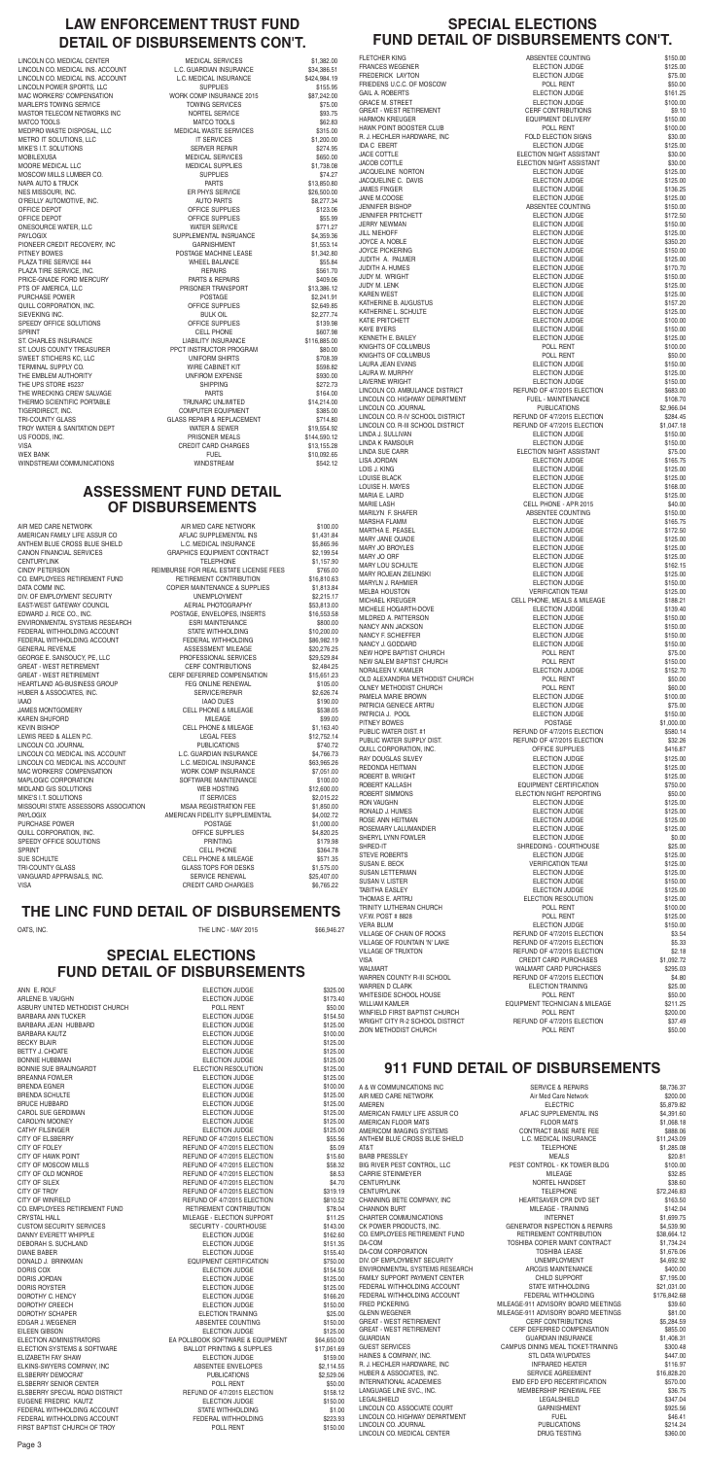### **911 FUND DETAIL OF DISBURSEMENTS**

| A & W COMMUNICATIONS INC       | <b>SERVICE &amp; REPAIRS</b>              | \$8,736.37   |
|--------------------------------|-------------------------------------------|--------------|
| AIR MED CARE NETWORK           | Air Med Care Network                      | \$200.00     |
| AMEREN                         | <b>ELECTRIC</b>                           | \$5,879.82   |
| AMERICAN FAMILY LIFE ASSUR CO  | AFLAC SUPPLEMENTAL INS                    | \$4,391.60   |
| AMERICAN FLOOR MATS            | <b>FLOOR MATS</b>                         | \$1,068.18   |
| AMERICOM IMAGING SYSTEMS       | CONTRACT BASE RATE FEE                    | \$888.06     |
| ANTHEM BLUE CROSS BLUE SHIELD  | L.C. MEDICAL INSURANCE                    | \$11,243.09  |
| T&TA                           | <b>TELEPHONE</b>                          | \$1,285.08   |
| <b>BARB PRESSLEY</b>           | <b>MEALS</b>                              | \$20.81      |
| BIG RIVER PEST CONTROL, LLC    | PEST CONTROL - KK TOWER BLDG              | \$100.00     |
| CARRIE STEINMEYER              | <b>MILEAGE</b>                            | \$32.85      |
| <b>CENTURYLINK</b>             | NORTEL HANDSET                            | \$38.60      |
| <b>CENTURYLINK</b>             | <b>TELEPHONE</b>                          | \$72,246.83  |
| CHANNING BETE COMPANY, INC     | HEARTSAVER CPR DVD SET                    | \$163.50     |
| <b>CHANNON BURT</b>            | MILEAGE - TRAINING                        | \$142.04     |
| CHARTER COMMUNICATIONS         | <b>INTERNET</b>                           | \$1,699.75   |
| CK POWER PRODUCTS, INC.        | <b>GENERATOR INSPECTION &amp; REPAIRS</b> | \$4,539.90   |
| CO. EMPLOYEES RETIREMENT FUND  | RETIREMENT CONTRIBUTION                   | \$38,664.12  |
| DA-COM                         | TOSHIBA COPIER MAINT CONTRACT             | \$1,734.24   |
| <b>DA-COM CORPORATION</b>      | <b>TOSHIBA LEASE</b>                      | \$1,676.06   |
| DIV. OF EMPLOYMENT SECURITY    | <b>UNEMPLOYMENT</b>                       | \$4,692.92   |
| ENVIRONMENTAL SYSTEMS RESEARCH | ARCGIS MAINTENANCE                        | \$400.00     |
| FAMILY SUPPORT PAYMENT CENTER  | CHILD SUPPORT                             | \$7,195.00   |
| FEDERAL WITHHOLDING ACCOUNT    | <b>STATE WITHHOLDING</b>                  | \$21,031.00  |
| FEDERAL WITHHOLDING ACCOUNT    | FEDERAL WITHHOLDING                       | \$176,842.68 |
| <b>FRED PICKERING</b>          | MILEAGE-911 ADVISORY BOARD MEETINGS       | \$39.60      |
| <b>GLENN WEGENER</b>           | MILEAGE-911 ADVISORY BOARD MEETINGS       | \$81.00      |
| GREAT - WEST RETIREMENT        | <b>CERF CONTRIBUTIONS</b>                 | \$5,284.59   |
| <b>GREAT - WEST RETIREMENT</b> | CERF DEFERRED COMPENSATION                | \$855.00     |
| <b>GUARDIAN</b>                | <b>GUARDIAN INSURANCE</b>                 | \$1,408.31   |
| <b>GUEST SERVICES</b>          | CAMPUS DINING MEAL TICKET-TRAINING        | \$300.48     |
| HAINES & COMPANY, INC.         | <b>STL DATA W/UPDATES</b>                 | \$447.00     |
| R. J. HECHLER HARDWARE, INC    | <b>INFRARED HEATER</b>                    | \$116.97     |
| HUBER & ASSOCIATES, INC.       | SERVICE AGREEMENT                         | \$16,828.20  |
| INTERNATIONAL ACADEMIES        | EMD EFD EPD RECERTIFICATION               | \$570.00     |
| LANGUAGE LINE SVC., INC.       | MEMBERSHIP RENEWAL FEE                    | \$36.75      |
| LEGALSHIELD                    | LEGALSHIELD                               | \$347.04     |
| LINCOLN CO. ASSOCIATE COURT    | <b>GARNISHMENT</b>                        | \$925.56     |
| LINCOLN CO. HIGHWAY DEPARTMENT | <b>FUEL</b>                               | \$46.41      |
| LINCOLN CO. JOURNAL            | <b>PUBLICATIONS</b>                       | \$214.24     |
| LINCOLN CO. MEDICAL CENTER     | <b>DRUG TESTING</b>                       | \$360.00     |
|                                |                                           |              |

### **SPECIAL ELECTIONS FUND DETAIL OF DISBURSEMENTS**

| ANN E. ROLF                    | ELECTION JUDGE                        | \$325.00    |
|--------------------------------|---------------------------------------|-------------|
| ARLENE B. VAUGHN               | ELECTION JUDGE                        | \$173.40    |
| ASBURY UNITED METHODIST CHURCH | POLL RENT                             | \$50.00     |
| BARBARA ANN TUCKER             | ELECTION JUDGE                        | \$154.50    |
| BARBARA JEAN HUBBARD           | ELECTION JUDGE                        | \$125.00    |
| <b>BARBARA KAUTZ</b>           | <b>ELECTION JUDGE</b>                 | \$100.00    |
| BECKY BLAIR                    | <b>ELECTION JUDGE</b>                 | \$125.00    |
| <b>BETTY J. CHOATE</b>         | <b>ELECTION JUDGE</b>                 | \$125.00    |
| <b>BONNIE HUBBMAN</b>          | ELECTION JUDGE                        | \$125.00    |
| BONNIE SUE BRAUNGARDT          | ELECTION RESOLUTION                   | \$125.00    |
| <b>BREANNA FOWLER</b>          | <b>ELECTION JUDGE</b>                 | \$125.00    |
| BRENDA EGNER                   | ELECTION JUDGE                        | \$100.00    |
| BRENDA SCHULTE                 | <b>ELECTION JUDGE</b>                 | \$125.00    |
| BRUCE HUBBARD                  | ELECTION JUDGE                        | \$125.00    |
| CAROL SUE GERDIMAN             | ELECTION JUDGE                        | \$125.00    |
| CAROLYN MOONEY                 | ELECTION JUDGE                        | \$125.00    |
| CATHY FILSINGER                | <b>ELECTION JUDGE</b>                 | \$125.00    |
| CITY OF ELSBERRY               | REFUND OF 4/7/2015 ELECTION           | \$55.56     |
| <b>CITY OF FOLEY</b>           | REFUND OF 4/7/2015 ELECTION           | \$5.09      |
| CITY OF HAWK POINT             | REFUND OF 4/7/2015 ELECTION           | \$15.60     |
| CITY OF MOSCOW MILLS           | REFUND OF 4/7/2015 ELECTION           | \$58.32     |
| CITY OF OLD MONROE             | REFUND OF 4/7/2015 ELECTION           | \$8.53      |
| CITY OF SILEX                  | REFUND OF 4/7/2015 ELECTION           | \$4.70      |
| CITY OF TROY                   | REFUND OF 4/7/2015 ELECTION           | \$319.19    |
| <b>CITY OF WINFIELD</b>        | REFUND OF 4/7/2015 ELECTION           | \$810.52    |
| CO. EMPLOYEES RETIREMENT FUND  | RETIREMENT CONTRIBUTION               | \$78.04     |
| <b>CRYSTAL HALL</b>            | MILEAGE - ELECTION SUPPORT            | \$11.25     |
| CUSTOM SECURITY SERVICES       | SECURITY - COURTHOUSE                 | \$143.00    |
| DANNY EVERETT WHIPPLE          | ELECTION JUDGE                        | \$162.60    |
| DEBORAH S. SUCHLAND            | ELECTION JUDGE                        | \$151.35    |
| DIANE BABER                    | ELECTION JUDGE                        | \$155.40    |
| DONALD J. BRINKMAN             | EQUIPMENT CERTIFICATION               | \$750.00    |
| DORIS COX                      | <b>ELECTION JUDGE</b>                 | \$154.50    |
| DORIS JORDAN                   | ELECTION JUDGE                        | \$125.00    |
| DORIS ROYSTER                  | ELECTION JUDGE                        | \$125.00    |
| DOROTHY C. HENCY               | <b>ELECTION JUDGE</b>                 | \$166.20    |
| DOROTHY CREECH                 | ELECTION JUDGE                        | \$150.00    |
| DOROTHY SCHAPER                | ELECTION TRAINING                     | \$25.00     |
| EDGAR J. WEGENER               | ABSENTEE COUNTING                     | \$150.00    |
| EILEEN GIBSON                  | <b>ELECTION JUDGE</b>                 | \$125.00    |
| ELECTION ADMINISTRATORS        | EA POLLBOOK SOFTWARE & EQUIPMENT      | \$64,650.00 |
| ELECTION SYSTEMS & SOFTWARE    | <b>BALLOT PRINTING &amp; SUPPLIES</b> | \$17,061.69 |
| ELIZABETH FAY SHAW             | ELECTION JUDGE                        | \$159.00    |
| ELKINS-SWYERS COMPANY, INC     | ABSENTEE ENVELOPES                    | \$2,114.55  |
| ELSBERRY DEMOCRAT              | <b>PUBLICATIONS</b>                   | \$2,529.06  |
| ELSBERRY SENIOR CENTER         | POLL RENT                             | \$50.00     |
| ELSBERRY SPECIAL ROAD DISTRICT | REFUND OF 4/7/2015 ELECTION           | \$158.12    |
| EUGENE FREDRIC KAUTZ           | ELECTION JUDGE                        | \$150.00    |
| FEDERAL WITHHOLDING ACCOUNT    | STATE WITHHOLDING                     | \$1.00      |
| FEDERAL WITHHOLDING ACCOUNT    | FEDERAL WITHHOLDING                   | \$223.93    |
| FIRST BAPTIST CHURCH OF TROY   | POLL RENT                             | \$150.00    |
|                                |                                       |             |

QUILL CORPORATION, INC. The contract of the corresponding of the corresponding to the state of the state of the state of the state of the state of the state of the state of the state of the state of the state of the state SPEEDY OFFICE SOLUTIONS THE SOLUTIONS ASSESSED AS A STRING STRING ASSESSED AS A STRING STRING STRING STRING STRING STRING STRING STRING STRING STRING STRING STRING STRING STRING STRING STRING STRING STRING STRING STRING ST SPRINT CELL PHONE \$364.78 SUE SCHULTE STILS AND RELL PHONE & MILEAGE \$571.35 TRI-COUNTY GLASS GLASS GLASS TOPS FOR DESKS \$1.575.00 VANGUARD APPRAISALS, INC. SERVICE RENEWAL \$25,407.00 VISA CREDIT CARD CHARGES \$6,765.22

AIR MED CARE NETWORK **AIR MED CARE NETWORK** \$100.00 AMERICAN FAMILY LIFE ASSUR CO AFLAC SUPPLEMENTAL INS \$1.431.84 ANTHEM BLUE CROSS BLUE SHIELD L.C. MEDICAL INSURANCE \$5,865.96 CANON FINANCIAL SERVICES GRAPHICS EQUIPMENT CONTRACT \$2,199.54 CENTURYLINK \$1,157.90 CINDY PETERSON REIMBURSE FOR REAL ESTATE LICENSE FEES \$765.00 CO. EMPLOYEES RETIREMENT FUND RETIREMENT CONTRIBUTION \$16,810.63 DATA COMM INC. **COPIER MAINTENANCE & SUPPLIES** \$1,813.84 DIV. OF EMPLOYMENT SECURITY UNEMPLOYMENT \$2,215.17 EAST-WEST GATEWAY COUNCIL **AERIAL PHOTOGRAPHY** \$53.813.00 EDWARD J. RICE CO., INC. THE SERVER OF POSTAGE, ENVELOPES, INSERTS \$16,553.58 ENVIRONMENTAL SYSTEMS RESEARCH ESRI MAINTENANCE \$800.00 FEDERAL WITHHOLDING ACCOUNT STATE WITHHOLDING \$10,200.00 FEDERAL WITHHOLDING ACCOUNT FEDERAL WITHHOLDING \$86,982.19 GENERAL REVENUE **ASSESSMENT MILEAGE** \$20.276.25 \$20.276.25 GEORGE E. SANSOUCY, PE, LLC PROFESSIONAL SERVICES \$29,529.84 GREAT - WEST RETIREMENT CERF CONTRIBUTIONS \$2.484.25 GREAT - WEST RETIREMENT CERF DEFERRED COMPENSATION \$15,651.23 HEARTLAND AG-BUSINESS GROUP FEG ONLINE RENEWAL \$105.00 HUBER & ASSOCIATES, INC. THE SERVICE/REPAIR \$2,626.74 IAAO IAAO DUES \$190.00 JAMES MONTGOMERY **CELL PHONE & MILEAGE** \$538.05 KAREN SHUFORD MILEAGE \$99.00 KEVIN BISHOP SALES AND RELL PHONE & MILEAGE \$1,163.40 LEWIS REED & ALLEN P.C. The Contract of the Contract LEGAL FEES \$12,752.14 LINCOLN CO. JOURNAL PUBLICATIONS \$740.72 LINCOLN CO. MEDICAL INS. ACCOUNT L.C. GUARDIAN INSURANCE \$4,766.73 LINCOLN CO. MEDICAL INS. ACCOUNT L.C. MEDICAL INSURANCE \$63,965.26<br>MAC WORKERS' COMPENSATION FRAME WORK COMP INSURANCE \$7,051.00 MAC WORKERS' COMPENSATION WORK COMP INSURANCE \$7,051.00 MAPLOGIC CORPORATION SOFTWARE MAINTENANCE \$100.00 MIDLAND GIS SOLUTIONS WEB HOSTING \$12,600.00 MIKE'S I.T. SOLUTIONS IT SERVICES \$2,015.22 MISSOURI STATE ASSESSORS ASSOCIATION MSAA REGISTRATION FEE \$1,850.00 PAYLOGIX **AMERICAN FIDELITY SUPPLEMENTAL** \$4,002.72 PURCHASE POWER **Example 20 and 20 and 20 and 20 and 20 and 20 and 20 and 20 and 20 and 20 and 20 and 20 and 20 and 20 and 20 and 20 and 20 and 20 and 20 and 20 and 20 and 20 and 20 and 20 and 20 and 20 and 20 and 20 and 20** 

LINCOLN CO. MEDICAL INS. ACCOUNT L.C. GUARDIAN INSURANCE \$34,386.51 LINCOLN CO. MEDICAL INS. ACCOUNT L.C. MEDICAL INSURANCE \$424,984.19 LINCOLN POWER SPORTS, LLC<br>
MAC WORKERS' COMPENSATION 
SATER A SATER SET AND THE SUPPLIES<br>
MORK COMP INSURANCE 2015 MAC WORKERS' COMPENSATION<br>
MARI ER'S TOWING SERVICE<br>
TOWING SERVICES<br>
TOWING SERVICES MARLER'S TOWING SERVICE TOWING SERVICES \$75.00 MASTOR TELECOM NETWORKS INC **NORTEL SERVICE** SERVICE MATCO TOOLS \$62.83 MEDPRO WASTE DISPOSAL, LLC MEDICAL WASTE SERVICES \$315.00 METRO IT SOLUTIONS, LLC IT SERVICES \$1,200.00 MIKE'S I.T. SOLUTIONS SERVER REPAIR \$274.95 MOBILEXUSA MEDICAL SERVICES \$650.00 MOORE MEDICAL LLC 61,738.08 MEDICAL SUPPLIES \$1,738.08 MOSCOW MILLS LUMBER CO. SUPPLIES SUPPLIES \$74.27 NAPA AUTO & TRUCK \$13,850.80 NES MISSOURI, INC. THE SERVICE SERVICE SERVICE SERVICE SERVICE SERVICE SERVICE SERVICE SERVICE SERVICE SERVICE O'REILLY AUTOMOTIVE, INC. THE SECTED SERVICE OF AUTO PARTS \$8,277.34 OFFICE DEPOT **OFFICE SUPPLIES** \$123.06 OFFICE DEPOT SERVICE SUPPLIES \$55.99 ONESOURCE WATER, LLC **WATER SERVICE S771.27** WATER SERVICE PAYLOGIX SUPPLEMENTAL INSRUANCE \$4,359.36 PIONEER CREDIT RECOVERY, INC GARNISHMENT \$1,553.14 PITNEY BOWES POSTAGE MACHINE LEASE \$1,342.80 PLAZA TIRE SERVICE #44 SERVICE #44 WHEEL BALANCE PLAZA TIRE SERVICE. INC. THE SERVICE OF A SERVICE OF A SERVICE OF A SERVICE OF A SERVICE OF A SERVICE OF A SERVICE OF A SERVICE OF A SERVICE OF A SERVICE OF A SERVICE OF A SERVICE OF A SERVICE OF A SERVICE OF A SERVICE OF PRICE-GNADE FORD MERCURY **Example 2018 THE PARTS & REPAIRS** \$409.06 PTS OF AMERICA, LLC **PRISONER TRANSPORT** \$13,386.12 PURCHASE POWER **Example 2018** POSTAGE **1999 POSTAGE** \$2,241.91 QUILL CORPORATION. INC. THE SUPPLIES ARE SUPPLIES ASSESSED. THE SUPPLIES ASSESSED. THE SECTION OF SALES AND SUPPLIES SIEVEKING INC. SOLL SEEVEKING INC. SPEEDY OFFICE SOLUTIONS **SPEEDY OFFICE SUPPLIES** \$139.98 SPRINT SERIES AND SELL PHONE SERIES AND SERIES AND SERIES AND SERIES AND SERIES AND SERIES AND SERIES AND SERIES AND SERIES AND SERIES AND SERIES AND SERIES AND SERIES AND SERIES AND SERIES AND SERIES AND SERIES AND SERIES ST. CHARLES INSURANCE LIABILITY INSURANCE \$116,885.00 ST. LOUIS COUNTY TREASURER FROM PPCT INSTRUCTOR PROGRAM \$80.000 \$80.000 \$80.000 \$80.000 \$80.000 \$80.000 \$8708.39<br>SWEET STICHERS KC, LLC SWEET STICHERS KC, LLC UNIFORM SHIRTS \$708.39 TERMINAL SUPPLY CO. THE CONSTRUCTION OF THE CABINET KIT THE SECOND S598.82 THE EMBLEM AUTHORITY **THE EMBLEM AUTHORITY INFIROM EXPENSE 1930.00** THE UPS STORE #5237 SHIPPING \$272.73 THE WRECKING CREW SALVAGE PARTS \$164.00 THERMO SCIENTIFIC PORTABLE TRUNARC UNLIMITED TIGERDIRECT, INC. COMPUTER EQUIPMENT \$385.00 TROY WATER & SANITATION DEPT WATER & SEWER \$19,554.92 US FOODS. INC. THE SECOND SECOND THE PRISONER MEALS TO PRISON STATES STATES AND STATES STATES OF STATES AND ST VISA CREDIT CARD CHARGES \$13,155.28 WEX BANK FUEL \$10,092.65

LINCOLN CO. MEDICAL CENTER **MEDICAL SERVICES** \$1,382.00 GLASS REPAIR & REPLACEMENT \$714.80 WINDSTREAM COMMUNICATIONS **WINDSTREAM** WINDSTREAM \$542.12

#### **THE LINC FUND DETAIL OF DISBURSEMENTS**

OATS, INC. 666,946.27 (2015) THE LINC - MAY 2015

#### **ASSESSMENT FUND DETAIL OF DISBURSEMENTS**

# **LAW ENFORCEMENT TRUST FUND DETAIL OF DISBURSEMENTS CON'T.**

#### **SPECIAL ELECTIONS FUND DETAIL OF DISBURSEMENTS CON'T.**

FRIEDENS U.C.C. OF MOSCOW

| וט בותו בע טווט ו                                                | <b>DIODUITOLIMENTO</b>                                   | VVII<br>. .          |
|------------------------------------------------------------------|----------------------------------------------------------|----------------------|
| <b>FLETCHER KING</b>                                             | ABSENTEE COUNTING                                        | \$150.00             |
| <b>FRANCES WEGENER</b>                                           | <b>ELECTION JUDGE</b>                                    | \$125.00             |
| <b>FREDERICK LAYTON</b>                                          | <b>ELECTION JUDGE</b>                                    | \$75.00              |
| FRIEDENS U.C.C. OF MOSCOW<br><b>GAIL A. ROBERTS</b>              | POLL RENT<br>ELECTION JUDGE                              | \$50.00<br>\$161.25  |
| <b>GRACE M. STREET</b>                                           | ELECTION JUDGE                                           | \$100.00             |
| <b>GREAT - WEST RETIREMENT</b>                                   | <b>CERF CONTRIBUTIONS</b>                                | \$9.10               |
| <b>HARMON KREUGER</b>                                            | <b>EQUIPMENT DELIVERY</b>                                | \$150.00             |
| <b>HAWK POINT BOOSTER CLUB</b>                                   | POLL RENT                                                | \$100.00             |
| R. J. HECHLER HARDWARE, INC<br><b>IDA C EBERT</b>                | FOLD ELECTION SIGNS<br><b>ELECTION JUDGE</b>             | \$30.00<br>\$125.00  |
| JACE COTTLE                                                      | ELECTION NIGHT ASSISTANT                                 | \$30.00              |
| <b>JACOB COTTLE</b>                                              | ELECTION NIGHT ASSISTANT                                 | \$30.00              |
| JACQUELINE NORTON                                                | <b>ELECTION JUDGE</b>                                    | \$125.00             |
| JACQUELINE C. DAVIS                                              | <b>ELECTION JUDGE</b>                                    | \$125.00             |
| <b>JAMES FINGER</b>                                              | <b>ELECTION JUDGE</b>                                    | \$136.25             |
| JANE M.COOSE                                                     | <b>ELECTION JUDGE</b>                                    | \$125.00             |
| <b>JENNIFER BISHOP</b><br><b>JENNIFER PRITCHETT</b>              | ABSENTEE COUNTING<br><b>ELECTION JUDGE</b>               | \$150.00<br>\$172.50 |
| <b>JERRY NEWMAN</b>                                              | <b>ELECTION JUDGE</b>                                    | \$150.00             |
| <b>JILL NIEHOFF</b>                                              | <b>ELECTION JUDGE</b>                                    | \$125.00             |
| JOYCE A. NOBLE                                                   | <b>ELECTION JUDGE</b>                                    | \$350.20             |
| <b>JOYCE PICKERING</b>                                           | <b>ELECTION JUDGE</b>                                    | \$150.00             |
| JUDITH A. PALMER<br><b>JUDITH A. HUMES</b>                       | ELECTION JUDGE                                           | \$125.00<br>\$170.70 |
| <b>JUDY M. WRIGHT</b>                                            | <b>ELECTION JUDGE</b><br><b>ELECTION JUDGE</b>           | \$150.00             |
| JUDY M. LENK                                                     | <b>ELECTION JUDGE</b>                                    | \$125.00             |
| <b>KAREN WEST</b>                                                | <b>ELECTION JUDGE</b>                                    | \$125.00             |
| KATHERINE B. AUGUSTUS                                            | <b>ELECTION JUDGE</b>                                    | \$157.20             |
| KATHERINE L. SCHULTE                                             | <b>ELECTION JUDGE</b>                                    | \$125.00             |
| <b>KATIE PRITCHETT</b>                                           | ELECTION JUDGE                                           | \$100.00             |
| <b>KAYE BYERS</b><br><b>KENNETH E. BAILEY</b>                    | <b>ELECTION JUDGE</b><br><b>ELECTION JUDGE</b>           | \$150.00<br>\$125.00 |
| KNIGHTS OF COLUMBUS                                              | POLL RENT                                                | \$100.00             |
| KNIGHTS OF COLUMBUS                                              | POLL RENT                                                | \$50.00              |
| <b>LAURA JEAN EVANS</b>                                          | ELECTION JUDGE                                           | \$150.00             |
| LAURA W. MURPHY                                                  | ELECTION JUDGE                                           | \$125.00             |
| <b>LAVERNE WRIGHT</b>                                            | ELECTION JUDGE                                           | \$150.00             |
| LINCOLN CO. AMBULANCE DISTRICT<br>LINCOLN CO. HIGHWAY DEPARTMENT | REFUND OF 4/7/2015 ELECTION<br><b>FUEL - MAINTENANCE</b> | \$683.00<br>\$108.70 |
| LINCOLN CO. JOURNAL                                              | <b>PUBLICATIONS</b>                                      | \$2,966.04           |
| LINCOLN CO. R-IV SCHOOL DISTRICT                                 | REFUND OF 4/7/2015 ELECTION                              | \$284.45             |
| LINCOLN CO. R-III SCHOOL DISTRICT                                | REFUND OF 4/7/2015 ELECTION                              | \$1,047.18           |
| LINDA J. SULLIVAN                                                | <b>ELECTION JUDGE</b>                                    | \$150.00             |
| <b>LINDA K RAMSOUR</b>                                           | <b>ELECTION JUDGE</b>                                    | \$150.00             |
| LINDA SUE CARR<br>LISA JORDAN                                    | ELECTION NIGHT ASSISTANT<br>ELECTION JUDGE               | \$75.00<br>\$165.75  |
| LOIS J. KING                                                     | ELECTION JUDGE                                           | \$125.00             |
| <b>LOUISE BLACK</b>                                              | ELECTION JUDGE                                           | \$125.00             |
| LOUISE H. MAYES                                                  | <b>ELECTION JUDGE</b>                                    | \$168.00             |
| MARIA E. LAIRD                                                   | <b>ELECTION JUDGE</b>                                    | \$125.00             |
| <b>MARIE LASH</b>                                                | CELL PHONE - APR 2015                                    | \$40.00              |
| MARILYN F. SHAFER<br><b>MARSHA FLAMM</b>                         | ABSENTEE COUNTING<br><b>ELECTION JUDGE</b>               | \$150.00<br>\$165.75 |
| <b>MARTHA E. PEASEL</b>                                          | ELECTION JUDGE                                           | \$172.50             |
| MARY JANE QUADE                                                  | <b>ELECTION JUDGE</b>                                    | \$125.00             |
| MARY JO BROYLES                                                  | <b>ELECTION JUDGE</b>                                    | \$125.00             |
| MARY JO ORF                                                      | <b>ELECTION JUDGE</b>                                    | \$125.00             |
| MARY LOU SCHULTE                                                 | ELECTION JUDGE                                           | \$162.15             |
| <b>MARY ROJEAN ZIELINSKI</b><br>MARYLN J. RAHMIER                | ELECTION JUDGE<br>ELECTION JUDGE                         | \$125.00<br>\$150.00 |
| <b>MELBA HOUSTON</b>                                             | <b>VERIFICATION TEAM</b>                                 | \$125.00             |
| MICHAEL KREUGER                                                  | CELL PHONE, MEALS & MILEAGE                              | \$188.21             |
| MICHELE HOGARTH-DOVE                                             | <b>ELECTION JUDGE</b>                                    | \$139.40             |
| MILDRED A. PATTERSON                                             | ELECTION JUDGE                                           | \$150.00             |
| NANCY ANN JACKSON                                                | ELECTION JUDGE                                           | \$150.00             |
| NANCY F. SCHIEFFER<br>NANCY J. GODDARD                           | ELECTION JUDGE<br>ELECTION JUDGE                         | \$150.00<br>\$150.00 |
| NEW HOPE BAPTIST CHURCH                                          | POLL RENT                                                | \$75.00              |
| NEW SALEM BAPTIST CHURCH                                         | POLL RENT                                                | \$150.00             |
| NORALEEN V. KAMLER                                               | ELECTION JUDGE                                           | \$152.70             |
| OLD ALEXANDRIA METHODIST CHURCH                                  | POLL RENT                                                | \$50.00              |
| OLNEY METHODIST CHURCH                                           | POLL RENT                                                | \$60.00              |
| PAMELA MARIE BROWN<br>PATRICIA GENIECE ARTRU                     | ELECTION JUDGE<br>ELECTION JUDGE                         | \$100.00<br>\$75.00  |
| PATRICIA J. POOL                                                 | ELECTION JUDGE                                           | \$150.00             |
| PITNEY BOWES                                                     | <b>POSTAGE</b>                                           | \$1,000.00           |
| PUBLIC WATER DIST. #1                                            | REFUND OF 4/7/2015 ELECTION                              | \$580.14             |
| PUBLIC WATER SUPPLY DIST.                                        | REFUND OF 4/7/2015 ELECTION                              | \$32.26              |
| QUILL CORPORATION, INC.                                          | OFFICE SUPPLIES                                          | \$416.87             |
| RAY DOUGLAS SILVEY<br>REDONDA HEITMAN                            | ELECTION JUDGE                                           | \$125.00             |
| ROBERT B. WRIGHT                                                 | ELECTION JUDGE<br><b>ELECTION JUDGE</b>                  | \$125.00<br>\$125.00 |
| ROBERT KALLASH                                                   | EQUIPMENT CERTIFICATION                                  | \$750.00             |
| ROBERT SIMMONS                                                   | ELECTION NIGHT REPORTING                                 | \$50.00              |
| <b>RON VAUGHN</b>                                                | ELECTION JUDGE                                           | \$125.00             |
| RONALD J. HUMES                                                  | ELECTION JUDGE                                           | \$125.00             |
| ROSE ANN HEITMAN<br>ROSEMARY LALUMANDIER                         | <b>ELECTION JUDGE</b><br><b>ELECTION JUDGE</b>           | \$125.00<br>\$125.00 |
| SHERYL LYNN FOWLER                                               | <b>ELECTION JUDGE</b>                                    | \$0.00               |
|                                                                  |                                                          |                      |

| SHRED-IT                        | SHREDDING - COURTHOUSE         | \$25.00    |
|---------------------------------|--------------------------------|------------|
| <b>STEVE ROBERTS</b>            | ELECTION JUDGE                 | \$125.00   |
| SUSAN E. BECK                   | <b>VERIFICATION TEAM</b>       | \$125.00   |
| SUSAN LETTERMAN                 | ELECTION JUDGE                 | \$125.00   |
| SUSAN V. LISTER                 | ELECTION JUDGE                 | \$150.00   |
| TABITHA EASLEY                  | <b>ELECTION JUDGE</b>          | \$125.00   |
| THOMAS E. ARTRU                 | ELECTION RESOLUTION            | \$125.00   |
| TRINITY LUTHERAN CHURCH         | POLL RENT                      | \$100.00   |
| V.F.W. POST # 8828              | POLL RENT                      | \$125.00   |
| <b>VERA BLUM</b>                | ELECTION JUDGE                 | \$150.00   |
| VILLAGE OF CHAIN OF ROCKS       | REFUND OF 4/7/2015 ELECTION    | \$3.54     |
| VILLAGE OF FOUNTAIN 'N' LAKE    | REFUND OF 4/7/2015 ELECTION    | \$5.33     |
| VILLAGE OF TRUXTON              | REFUND OF 4/7/2015 ELECTION    | \$2.18     |
| VISA                            | <b>CREDIT CARD PURCHASES</b>   | \$1,092.72 |
| WALMART                         | WALMART CARD PURCHASES         | \$295.03   |
| WARREN COUNTY R-III SCHOOL      | REFUND OF 4/7/2015 ELECTION    | \$4.80     |
| WARREN D CLARK                  | <b>ELECTION TRAINING</b>       | \$25.00    |
| WHITESIDE SCHOOL HOUSE          | POLL RENT                      | \$50.00    |
| WILLIAM KAMLER                  | EQUIPMENT TECHNICIAN & MILEAGE | \$211.25   |
| WINFIELD FIRST BAPTIST CHURCH   | POLL RENT                      | \$200.00   |
| WRIGHT CITY R-2 SCHOOL DISTRICT | REFUND OF 4/7/2015 ELECTION    | \$37.49    |
| ZION METHODIST CHURCH           | POLL RENT                      | \$50.00    |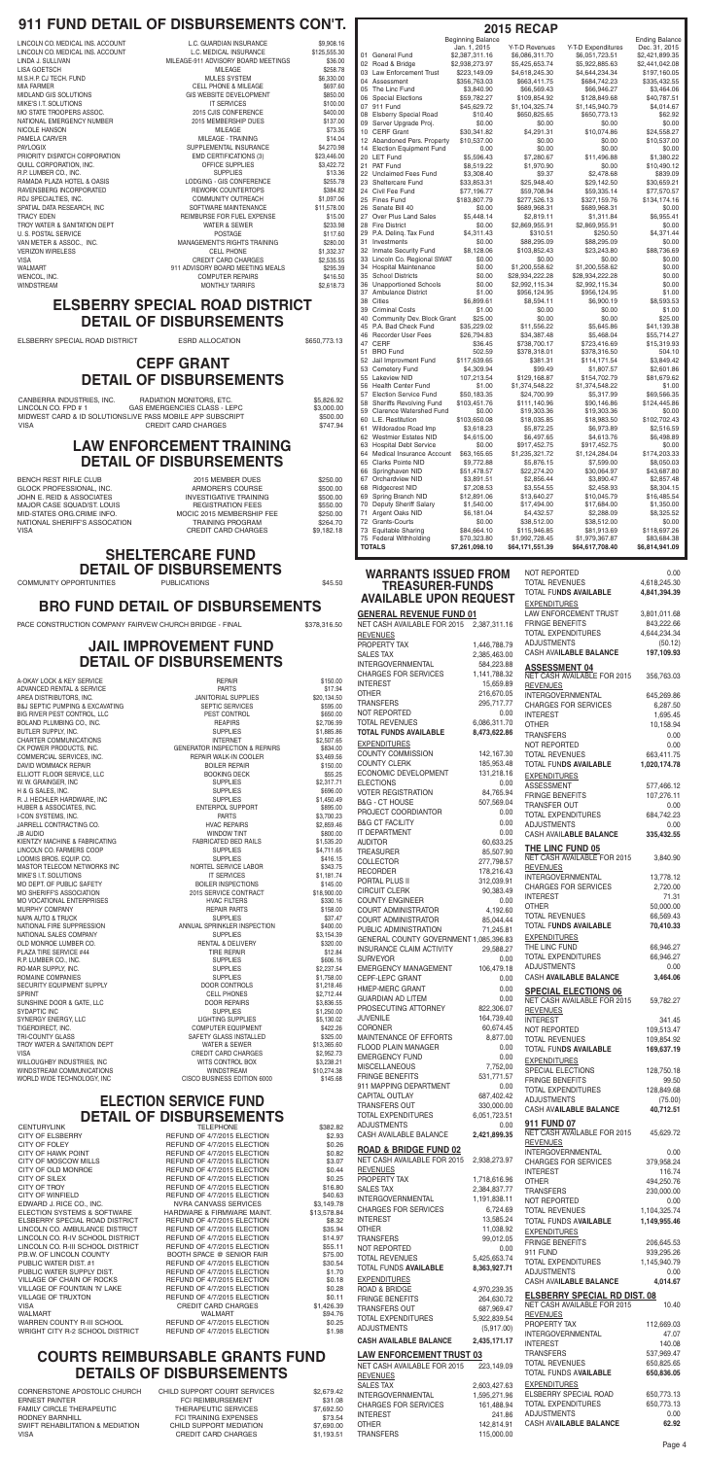#### **LAW ENFORCEMENT TRAINING DETAIL OF DISBURSEMENTS**

| BENCH REST RIFLE CLUB         | 2015 MEMBER DUES              | \$250.00   |
|-------------------------------|-------------------------------|------------|
| GLOCK PROFESSIONAL. INC.      | ARMORER'S COURSE              | \$500.00   |
| JOHN E. REID & ASSOCIATES     | <b>INVESTIGATIVE TRAINING</b> | \$500.00   |
| MAJOR CASE SQUAD/ST. LOUIS    | <b>REGISTRATION FEES</b>      | \$550.00   |
| MID-STATES ORG.CRIME INFO.    | MOCIC 2015 MEMBERSHIP FEE     | \$250.00   |
| NATIONAL SHERIFF'S ASSOCATION | <b>TRAINING PROGRAM</b>       | \$264.70   |
| VISA                          | CREDIT CARD CHARGES           | \$9.182.18 |
|                               |                               |            |

#### **JAIL IMPROVEMENT FUND DETAIL OF DISBURSEMENTS**

A-OKAY LOCK & KEY SERVICE **A REPAIR S150.00 REPAIR** \$150.00 JB AUDIO WINDOW TINT \$800.00 KIENTZY MACHINE & FABRICATING FABRICATED BED RAILS \$1,535.20 WILLOUGHBY INDUSTRIES, INC

| A-OKAY LOCK & KEY SERVICE                      | <b>REPAIR</b>                             | \$150.00    |
|------------------------------------------------|-------------------------------------------|-------------|
| ADVANCED RENTAL & SERVICE                      | <b>PARTS</b>                              | \$17.94     |
| AREA DISTRIBUTORS. INC.                        | <b>JANITORIAL SUPPLIES</b>                | \$20,134.50 |
| <b>B&amp;J SEPTIC PUMPING &amp; EXCAVATING</b> | <b>SEPTIC SERVICES</b>                    | \$595.00    |
| <b>BIG RIVER PEST CONTROL. LLC</b>             | PEST CONTROL                              | \$650.00    |
| BOLAND PLUMBING CO., INC.                      | <b>REAPIRS</b>                            | \$2,706.99  |
| BUTLER SUPPLY. INC.                            | <b>SUPPLIES</b>                           | \$1,885.86  |
| <b>CHARTER COMMUNICATIONS</b>                  | <b>INTERNET</b>                           | \$2,507.65  |
| CK POWER PRODUCTS. INC.                        | <b>GENERATOR INSPECTION &amp; REPAIRS</b> | \$834.00    |
| COMMERCIAL SERVICES, INC.                      | REPAIR WALK-IN COOLER                     | \$3,469.56  |
| DAVID WOMMACK REPAIR                           | <b>BOILER REPAIR</b>                      | \$150.00    |
| ELLIOTT FLOOR SERVICE, LLC                     | <b>BOOKING DECK</b>                       | \$55.25     |
| W. W. GRAINGER, INC                            | <b>SUPPLIES</b>                           | \$2,317.71  |
| H & G SALES, INC.                              | <b>SUPPLIES</b>                           | \$696.00    |
| R. J. HECHLER HARDWARE, INC                    | <b>SUPPLIES</b>                           | \$1,450.49  |
| HUBER & ASSOCIATES, INC.                       | <b>ENTERPOL SUPPORT</b>                   | \$895.00    |
| <b>I-CON SYSTEMS, INC.</b>                     | <b>PARTS</b>                              | \$3,700.23  |
| JARRELL CONTRACTING CO.                        | <b>HVAC REPAIRS</b>                       | \$2,859.46  |
| <b>JB AUDIO</b>                                | <b>WINDOW TINT</b>                        | \$800.00    |

# **SHELTERCARE FUND DETAIL OF DISBURSEMENTS**<br>DRTUNITIES

# **ELECTION SERVICE FUND DETAIL OF DISBURSEMENTS**

CENTURYLINK \$382.82 CITY OF ELSBERRY **ELECTION** REFUND OF 4/7/2015 ELECTION \$2.93 CITY OF FOLEY GUING THE REFUND OF 4/7/2015 ELECTION \$0.26<br>CITY OF HAWK POINT CITY AREFUND OF 4/7/2015 ELECTION \$0.82 CITY OF HAWK POINT CONTROL CONTROL BEFUND OF 4/7/2015 ELECTION \$0.82<br>CITY OF MOSCOW MILLS CONTROL REFUND OF 4/7/2015 ELECTION \$3.07 CITY OF MOSCOW MILLS REFUND OF 4/7/2015 ELECTION \$3.07 CITY OF OLD MONROE REFUND OF 4/7/2015 ELECTION \$0.44 CITY OF SILEX  $\begin{array}{c} 0.25 \\ 0.25 \end{array}$  CITY OF TROY  $\begin{array}{c} 0.25 \\ 0.80 \end{array}$ CITY OF WINFIELD **REFUND OF 4/7/2015 ELECTION** \$40.63 EDWARD J. RICE CO., INC. NVRA CANVASS SERVICES \$3,149.78 ELECTION SYSTEMS & SOFTWARE HARDWARE & FIRMWARE MAINT. \$13,578.84<br>ELSBERRY SPECIAL ROAD DISTRICT FIEFUND OF 4/7/2015 ELECTION \$8.32 ELSBERRY SPECIAL ROAD DISTRICT THE REFUND OF 4/7/2015 ELECTION \$8.32<br>LINCOLN CO. AMBULANCE DISTRICT THEFUND OF 4/7/2015 ELECTION \$35.94 LINCOLN CO. AMBULANCE DISTRICT THE REFUND OF 4/7/2015 ELECTION<br>LINCOLN CO. R-IV SCHOOL DISTRICT THEFUND OF 4/7/2015 ELECTION LINCOLN CO. R-IV SCHOOL DISTRICT THE REFUND OF 4/7/2015 ELECTION \$14.97<br>LINCOLN CO. R-III SCHOOL DISTRICT REFUND OF 4/7/2015 ELECTION \$55.11 LINCOLN CO. R-III SCHOOL DISTRICT REFUND OF 4/7/2015 ELECTION \$55.11 P.B.W. OF LINCOLN COUNTY BOOTH SPACE @ SENIOR FAIR \$75.00 PUBLIC WATER DIST. #1 REFUND OF 4/7/2015 ELECTION \$30.54<br>PUBLIC WATER SUPPLY DIST. THE REFUND OF 4/7/2015 ELECTION \$1.70 PUBLIC WATER SUPPLY DIST. REFUND OF 4/7/2015 ELECTION \$1.70 VILLAGE OF CHAIN OF ROCKS<br>
VILLAGE OF FOUNTAIN 'N' LAKE REFUND OF 4/7/2015 ELECTION \$0.28 VILLAGE OF TRUXTON **REFUND OF 4/7/2015 ELECTION** \$0.11 VISA CREDIT CARD CHARGES \$1,426.39 WALMART WALMART \$94.76 WARREN COUNTY R-III SCHOOL REFUND OF 4/7/2015 ELECTION \$0.25 WRIGHT CITY R-2 SCHOOL DISTRICT REFUND OF 4/7/2015 ELECTION \$1.98

REFUND OF 4/7/2015 ELECTION \$16.80 REFUND OF 4/7/2015 ELECTION \$0.28

> INTERGOVERNMENTAL 1,595,271.96 CHARGES FOR SERVICES 161,488.94 INTEREST 241.86 OTHER 142,814.91 TRANSFERS 115,000.00

# **COURTS REIMBURSABLE GRANTS FUND DETAILS OF DISBURSEMENTS**

CORNERSTONE APOSTOLIC CHURCH CHILD SUPPORT COURT SERVICES \$2,679.42 ERNEST PAINTER FCI REIMBURSEMENT 531.08 FAMILY CIRCLE THERAPEUTIC THERAPEUTIC SERVICES \$7,692.50 RODNEY BARNHILL **FOLLOWING EXPENSES** \$73.54 SWIFT REHABILITATION & MEDIATION CHILD SUPPORT MEDIATION \$7,690.00 VISA CREDIT CARD CHARGES \$1,193.51

ELSBERRY SPECIAL ROAD 650,773.13 TOTAL EXPENDITURES 650,773.13 ADJUSTMENTS 0.00 CASH AV**AILABLE BALANCE 62.92**

COMMUNITY OPPORTUNITIES PUBLICATIONS \$45.50

# **WARRANTS ISSUED FROM TREASURER-FUNDS**

| <b>WARRANTS ISSUED FROM</b>                                     |                            | NOT REPORTED                                          | 0.00                         |
|-----------------------------------------------------------------|----------------------------|-------------------------------------------------------|------------------------------|
| <b>TREASURER-FUNDS</b>                                          |                            | <b>TOTAL REVENUES</b><br><b>TOTAL FUNDS AVAILABLE</b> | 4,618,245.30<br>4,841,394.39 |
| <b>AVAILABLE UPON REQUEST</b>                                   |                            | <b>EXPENDITURES</b>                                   |                              |
| <b>GENERAL REVENUE FUND 01</b>                                  |                            | LAW ENFORCEMENT TRUST                                 | 3,801,011.68                 |
| NET CASH AVAILABLE FOR 2015                                     | 2,387,311.16               | <b>FRINGE BENEFITS</b>                                | 843,222.66                   |
| <b>REVENUES</b>                                                 |                            | <b>TOTAL EXPENDITURES</b>                             | 4,644,234.34                 |
| PROPERTY TAX                                                    | 1,446,788.79               | <b>ADJUSTMENTS</b>                                    | (50.12)                      |
| <b>SALES TAX</b>                                                | 2,385,463.00               | CASH AVAILABLE BALANCE                                | 197,109.93                   |
| <b>INTERGOVERNMENTAL</b>                                        | 584,223.88                 | <b>ASSESSMENT 04</b>                                  |                              |
| <b>CHARGES FOR SERVICES</b>                                     | 1,141,788.32               | NET CASH AVAILABLE FOR 2015                           | 356,763.03                   |
| <b>INTEREST</b>                                                 | 15,659.89                  | <b>REVENUES</b>                                       |                              |
| <b>OTHER</b>                                                    | 216,670.05                 | <b>INTERGOVERNMENTAL</b>                              | 645,269.86                   |
| <b>TRANSFERS</b>                                                | 295,717.77                 | <b>CHARGES FOR SERVICES</b>                           | 6,287.50                     |
| NOT REPORTED<br><b>TOTAL REVENUES</b>                           | 0.00<br>6,086,311.70       | <b>INTEREST</b>                                       | 1,695.45                     |
| <b>TOTAL FUNDS AVAILABLE</b>                                    | 8,473,622.86               | <b>OTHER</b>                                          | 10,158.94                    |
| <b>EXPENDITURES</b>                                             |                            | <b>TRANSFERS</b><br>NOT REPORTED                      | 0.00<br>0.00                 |
| <b>COUNTY COMMISSION</b>                                        | 142,167.30                 | <b>TOTAL REVENUES</b>                                 | 663,411.75                   |
| <b>COUNTY CLERK</b>                                             | 185,953.48                 | <b>TOTAL FUNDS AVAILABLE</b>                          | 1,020,174.78                 |
| ECONOMIC DEVELOPMENT                                            | 131,218.16                 | <b>EXPENDITURES</b>                                   |                              |
| <b>ELECTIONS</b>                                                | 0.00                       | <b>ASSESSMENT</b>                                     | 577,466.12                   |
| <b>VOTER REGISTRATION</b>                                       | 84,765.94                  | <b>FRINGE BENEFITS</b>                                | 107,276.11                   |
| <b>B&amp;G - CT HOUSE</b>                                       | 507,569.04                 | TRANSFER OUT                                          | 0.00                         |
| PROJECT COORDIANTOR                                             | 0.00                       | <b>TOTAL EXPENDITURES</b>                             | 684,742.23                   |
| <b>B&amp;G CT FACILITY</b><br>IT DEPARTMENT                     | 0.00                       | <b>ADJUSTMENTS</b>                                    | 0.00                         |
| <b>AUDITOR</b>                                                  | 0.00<br>60,633.25          | CASH AVAILABLE BALANCE                                | 335,432.55                   |
| <b>TREASURER</b>                                                | 85,507.90                  | THE LINC FUND 05                                      |                              |
| <b>COLLECTOR</b>                                                | 277,798.57                 | NET CASH AVAILABLE FOR 2015                           | 3,840.90                     |
| <b>RECORDER</b>                                                 | 178,216.43                 | <b>REVENUES</b>                                       |                              |
| PORTAL PLUS II                                                  | 312,039.91                 | <b>INTERGOVERNMENTAL</b>                              | 13,778.12                    |
| <b>CIRCUIT CLERK</b>                                            | 90,383.49                  | <b>CHARGES FOR SERVICES</b><br><b>INTEREST</b>        | 2,720.00<br>71.31            |
| <b>COUNTY ENGINEER</b>                                          | 0.00                       | <b>OTHER</b>                                          | 50,000.00                    |
| <b>COURT ADMINISTRATOR</b>                                      | 4,192.60                   | <b>TOTAL REVENUES</b>                                 | 66,569.43                    |
| <b>COURT ADMINISTRATOR</b>                                      | 85,044.44                  | TOTAL FUNDS AVAILABLE                                 | 70,410.33                    |
| PUBLIC ADMINISTRATION<br>GENERAL COUNTY GOVERNMENT 1,085,396.83 | 71,245.81                  | <b>EXPENDITURES</b>                                   |                              |
| INSURANCE CLAIM ACTIVITY                                        | 29,588.27                  | THE LINC FUND                                         | 66,946.27                    |
| <b>SURVEYOR</b>                                                 | 0.00                       | <b>TOTAL EXPENDITURES</b>                             | 66,946.27                    |
| <b>EMERGENCY MANAGEMENT</b>                                     | 106,479.18                 | <b>ADJUSTMENTS</b>                                    | 0.00                         |
| CEPF-LEPC GRANT                                                 | 0.00                       | CASH AVAILABLE BALANCE                                | 3,464.06                     |
| HMEP-MERC GRANT                                                 | 0.00                       | <b>SPECIAL ELECTIONS 06</b>                           |                              |
| <b>GUARDIAN AD LITEM</b>                                        | 0.00                       | NET CASH AVAILABLE FOR 2015                           | 59,782.27                    |
| PROSECUTING ATTORNEY                                            | 822,306.07                 | <b>REVENUES</b>                                       |                              |
| <b>JUVENILE</b><br><b>CORONER</b>                               | 164,739.40<br>60,674.45    | <b>INTEREST</b>                                       | 341.45                       |
| MAINTENANCE OF EFFORTS                                          | 8,877.00                   | NOT REPORTED<br><b>TOTAL REVENUES</b>                 | 109,513.47<br>109,854.92     |
| <b>FLOOD PLAIN MANAGER</b>                                      | 0.00                       | <b>TOTAL FUNDS AVAILABLE</b>                          | 169,637.19                   |
| <b>EMERGENCY FUND</b>                                           | 0.00                       | <b>EXPENDITURES</b>                                   |                              |
| MISCELLANEOUS                                                   | 7,752,00                   | SPECIAL ELECTIONS                                     | 128,750.18                   |
| <b>FRINGE BENEFITS</b>                                          | 531,771.57                 | <b>FRINGE BENEFITS</b>                                | 99.50                        |
| 911 MAPPING DEPARTMENT                                          | 0.00                       | <b>TOTAL EXPENDITURES</b>                             | 128,849.68                   |
| CAPITAL OUTLAY                                                  | 687,402.42                 | <b>ADJUSTMENTS</b>                                    | (75.00)                      |
| <b>TRANSFERS OUT</b>                                            | 330,000.00                 | <b>CASH AVAILABLE BALANCE</b>                         | 40,712.51                    |
| TOTAL EXPENDITURES<br><b>ADJUSTMENTS</b>                        | 6,051,723.51<br>0.00       | 911 FUND 07                                           |                              |
| CASH AVAILABLE BALANCE                                          | 2,421,899.35               | NET CASH AVAILABLE FOR 2015                           | 45,629.72                    |
|                                                                 |                            | <b>REVENUES</b>                                       |                              |
| <b>ROAD &amp; BRIDGE FUND 02</b>                                |                            | <b>INTERGOVERNMENTAL</b>                              | 0.00                         |
| NET CASH AVAILABLE FOR 2015                                     | 2,938,273.97               | <b>CHARGES FOR SERVICES</b>                           | 379,958.24                   |
| <b>REVENUES</b><br>PROPERTY TAX                                 | 1,718,616.96               | <b>INTEREST</b>                                       | 116.74                       |
| <b>SALES TAX</b>                                                | 2,384,837.77               | <b>OTHER</b><br><b>TRANSFERS</b>                      | 494,250.76                   |
| INTERGOVERNMENTAL                                               | 1,191,838.11               | NOT REPORTED                                          | 230,000.00<br>0.00           |
| <b>CHARGES FOR SERVICES</b>                                     | 6,724.69                   | <b>TOTAL REVENUES</b>                                 | 1,104,325.74                 |
| <b>INTEREST</b>                                                 | 13,585.24                  | <b>TOTAL FUNDS AVAILABLE</b>                          | 1,149,955.46                 |
| <b>OTHER</b>                                                    | 11,038.92                  | <b>EXPENDITURES</b>                                   |                              |
| <b>TRANSFERS</b>                                                | 99,012.05                  | <b>FRINGE BENEFITS</b>                                | 206,645.53                   |
| NOT REPORTED                                                    | 0.00                       | 911 FUND                                              | 939,295.26                   |
| <b>TOTAL REVENUES</b>                                           | 5,425,653.74               | TOTAL EXPENDITURES                                    | 1,145,940.79                 |
| TOTAL FUNDS AVAILABLE                                           | 8,363,927.71               | <b>ADJUSTMENTS</b>                                    | 0.00                         |
| <b>EXPENDITURES</b><br>ROAD & BRIDGE                            |                            | CASH AVAILABLE BALANCE                                | 4,014.67                     |
| FRINGE BENEFITS                                                 | 4,970,239.35<br>264,630.72 | <b>ELSBERRY SPECIAL RD DIST. 08</b>                   |                              |
| <b>TRANSFERS OUT</b>                                            | 687,969.47                 | NET CASH AVAILABLE FOR 2015                           | 10.40                        |
| <b>TOTAL EXPENDITURES</b>                                       | 5,922,839.54               | <b>REVENUES</b>                                       |                              |
| <b>ADJUSTMENTS</b>                                              | (5,917.00)                 | PROPERTY TAX                                          | 112,669.03                   |
| <b>CASH AVAILABLE BALANCE</b>                                   | 2,435,171.17               | <b>INTERGOVERNMENTAL</b><br><b>INTEREST</b>           | 47.07<br>140.08              |
|                                                                 |                            | <b>TRANSFERS</b>                                      | 537,969.47                   |
| <b>LAW ENFORCEMENT TRUST 03</b><br>NET CASH AVAILABLE FOR 2015  | 223,149.09                 | <b>TOTAL REVENUES</b>                                 | 650,825.65                   |
| <b>REVENUES</b>                                                 |                            | TOTAL FUNDS AVAILABLE                                 | 650,836.05                   |
|                                                                 |                            | <b>EVDENDITUDEC</b>                                   |                              |

LINCOLN CO. FARMERS COOP SUPPLIES SUPPLIES \$4,711.65 LOOMIS BROS. EQUIP. CO.<br>MASTOR TFI ECOM NETWORKS INC SUPPLIES SERVICE LABOR S343.75 MASTOR TELECOM NETWORKS INC NORTEL SERVICE LABOR \$343.75 MIKE'S I.T. SOLUTIONS \$1,181.74<br>MO DEPT OF PUBLIC SAFETY SAFETY THE SOLUTER INSPECTIONS \$145.00 MO DEPT. OF PUBLIC SAFETY **BOILER INSPECTIONS** \$145.00 MO SHERIFF'S ASSOCIATION  $2015$  SERVICE CONTRACT \$18,900.00 MO VOCATIONAL ENTERPRISES AND RESERVED THE HVAC FILTERS THAT ASSAULT \$330.16 MURPHY COMPANY **REPAIR PARTS** \$158.00 NAPA AUTO & TRUCK SUPPLIES SUPPLIES \$37.47 NATIONAL FIRE SUPPRESSION ANNUAL SPRINKLER INSPECTION \$400.00 NATIONAL SALES COMPANY SUPPLIES \$3,154.39 OLD MONROE LUMBER CO. The Same RENTAL & DELIVERY \$320.00 PLAZA TIRE SERVICE #44 TIRE REPAIR \$12.84 R.P. LUMBER CO., INC. SUPPLIES \$606.16 RO-MAR SUPPLY, INC. SUPPLIES \$2,237.54 ROMAINE COMPANIES **SUPPLIES** \$1,758.00 SECURITY EQUIPMENT SUPPLY **EXAMPLE SECURITY EQUIPMENT SUPPLY CONTROLS 51,218.46** SPRINT SPRINT SELL PHONES \$2,712.44 SUNSHINE DOOR & GATE, LLC **EXECUTE ASSESS 53,836.55** SYDAPTIC INC SUPPLIES \$1,250.00 SYNERGY ENERGY, LLC LIGHTING SUPPLIES \$5,130.02 TIGERDIRECT, INC. COMPUTER EQUIPMENT \$422.26 SAFETY GLASS INSTALLED \$325.00 TROY WATER & SANITATION DEPT WATER & SEWER \$13,365.60 VISA CREDIT CARD CHARGES \$2,952.73 WINDSTREAM COMMUNICATIONS WINDSTREAM \$10,274.38<br>WORLD WIDE TECHNOLOGY, INC CISCO BUSINESS EDITION 6000 \$145.68 WORLD WIDE TECHNOLOGY, INC<br>
CISCO BUSINESS EDITION 6000 \$145.68

|                          | NET UASH AVAILABLE FUR ZUTS<br><b>REVENUES</b> | 2,387,311.10               | <u>LITTIVUL DENELITU</u><br><b>TOTAL EXPENDITURES</b> |
|--------------------------|------------------------------------------------|----------------------------|-------------------------------------------------------|
|                          | PROPERTY TAX                                   | 1,446,788.79               | <b>ADJUSTMENTS</b>                                    |
|                          | <b>SALES TAX</b>                               | 2,385,463.00               | CASH AVAILABLE BALANC                                 |
|                          | <b>INTERGOVERNMENTAL</b>                       | 584,223.88                 | <b>ASSESSMENT 04</b>                                  |
|                          | <b>CHARGES FOR SERVICES</b>                    | 1,141,788.32               | <b>NET CASH AVAILABLE FOR</b>                         |
|                          | <b>INTEREST</b>                                | 15,659.89                  | <b>REVENUES</b>                                       |
|                          | <b>OTHER</b>                                   | 216,670.05                 | <b>INTERGOVERNMENTAL</b>                              |
|                          | <b>TRANSFERS</b>                               | 295,717.77                 | <b>CHARGES FOR SERVICES</b>                           |
|                          | NOT REPORTED                                   | 0.00                       | <b>INTEREST</b>                                       |
|                          | <b>TOTAL REVENUES</b>                          | 6,086,311.70               | <b>OTHER</b>                                          |
|                          | <b>TOTAL FUNDS AVAILABLE</b>                   | 8,473,622.86               | <b>TRANSFERS</b>                                      |
|                          | <b>EXPENDITURES</b>                            |                            | NOT REPORTED                                          |
|                          | <b>COUNTY COMMISSION</b>                       | 142,167.30                 | <b>TOTAL REVENUES</b>                                 |
|                          | <b>COUNTY CLERK</b>                            | 185,953.48                 | TOTAL FUNDS AVAILABLE                                 |
|                          | ECONOMIC DEVELOPMENT                           | 131,218.16                 | <b>EXPENDITURES</b>                                   |
|                          | <b>ELECTIONS</b>                               | 0.00                       | <b>ASSESSMENT</b>                                     |
|                          | <b>VOTER REGISTRATION</b>                      | 84,765.94                  | <b>FRINGE BENEFITS</b>                                |
|                          | <b>B&amp;G - CT HOUSE</b>                      | 507,569.04                 | <b>TRANSFER OUT</b>                                   |
|                          | PROJECT COORDIANTOR                            | 0.00                       | <b>TOTAL EXPENDITURES</b>                             |
|                          | <b>B&amp;G CT FACILITY</b>                     | 0.00                       | <b>ADJUSTMENTS</b>                                    |
|                          | IT DEPARTMENT                                  | 0.00                       | <b>CASH AVAILABLE BALANC</b>                          |
|                          | <b>AUDITOR</b>                                 | 60,633.25                  | <b>THE LINC FUND 05</b>                               |
|                          | <b>TREASURER</b><br><b>COLLECTOR</b>           | 85,507.90<br>277,798.57    | <b>NET CASH AVAILABLE FOR</b>                         |
|                          | <b>RECORDER</b>                                | 178,216.43                 | <b>REVENUES</b>                                       |
|                          | PORTAL PLUS II                                 | 312,039.91                 | <b>INTERGOVERNMENTAL</b>                              |
|                          | <b>CIRCUIT CLERK</b>                           | 90,383.49                  | <b>CHARGES FOR SERVICES</b>                           |
|                          | <b>COUNTY ENGINEER</b>                         | 0.00                       | <b>INTEREST</b>                                       |
|                          | <b>COURT ADMINISTRATOR</b>                     | 4,192.60                   | <b>OTHER</b>                                          |
|                          | <b>COURT ADMINISTRATOR</b>                     | 85,044.44                  | <b>TOTAL REVENUES</b>                                 |
|                          | PUBLIC ADMINISTRATION                          | 71,245.81                  | TOTAL FUNDS AVAILABLE                                 |
|                          | GENERAL COUNTY GOVERNMENT 1,085,396.83         |                            | <b>EXPENDITURES</b>                                   |
|                          | INSURANCE CLAIM ACTIVITY                       | 29,588.27                  | THE LINC FUND                                         |
|                          | <b>SURVEYOR</b>                                | 0.00                       | <b>TOTAL EXPENDITURES</b>                             |
|                          | EMERGENCY MANAGEMENT                           | 106,479.18                 | <b>ADJUSTMENTS</b>                                    |
|                          | CEPF-LEPC GRANT                                | 0.00                       | CASH AVAILABLE BALANC                                 |
|                          | HMEP-MERC GRANT                                | 0.00                       | <b>SPECIAL ELECTIONS</b>                              |
|                          | <b>GUARDIAN AD LITEM</b>                       | 0.00                       | <b>NET CASH AVAILABLE FOR</b>                         |
|                          | PROSECUTING ATTORNEY                           | 822,306.07                 | <b>REVENUES</b>                                       |
|                          | <b>JUVENILE</b>                                | 164,739.40                 | <b>INTEREST</b>                                       |
|                          | <b>CORONER</b>                                 | 60,674.45                  | <b>NOT REPORTED</b>                                   |
|                          | <b>MAINTENANCE OF EFFORTS</b>                  | 8,877.00                   | <b>TOTAL REVENUES</b>                                 |
|                          | FLOOD PLAIN MANAGER                            | 0.00                       | TOTAL FUN <b>DS AVAILABLE</b>                         |
|                          | <b>EMERGENCY FUND</b>                          | 0.00                       | <b>EXPENDITURES</b>                                   |
|                          | MISCELLANEOUS                                  | 7,752,00                   | SPECIAL ELECTIONS                                     |
|                          | <b>FRINGE BENEFITS</b>                         | 531,771.57                 | <b>FRINGE BENEFITS</b>                                |
|                          | 911 MAPPING DEPARTMENT                         | 0.00                       | <b>TOTAL EXPENDITURES</b>                             |
|                          | CAPITAL OUTLAY                                 | 687,402.42                 | <b>ADJUSTMENTS</b>                                    |
|                          | <b>TRANSFERS OUT</b>                           | 330,000.00                 | <b>CASH AVAILABLE BALANC</b>                          |
|                          | TOTAL EXPENDITURES                             | 6,051,723.51               | 911 FUND 07                                           |
|                          | <b>ADJUSTMENTS</b><br>CASH AVAILABLE BALANCE   | 0.00                       | <b>NET CASH AVAILABLE FOR</b>                         |
| 3<br>ć                   |                                                | 2,421,899.35               | <b>REVENUES</b>                                       |
|                          | <b>ROAD &amp; BRIDGE FUND 02</b>               |                            | <b>INTERGOVERNMENTAL</b>                              |
| $\frac{2}{7}$            | NET CASH AVAILABLE FOR 2015                    | 2,938,273.97               | <b>CHARGES FOR SERVICES</b>                           |
| ļ                        | <b>REVENUES</b>                                |                            | <b>INTEREST</b>                                       |
| 5                        | PROPERTY TAX                                   | 1,718,616.96               | <b>OTHER</b>                                          |
| )<br>3                   | <b>SALES TAX</b>                               | 2,384,837.77               | <b>TRANSFERS</b>                                      |
|                          | INTERGOVERNMENTAL                              | 1,191,838.11               | NOT REPORTED                                          |
| 3<br> }                  | <b>CHARGES FOR SERVICES</b>                    | 6,724.69                   | <b>TOTAL REVENUES</b>                                 |
| $\overline{\phantom{a}}$ | <b>INTEREST</b>                                | 13,585.24                  | TOTAL FUNDS A <b>VAILABLE</b>                         |
| ļ                        | <b>OTHER</b>                                   | 11,038.92                  | <b>EXPENDITURES</b>                                   |
|                          | <b>TRANSFERS</b>                               | 99,012.05                  | <b>FRINGE BENEFITS</b>                                |
|                          | NOT REPORTED<br><b>TOTAL REVENUES</b>          | 0.00                       | 911 FUND                                              |
|                          |                                                | 5,425,653.74               | TOTAL EXPENDITURES                                    |
| )                        | TOTAL FUNDS AVAILABLE                          | 8,363,927.71               | <b>ADJUSTMENTS</b>                                    |
| 3                        | <b>EXPENDITURES</b>                            |                            | <b>CASH AVAILABLE BALANC</b>                          |
| 3                        | ROAD & BRIDGE<br><b>FRINGE BENEFITS</b>        | 4,970,239.35<br>264,630.72 | <b>ELSBERRY SPECIAL F</b>                             |
|                          | TRANSFERS OUT                                  | 687,969.47                 | <b>NET CASH AVAILABLE FOR</b>                         |
| )<br>5                   | TOTAL EXPENDITURES                             | 5,922,839.54               | <b>REVENUES</b>                                       |
|                          | <b>ADJUSTMENTS</b>                             | (5,917.00)                 | PROPERTY TAX                                          |
|                          |                                                |                            | <b>INTERGOVERNMENTAL</b>                              |
|                          | <b>CASH AVAILABLE BALANCE</b>                  | 2,435,171.17               | <b>INTEREST</b>                                       |
|                          | <b>LAW ENFORCEMENT TRUST 03</b>                |                            | <b>TRANSFERS</b>                                      |
|                          | NET CASH AVAILABLE FOR 2015                    | 223,149.09                 | <b>TOTAL REVENUES</b>                                 |
|                          | <b>REVENUES</b>                                |                            | <b>TOTAL FUNDS AVAILABLE</b>                          |
|                          | <b>SALES TAX</b>                               | 2.603.427.63               | <b>EXPENDITURES</b>                                   |

## **ELSBERRY SPECIAL ROAD DISTRICT DETAIL OF DISBURSEMENTS**

ELSBERRY SPECIAL ROAD DISTRICT ESRD ALLOCATION \$650,773.13

### **CEPF GRANT DETAIL OF DISBURSEMENTS**

| CANBERRA INDUSTRIES. INC. | RADIATION MONITORS. ETC.                                  | \$5.826.92 |
|---------------------------|-----------------------------------------------------------|------------|
| LINCOLN CO. FPD # 1       | GAS EMERGENCIES CLASS - LEPC                              | \$3.000.00 |
|                           | MIDWEST CARD & ID SOLUTIONSLIVE PASS MOBILE APP SUBSCRIPT | \$500.00   |
| VISA                      | CREDIT CARD CHARGES                                       | \$747.94   |

# **BRO FUND DETAIL OF DISBURSEMENTS**

PACE CONSTRUCTION COMPANY FAIRVEW CHURCH BRIDGE - FINAL \$378,316.50

# **911 FUND DETAIL OF DISBURSEMENTS CON'T.**

| LINCOLN CO. MEDICAL INS. ACCOUNT<br>LINCOLN CO. MEDICAL INS. ACCOUNT<br>LINDA J. SULLIVAN<br>LISA GOETSCH<br>M.S.H.P. CJ TECH. FUND<br>MIA FARMER<br>MIDLAND GIS SOLUTIONS<br>MIKE'S I.T. SOLUTIONS<br>MO STATE TROOPERS ASSOC.<br>NATIONAL EMERGENCY NUMBER<br><b>NICOLE HANSON</b><br>PAMELA CARVER<br>PAYLOGIX<br>PRIORITY DISPATCH CORPORATION<br>QUILL CORPORATION, INC.<br>R.P. LUMBER CO., INC.<br>RAMADA PLAZA HOTEL & OASIS<br>RAVENSBERG INCORPORATED<br>RDJ SPECIALTIES, INC.<br>SPATIAL DATA RESEARCH. INC<br>TRACY EDEN<br>TROY WATER & SANITATION DEPT<br><b>U. S. POSTAL SERVICE</b><br>VAN METER & ASSOC., INC.<br><b>VERIZON WIRELESS</b><br>VISA | L.C. GUARDIAN INSURANCE<br>L.C. MEDICAL INSURANCE<br>MILEAGE-911 ADVISORY BOARD MEETINGS<br>MILEAGE<br><b>MULES SYSTEM</b><br><b>CELL PHONE &amp; MILEAGE</b><br>GIS WEBSITE DEVELOPMENT<br><b>IT SERVICES</b><br>2015 CJIS CONFERENCE<br>2015 MEMBERSHIP DUES<br><b>MILEAGE</b><br>MILEAGE - TRAINING<br>SUPPLEMENTAL INSURANCE<br><b>EMD CERTIFICATIONS (3)</b><br>OFFICE SUPPLIES<br><b>SUPPLIES</b><br>LODGING - GIS CONFERENCE<br>REWORK COUNTERTOPS<br><b>COMMUNITY OUTREACH</b><br>SOFTWARE MAINTENANCE<br>REIMBURSE FOR FUEL EXPENSE<br>WATER & SEWER<br><b>POSTAGE</b><br><b>MANAGEMENT'S RIGHTS TRAINING</b><br><b>CELL PHONE</b><br>CREDIT CARD CHARGES | \$9,908.16<br>\$125,555.30<br>\$36.00<br>\$258.78<br>\$6,330.00<br>\$697.60<br>\$850.00<br>\$100.00<br>\$400.00<br>\$137.00<br>\$73.35<br>\$14.04<br>\$4,270.98<br>\$23,446.00<br>\$3,422.72<br>\$13.36<br>\$255.78<br>\$384.82<br>\$1,097.06<br>\$11,578.00<br>\$15.00<br>\$233.98<br>\$117.60<br>\$1,332.37<br>\$2,535.55 |
|--------------------------------------------------------------------------------------------------------------------------------------------------------------------------------------------------------------------------------------------------------------------------------------------------------------------------------------------------------------------------------------------------------------------------------------------------------------------------------------------------------------------------------------------------------------------------------------------------------------------------------------------------------------------|--------------------------------------------------------------------------------------------------------------------------------------------------------------------------------------------------------------------------------------------------------------------------------------------------------------------------------------------------------------------------------------------------------------------------------------------------------------------------------------------------------------------------------------------------------------------------------------------------------------------------------------------------------------------|-----------------------------------------------------------------------------------------------------------------------------------------------------------------------------------------------------------------------------------------------------------------------------------------------------------------------------|
|                                                                                                                                                                                                                                                                                                                                                                                                                                                                                                                                                                                                                                                                    |                                                                                                                                                                                                                                                                                                                                                                                                                                                                                                                                                                                                                                                                    | \$280.00                                                                                                                                                                                                                                                                                                                    |
|                                                                                                                                                                                                                                                                                                                                                                                                                                                                                                                                                                                                                                                                    |                                                                                                                                                                                                                                                                                                                                                                                                                                                                                                                                                                                                                                                                    |                                                                                                                                                                                                                                                                                                                             |
|                                                                                                                                                                                                                                                                                                                                                                                                                                                                                                                                                                                                                                                                    |                                                                                                                                                                                                                                                                                                                                                                                                                                                                                                                                                                                                                                                                    |                                                                                                                                                                                                                                                                                                                             |
| WALMART                                                                                                                                                                                                                                                                                                                                                                                                                                                                                                                                                                                                                                                            | 911 ADVISORY BOARD MEETING MEALS                                                                                                                                                                                                                                                                                                                                                                                                                                                                                                                                                                                                                                   | \$295.39                                                                                                                                                                                                                                                                                                                    |
| WENCOL, INC.                                                                                                                                                                                                                                                                                                                                                                                                                                                                                                                                                                                                                                                       | <b>COMPUTER REPAIRS</b>                                                                                                                                                                                                                                                                                                                                                                                                                                                                                                                                                                                                                                            | \$416.50                                                                                                                                                                                                                                                                                                                    |
| <b>WINDSTREAM</b>                                                                                                                                                                                                                                                                                                                                                                                                                                                                                                                                                                                                                                                  | <b>MONTHLY TARRIFS</b>                                                                                                                                                                                                                                                                                                                                                                                                                                                                                                                                                                                                                                             | \$2,618.73                                                                                                                                                                                                                                                                                                                  |
|                                                                                                                                                                                                                                                                                                                                                                                                                                                                                                                                                                                                                                                                    |                                                                                                                                                                                                                                                                                                                                                                                                                                                                                                                                                                                                                                                                    |                                                                                                                                                                                                                                                                                                                             |

**2015 RECAP**

|          |                                     | Beginning Balance |                  |                    | Ending Balance       |
|----------|-------------------------------------|-------------------|------------------|--------------------|----------------------|
|          |                                     | Jan. 1, 2015      | Y-T-D Revenues   | Y-T-D Expenditures | Dec. 31, 2015        |
| 01       | <b>General Fund</b>                 | \$2,387,311.16    | \$6,086,311.70   | \$6,051,723.51     | \$2,421,899.35       |
| 02       | Road & Bridge                       | \$2,938,273.97    | \$5,425,653.74   | \$5,922,885.63     | \$2,441,042.08       |
| 03       | Law Enforcement Trust               | \$223,149.09      | \$4,618,245.30   | \$4,644,234.34     | \$197,160.05         |
|          | 04 Assessment                       | \$356,763.03      | \$663,411.75     | \$684,742.23       | \$335,432.55         |
| 05       | The Linc Fund                       | \$3,840.90        | \$66,569.43      | \$66,946.27        | \$3,464.06           |
| 06       | <b>Special Elections</b>            | \$59,782.27       | \$109,854.92     | \$128,849.68       | \$40,787.51          |
| 07       | 911 Fund                            | \$45,629.72       | \$1,104,325.74   | \$1,145,940.79     | \$4,014.67           |
| 08       | <b>Elsberry Special Road</b>        | \$10.40           | \$650,825.65     | \$650,773.13       | \$62.92              |
| 09       | Server Upgrade Proj.                | \$0.00            | \$0.00           | \$0.00             | \$0.00               |
| 10       | <b>CERF Grant</b>                   | \$30,341.82       | \$4,291.31       | \$10,074.86        | \$24,558.27          |
|          | 12 Abandoned Pers. Property         | \$10,537.00       | \$0.00           | \$0.00             | \$10,537.00          |
| 14       | <b>Election Equipment Fund</b>      | 0.00              | \$0.00           | \$0.00             | \$0.00               |
| 20       | <b>LET Fund</b>                     | \$5,596.43        | \$7,280.67       | \$11,496.88        | \$1,380.22           |
| 21       | PAT Fund                            | \$8,519.22        | \$1,970.90       | \$0.00             | \$10,490.12          |
| 22       | Unclaimed Fees Fund                 | \$3,308.40        | \$9.37           | \$2,478.68         | \$839.09             |
| 23       | Sheltercare Fund                    | \$33,853.31       | \$25,948.40      | \$29,142.50        | \$30,659.21          |
| 24       | Civil Fee Fund                      | \$77,196.77       | \$59,708.94      | \$59,335.14        | \$77,570.57          |
|          | 25 Fines Fund                       | \$183,807.79      | \$277,526.13     | \$327,159.76       | \$134,174.16         |
| 26       | Senate Bill 40                      | \$0.00            | \$689,968.31     | \$689,968.31       | \$0.00               |
| 27       | Over Plus Land Sales                | \$5,448.14        | \$2,819.11       | \$1,311.84         | \$6,955.41           |
| 28       | <b>Fire District</b>                | \$0.00            | \$2,869,955.91   | \$2,869,955.91     | \$0.00               |
| 29       | P.A. Deling. Tax Fund               | \$4,311.43        | \$310.51         | \$250.50           | \$4,371.44           |
| 31       | Investments                         | \$0.00            | \$88,295.09      | \$88,295.09        | \$0.00               |
| 32       | <b>Inmate Security Fund</b>         | \$8,128.06        | \$103,852.43     | \$23,243.80        | \$88,736.69          |
| 33       | Lincoln Co. Regional SWAT           | \$0.00            | \$0.00           | \$0.00             | \$0.00               |
| 34       | <b>Hospital Maintenance</b>         | \$0.00            | \$1,200,558.62   | \$1,200,558.62     | \$0.00               |
| 35       | <b>School Districts</b>             | \$0.00            | \$28,934,222.28  | \$28,934,222.28    | \$0.00               |
| 36       | <b>Unapportioned Schools</b>        | \$0.00            | \$2,992,115.34   | \$2,992,115.34     | \$0.00               |
| 37<br>38 | <b>Ambulance District</b><br>Cities | \$1.00            | \$956,124.95     | \$956,124.95       | \$1.00               |
|          | 39 Criminal Costs                   | \$6,899.61        | \$8,594.11       | \$6,900.19         | \$8,593.53<br>\$1.00 |
| 40       | Community Dev. Block Grant          | \$1.00<br>\$25.00 | \$0.00<br>\$0.00 | \$0.00<br>\$0.00   | \$25.00              |
|          | 45 P.A. Bad Check Fund              | \$35,229.02       | \$11,556.22      | \$5,645.86         | \$41,139.38          |
|          | 46 Recorder User Fees               | \$26,794.83       | \$34,387.48      | \$5,468.04         | \$55,714.27          |
| 47       | <b>CERF</b>                         | \$36.45           | \$738,700.17     | \$723,416.69       | \$15,319.93          |
| 51       | <b>BRO</b> Fund                     | 502.59            | \$378,318.01     | \$378,316.50       | 504.10               |
| 52       | Jail Improvment Fund                | \$117,639.65      | \$381.31         | \$114,171.54       | \$3,849.42           |
| 53       | Cemetery Fund                       | \$4,309.94        | \$99.49          | \$1,807.57         | \$2,601.86           |
|          | 55 Lakeview NID                     | 107,213.54        | \$129,168.87     | \$154,702.79       | \$81,679.62          |
|          | 56 Health Center Fund               | \$1.00            | \$1,374,548.22   | \$1,374,548.22     | \$1.00               |
| 57       | <b>Election Service Fund</b>        | \$50,183.35       | \$24,700.99      | \$5,317.99         | \$69,566.35          |
| 58       | <b>Sheriffs Revolving Fund</b>      | \$103,451.76      | \$111,140.96     | \$90,146.86        | \$124,445.86         |
| 59       | <b>Clarence Watershed Fund</b>      | \$0.00            | \$19,303.36      | \$19,303.36        | \$0.00               |
| 60       | L.E. Restitution                    | \$103,650.08      | \$18,035.85      | \$18,983.50        | \$102,702.43         |
| 61       | Wildoradoe Road Imp                 | \$3,618.23        | \$5,872.25       | \$6,973.89         | \$2,516.59           |
|          | 62 Westmier Estates NID             | \$4,615.00        | \$6,497.65       | \$4,613.76         | \$6,498.89           |
|          | 63 Hospital Debt Service            | \$0.00            | \$917,452.75     | \$917,452.75       | \$0.00               |
|          | 64 Medical Insurance Account        | \$63,165.65       | \$1,235,321.72   | \$1,124,284.04     | \$174,203.33         |
|          | 65 Clarks Pointe NID                | \$9,772.88        | \$5,876.15       | \$7,599.00         | \$8,050.03           |
| 66       | Springhaven NID                     | \$51,478.57       | \$22,274.20      | \$30,064.97        | \$43,687.80          |
| 67       | Orchardview NID                     | \$3,891.51        | \$2,856.44       | \$3,890.47         | \$2,857.48           |
| 68       | <b>Ridgecrest NID</b>               | \$7,208.53        | \$3,554.55       | \$2,458.93         | \$8,304.15           |
| 69       | Spring Branch NID                   | \$12,891.06       | \$13,640.27      | \$10,045.79        | \$16,485.54          |
| 70       | Deputy Sheriff Salary               | \$1,540.00        | \$17,494.00      | \$17,684.00        | \$1,350.00           |
| 71       | Argent Oaks NID                     | \$6,181.04        | \$4,432.57       | \$2,288.09         | \$8,325.52           |
| 72       | Grants-Courts                       | \$0.00            | \$38,512.00      | \$38,512.00        | \$0.00               |
| 73       | <b>Equitable Sharing</b>            | \$84,664.10       | \$115,946.85     | \$81,913.69        | \$118,697.26         |
| 75       | <b>Federal Withholding</b>          | \$70,323.80       | \$1,992,728.45   | \$1,979,367.87     | \$83,684.38          |
|          | TOTALS                              | \$7,261,098.10    | \$64,171,551.39  | \$64,617,708.40    | \$6,814,941.09       |
|          |                                     |                   |                  |                    |                      |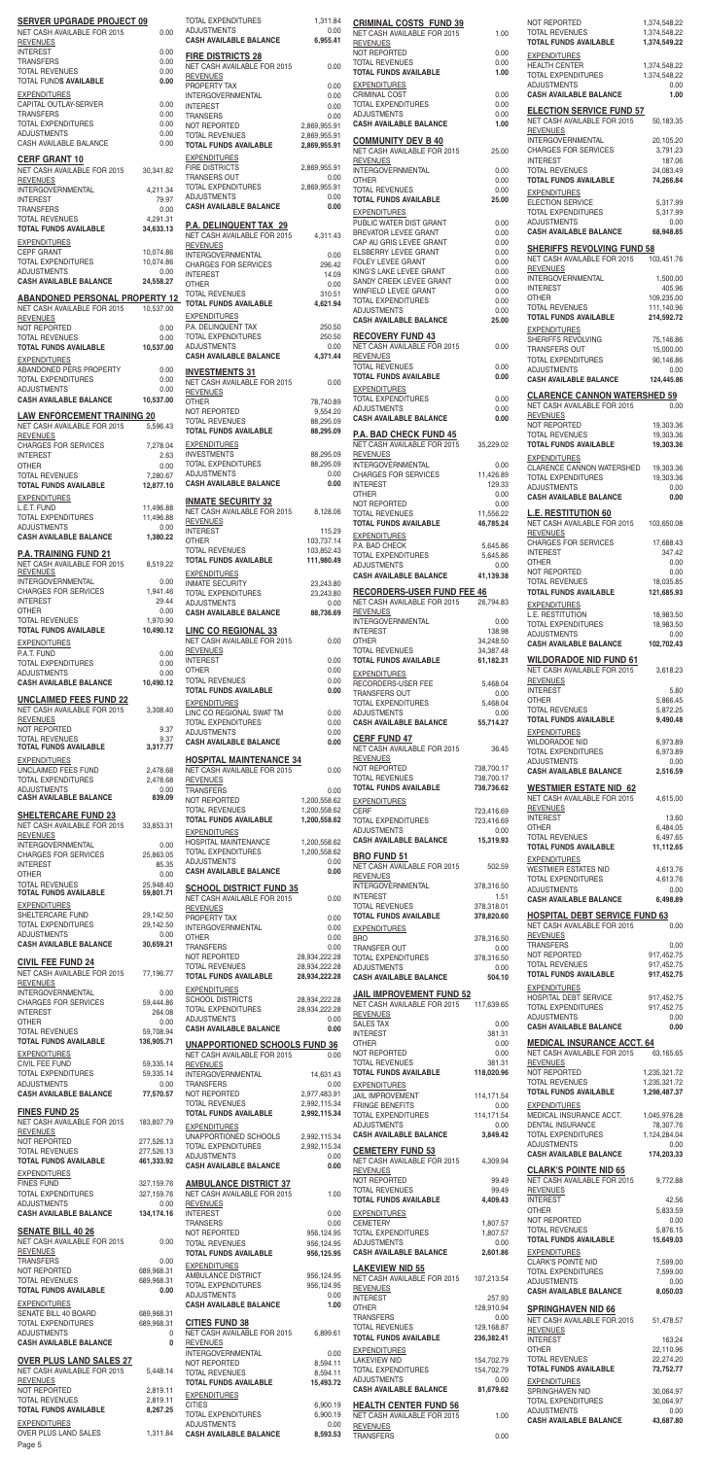| <b>SERVER UPGRADE PROJECT 09</b><br>NET CASH AVAILABLE FOR 2015     | 0.00                     | TOTAL EXPENDITURES<br><b>ADJUSTMENTS</b>                                  | 1,311.84<br>0.00               |
|---------------------------------------------------------------------|--------------------------|---------------------------------------------------------------------------|--------------------------------|
| <b>REVENUES</b>                                                     |                          | <b>CASH AVAILABLE BALANCE</b>                                             | 6,955.41                       |
| <b>INTEREST</b><br><b>TRANSFERS</b>                                 | 0.00<br>0.00             | <b>FIRE DISTRICTS 28</b>                                                  |                                |
| <b>TOTAL REVENUES</b><br><b>TOTAL FUNDS AVAILABLE</b>               | 0.00<br>0.00             | NET CASH AVAILABLE FOR 2015<br><b>REVENUES</b>                            | 0.00                           |
| <b>EXPENDITURES</b>                                                 |                          | PROPERTY TAX<br>INTERGOVERNMENTAL                                         | 0.00<br>0.00                   |
| CAPITAL OUTLAY-SERVER<br><b>TRANSFERS</b>                           | 0.00<br>0.00             | <b>INTEREST</b><br><b>TRANSERS</b>                                        | 0.00<br>0.00                   |
| <b>TOTAL EXPENDITURES</b><br><b>ADJUSTMENTS</b>                     | 0.00                     | NOT REPORTED                                                              | 2,869,955.91                   |
| CASH AVAILABLE BALANCE                                              | 0.00<br>0.00             | <b>TOTAL REVENUES</b><br><b>TOTAL FUNDS AVAILABLE</b>                     | 2,869,955.91<br>2,869,955.91   |
| <b>CERF GRANT 10</b>                                                |                          | <b>EXPENDITURES</b>                                                       |                                |
| NET CASH AVAILABLE FOR 2015<br><b>REVENUES</b>                      | 30,341.82                | <b>FIRE DISTRICTS</b><br>TRANSERS OUT                                     | 2,869,955.91<br>0.00           |
| <b>INTERGOVERNMENTAL</b><br><b>INTEREST</b>                         | 4,211.34<br>79.97        | TOTAL EXPENDITURES<br><b>ADJUSTMENTS</b>                                  | 2,869,955.91<br>0.00           |
| <b>TRANSFERS</b>                                                    | 0.00                     | <b>CASH AVAILABLE BALANCE</b>                                             | 0.00                           |
| <b>TOTAL REVENUES</b><br><b>TOTAL FUNDS AVAILABLE</b>               | 4,291.31<br>34,633.13    | <b>P.A. DELINQUENT TAX 29</b>                                             |                                |
| <b>EXPENDITURES</b>                                                 |                          | NET CASH AVAILABLE FOR 2015<br><b>REVENUES</b>                            | 4,311.43                       |
| <b>CEPF GRANT</b><br>TOTAL EXPENDITURES                             | 10,074.86<br>10,074.86   | <b>INTERGOVERNMENTAL</b><br><b>CHARGES FOR SERVICES</b>                   | 0.00<br>296.42                 |
| <b>ADJUSTMENTS</b><br><b>CASH AVAILABLE BALANCE</b>                 | 0.00<br>24,558.27        | <b>INTEREST</b><br><b>OTHER</b>                                           | 14.09<br>0.00                  |
| <b>ABANDONED PERSONAL PROPERTY 12</b>                               |                          | <b>TOTAL REVENUES</b>                                                     | 310.51                         |
| NET CASH AVAILABLE FOR 2015<br><b>REVENUES</b>                      | 10,537.00                | <b>TOTAL FUNDS AVAILABLE</b><br><b>EXPENDITURES</b>                       | 4,621.94                       |
| NOT REPORTED<br><b>TOTAL REVENUES</b>                               | 0.00<br>0.00             | P.A. DELINQUENT TAX<br><b>TOTAL EXPENDITURES</b>                          | 250.50<br>250.50               |
| <b>TOTAL FUNDS AVAILABLE</b>                                        | 10,537.00                | <b>ADJUSTMENTS</b>                                                        | 0.00                           |
| <b>EXPENDITURES</b><br>ABANDONED PERS PROPERTY                      | 0.00                     | <b>CASH AVAILABLE BALANCE</b>                                             | 4,371.44                       |
| <b>TOTAL EXPENDITURES</b><br><b>ADJUSTMENTS</b>                     | 0.00                     | <b>INVESTMENTS 31</b><br>NET CASH AVAILABLE FOR 2015                      | 0.00                           |
| <b>CASH AVAILABLE BALANCE</b>                                       | 0.00<br>10,537.00        | <b>REVENUES</b><br><b>OTHER</b>                                           | 78,740.89                      |
| <b>LAW ENFORCEMENT TRAINING 20</b>                                  |                          | NOT REPORTED<br><b>TOTAL REVENUES</b>                                     | 9,554.20<br>88,295.09          |
| NET CASH AVAILABLE FOR 2015<br><b>REVENUES</b>                      | 5,596.43                 | TOTAL FUNDS AVAILABLE                                                     | 88,295.09                      |
| <b>CHARGES FOR SERVICES</b><br><b>INTEREST</b>                      | 7,278.04<br>2.63         | <b>EXPENDITURES</b><br><b>INVESTMENTS</b>                                 | 88,295.09                      |
| <b>OTHER</b><br><b>TOTAL REVENUES</b>                               | 0.00<br>7,280.67         | <b>TOTAL EXPENDITURES</b><br><b>ADJUSTMENTS</b>                           | 88,295.09<br>0.00              |
| <b>TOTAL FUNDS AVAILABLE</b>                                        | 12,877.10                | <b>CASH AVAILABLE BALANCE</b>                                             | 0.00                           |
| <b>EXPENDITURES</b><br>L.E.T. FUND                                  | 11,496.88                | <b>INMATE SECURITY 32</b>                                                 |                                |
| <b>TOTAL EXPENDITURES</b><br><b>ADJUSTMENTS</b>                     | 11,496.88<br>0.00        | NET CASH AVAILABLE FOR 2015<br><b>REVENUES</b>                            | 8,128.06                       |
| <b>CASH AVAILABLE BALANCE</b>                                       | 1,380.22                 | <b>INTEREST</b><br><b>OTHER</b>                                           | 115.29<br>103,737.14           |
| <b>P.A. TRAINING FUND 21</b>                                        |                          | <b>TOTAL REVENUES</b><br><b>TOTAL FUNDS AVAILABLE</b>                     | 103,852.43<br>111,980.49       |
| NET CASH AVAILABLE FOR 2015<br><b>REVENUES</b><br>INTERGOVERNMENTAL | 8,519.22                 | <b>EXPENDITURES</b>                                                       |                                |
| <b>CHARGES FOR SERVICES</b>                                         | 0.00<br>1,941.46         | <b>INMATE SECURITY</b><br><b>TOTAL EXPENDITURES</b>                       | 23,243.80<br>23,243.80         |
| <b>INTEREST</b><br><b>OTHER</b>                                     | 29.44<br>0.00            | <b>ADJUSTMENTS</b><br><b>CASH AVAILABLE BALANCE</b>                       | 0.00<br>88,736.69              |
| <b>TOTAL REVENUES</b><br><b>TOTAL FUNDS AVAILABLE</b>               | 1,970.90<br>10,490.12    | <b>LINC CO REGIONAL 33</b>                                                |                                |
| <b>EXPENDITURES</b>                                                 |                          | NET CASH AVAILABLE FOR 2015                                               | 0.00                           |
| P.A.T. FUND<br><b>TOTAL EXPENDITURES</b>                            | 0.00<br>0.00             | <b>REVENUES</b><br><b>INTEREST</b>                                        | 0.00                           |
| <b>ADJUSTMENTS</b><br><b>CASH AVAILABLE BALANCE</b>                 | 0.00<br>10,490.12        | <b>OTHER</b><br><b>TOTAL REVENUES</b>                                     | 0.00<br>0.00                   |
| <b>UNCLAIMED FEES FUND 22</b>                                       |                          | <b>TOTAL FUNDS AVAILABLE</b>                                              | 0.00                           |
| NET CASH AVAILABLE FOR 2015                                         | 3,308.40                 | <b>EXPENDITURES</b><br>LINC CO REGIONAL SWAT TM                           | 0.00                           |
| <b>REVENUES</b><br>NOT REPORTED                                     | 9.37                     | <b>TOTAL EXPENDITURES</b><br><b>ADJUSTMENTS</b>                           | 0.00<br>0.00                   |
| <b>TOTAL REVENUES</b>                                               | 9.37                     | <b>CASH AVAILABLE BALANCE</b>                                             | 0.00                           |
| <b>TOTAL FUNDS AVAILABLE</b>                                        | 3,317.77                 |                                                                           |                                |
| <b>EXPENDITURES</b>                                                 |                          | <b>HOSPITAL MAINTENANCE 34</b>                                            |                                |
| UNCLAIMED FEES FUND<br><b>TOTAL EXPENDITURES</b>                    | 2,478.68<br>2,478.68     | NET CASH AVAILABLE FOR 2015<br><b>REVENUES</b>                            | 0.00                           |
| <b>ADJUSTMENTS</b><br><b>CASH AVAILABLE BALANCE</b>                 | 0.00<br>839.09           | <b>TRANSFERS</b><br>NOT REPORTED                                          | 0.00<br>1,200,558.62           |
| <b>SHELTERCARE FUND 23</b>                                          |                          | <b>TOTAL REVENUES</b><br><b>TOTAL FUNDS AVAILABLE</b>                     | 1,200,558.62<br>1,200,558.62   |
| NET CASH AVAILABLE FOR 2015<br><b>REVENUES</b>                      | 33,853.31                | <b>EXPENDITURES</b>                                                       |                                |
| INTERGOVERNMENTAL                                                   | 0.00                     | HOSPITAL MAINTENANCE<br>TOTAL EXPENDITURES                                | 1,200,558.62<br>1,200,558.62   |
| CHARGES FOR SERVICES<br><b>INTEREST</b>                             | 25,863.05<br>85.35       | <b>ADJUSTMENTS</b><br><b>CASH AVAILABLE BALANCE</b>                       | 0.00<br>0.00                   |
| <b>OTHER</b><br><b>TOTAL REVENUES</b>                               | 0.00<br>25,948.40        | <b>SCHOOL DISTRICT FUND 35</b>                                            |                                |
| <b>TOTAL FUNDS AVAILABLE</b><br><b>EXPENDITURES</b>                 | 59,801.71                | NET CASH AVAILABLE FOR 2015                                               | 0.00                           |
| SHELTERCARE FUND<br>TOTAL EXPENDITURES                              | 29,142.50                | <b>REVENUES</b><br>PROPERTY TAX                                           | 0.00                           |
| <b>ADJUSTMENTS</b>                                                  | 29,142.50<br>0.00        | INTERGOVERNMENTAL<br><b>OTHER</b>                                         | 0.00<br>0.00                   |
| <b>CASH AVAILABLE BALANCE</b>                                       | 30,659.21                | <b>TRANSFERS</b><br>NOT REPORTED                                          | 0.00<br>28,934,222.28          |
| <b>CIVIL FEE FUND 24</b><br>NET CASH AVAILABLE FOR 2015             | 77,196.77                | <b>TOTAL REVENUES</b><br>TOTAL FUNDS AVAILABLE                            | 28,934,222.28<br>28,934,222.28 |
| <b>REVENUES</b><br><b>INTERGOVERNMENTAL</b>                         | 0.00                     | <b>EXPENDITURES</b>                                                       |                                |
| <b>CHARGES FOR SERVICES</b><br><b>INTEREST</b>                      | 59,444.86<br>264.08      | SCHOOL DISTRICTS<br>TOTAL EXPENDITURES                                    | 28,934,222.28<br>28,934,222.28 |
| <b>OTHER</b>                                                        | 0.00                     | <b>ADJUSTMENTS</b><br><b>CASH AVAILABLE BALANCE</b>                       | 0.00<br>0.00                   |
| <b>TOTAL REVENUES</b><br>TOTAL FUNDS AVAILABLE                      | 59,708.94<br>136,905.71  | <b>UNAPPORTIONED SCHOOLS FUND 36</b>                                      |                                |
| <b>EXPENDITURES</b><br>CIVIL FEE FUND                               | 59,335.14                | NET CASH AVAILABLE FOR 2015<br><b>REVENUES</b>                            | 0.00                           |
| TOTAL EXPENDITURES                                                  | 59,335.14                | INTERGOVERNMENTAL                                                         | 14,631.43                      |
| <b>ADJUSTMENTS</b><br><b>CASH AVAILABLE BALANCE</b>                 | 0.00<br>77,570.57        | <b>TRANSFERS</b><br>NOT REPORTED                                          | 0.00<br>2,977,483.91           |
| <b>FINES FUND 25</b>                                                |                          | <b>TOTAL REVENUES</b><br><b>TOTAL FUNDS AVAILABLE</b>                     | 2,992,115.34<br>2,992,115.34   |
| NET CASH AVAILABLE FOR 2015<br><b>REVENUES</b>                      | 183,807.79               | <b>EXPENDITURES</b>                                                       |                                |
| NOT REPORTED<br><b>TOTAL REVENUES</b>                               | 277,526.13<br>277,526.13 | UNAPPORTIONED SCHOOLS<br>TOTAL EXPENDITURES                               | 2,992,115.34<br>2,992,115.34   |
| <b>TOTAL FUNDS AVAILABLE</b>                                        | 461,333.92               | <b>ADJUSTMENTS</b><br><b>CASH AVAILABLE BALANCE</b>                       | 0.00<br>0.00                   |
| <b>EXPENDITURES</b><br><b>FINES FUND</b>                            | 327,159.76               | <b>AMBULANCE DISTRICT 37</b>                                              |                                |
| TOTAL EXPENDITURES<br><b>ADJUSTMENTS</b>                            | 327,159.76<br>0.00       | NET CASH AVAILABLE FOR 2015<br><b>REVENUES</b>                            | 1.00                           |
| <b>CASH AVAILABLE BALANCE</b>                                       | 134,174.16               | <b>INTEREST</b><br><b>TRANSERS</b>                                        | 0.00<br>0.00                   |
| <b>SENATE BILL 40 26</b>                                            |                          | NOT REPORTED                                                              | 956,124.95                     |
| NET CASH AVAILABLE FOR 2015<br><b>REVENUES</b>                      | 0.00                     | <b>TOTAL REVENUES</b><br><b>TOTAL FUNDS AVAILABLE</b>                     | 956,124.95<br>956,125.95       |
| <b>TRANSFERS</b><br>NOT REPORTED                                    | 0.00<br>689,968.31       | <b>EXPENDITURES</b>                                                       |                                |
| <b>TOTAL REVENUES</b><br><b>TOTAL FUNDS AVAILABLE</b>               | 689,968.31<br>0.00       | AMBULANCE DISTRICT<br>TOTAL EXPENDITURES                                  | 956,124.95<br>956,124.95       |
| <b>EXPENDITURES</b>                                                 |                          | <b>ADJUSTMENTS</b><br><b>CASH AVAILABLE BALANCE</b>                       | 0.00<br>1.00                   |
| SENATE BILL 40 BOARD<br>TOTAL EXPENDITURES                          | 689,968.31<br>689,968.31 | <b>CITIES FUND 38</b>                                                     |                                |
| <b>ADJUSTMENTS</b><br><b>CASH AVAILABLE BALANCE</b>                 | 0<br>0                   | NET CASH AVAILABLE FOR 2015<br><b>REVENUES</b>                            | 6,899.61                       |
|                                                                     |                          | <b>INTERGOVERNMENTAL</b>                                                  | 0.00                           |
| <b>OVER PLUS LAND SALES 27</b><br>NET CASH AVAILABLE FOR 2015       | 5,448.14                 | NOT REPORTED<br><b>TOTAL REVENUES</b>                                     | 8,594.11<br>8,594.11           |
| <b>REVENUES</b><br>NOT REPORTED                                     | 2,819.11                 | <b>TOTAL FUNDS AVAILABLE</b><br><b>EXPENDITURES</b>                       | 15,493.72                      |
| <b>TOTAL REVENUES</b><br><b>TOTAL FUNDS AVAILABLE</b>               | 2,819.11<br>8,267.25     | <b>CITIES</b>                                                             | 6,900.19                       |
| <b>EXPENDITURES</b><br>OVER PLUS LAND SALES                         | 1,311.84                 | TOTAL EXPENDITURES<br><b>ADJUSTMENTS</b><br><b>CASH AVAILABLE BALANCE</b> | 6,900.19<br>0.00<br>8,593.53   |

| <b>CRIMINAL COSTS FUND 39</b><br>NET CASH AVAILABLE FOR 2015                                       | 1.00                     |
|----------------------------------------------------------------------------------------------------|--------------------------|
| <b>REVENUES</b><br>NOT REPORTED                                                                    | 0.00                     |
| <b>TOTAL REVENUES</b><br><b>TOTAL FUNDS AVAILABLE</b>                                              | 0.00<br>1.00             |
| <b>EXPENDITURES</b><br><b>CRIMINAL COST</b>                                                        | 0.00                     |
| <b>TOTAL EXPENDITURES</b><br><b>ADJUSTMENTS</b>                                                    | 0.00<br>0.00             |
| <b>CASH AVAILABLE BALANCE</b><br><b>COMMUNITY DEV B 40</b>                                         | 1.00                     |
| NET CASH AVAILABLE FOR 2015<br><b>REVENUES</b>                                                     | 25.00                    |
| <b>INTERGOVERNMENTAL</b><br>OTHER                                                                  | 0.00<br>0.00             |
| <b>TOTAL REVENUES</b><br><b>TOTAL FUNDS AVAILABLE</b>                                              | 0.00<br>25.00            |
| <b>EXPENDITURES</b><br>PUBLIC WATER DIST GRANT                                                     | 0.00                     |
| <b>BREVATOR LEVEE GRANT</b><br>CAP AU GRIS LEVEE GRANT                                             | 0.00<br>0.00             |
| ELSBERRY LEVEE GRANT<br><b>FOLEY LEVEE GRANT</b>                                                   | 0.00<br>0.00             |
| KING'S LAKE LEVEE GRANT<br>SANDY CREEK LEVEE GRANT                                                 | 0.00<br>0.00             |
| WINFIELD LEVEE GRANT<br><b>TOTAL EXPENDITURES</b>                                                  | 0.00<br>0.00             |
| <b>ADJUSTMENTS</b><br><b>CASH AVAILABLE BALANCE</b>                                                | 0.00<br>25.00            |
| <b>RECOVERY FUND 43</b><br>NET CASH AVAILABLE FOR 2015                                             | 0.00                     |
| <b>REVENUES</b><br><b>TOTAL REVENUES</b>                                                           | 0.00                     |
| <b>TOTAL FUNDS AVAILABLE</b><br><b>EXPENDITURES</b>                                                | 0.00                     |
| <b>TOTAL EXPENDITURES</b><br><b>ADJUSTMENTS</b>                                                    | 0.00<br>0.00             |
| <b>CASH AVAILABLE BALANCE</b>                                                                      | 0.00                     |
| <b>P.A. BAD CHECK FUND 45</b><br>NET CASH AVAILABLE FOR 2015                                       | 35,229.02                |
| <b>REVENUES</b><br><b>INTERGOVERNMENTAL</b><br>CHARGES FOR SERVICES                                | 0.00<br>11,426.89        |
| <b>INTEREST</b><br>OTHER                                                                           | 129.33<br>0.00           |
| NOT REPORTED<br><b>TOTAL REVENUES</b>                                                              | 0.00<br>11,556.22        |
| <b>TOTAL FUNDS AVAILABLE</b><br><b>EXPENDITURES</b>                                                | 46,785.24                |
| P.A. BAD CHECK<br><b>TOTAL EXPENDITURES</b>                                                        | 5,645.86<br>5,645.86     |
| <b>ADJUSTMENTS</b><br><b>CASH AVAILABLE BALANCE</b>                                                | 0.00<br>41,139.38        |
| <b>RECORDERS-USER FUND FEE 46</b>                                                                  |                          |
| NET CASH AVAILABLE FOR 2015<br><b>REVENUES</b><br><b>INTERGOVERNMENTAL</b>                         | 26,794.83<br>0.00        |
| <b>INTEREST</b><br>OTHER                                                                           | 138.98<br>34,248.50      |
| <b>TOTAL REVENUES</b><br><b>TOTAL FUNDS AVAILABLE</b>                                              | 34,387.48<br>61,182.31   |
| <b>EXPENDITURES</b><br>RECORDERS-USER FEE                                                          | 5,468.04                 |
| <b>TRANSFERS OUT</b><br><b>TOTAL EXPENDITURES</b>                                                  | 0.00<br>5,468.04         |
| <b>ADJUSTMENTS</b><br><b>CASH AVAILABLE BALANCE</b>                                                | 0.00<br>55,714.27        |
| <b>CERF FUND 47</b><br>NET CASH AVAILABLE FOR 2015                                                 | 36.45                    |
| <b>REVENUES</b><br><b>NOT REPORTED</b>                                                             | 738,700.17               |
| <b>TOTAL REVENUES</b><br><b>TOTAL FUNDS AVAILABLE</b>                                              | 738,700.17<br>738,736.62 |
| <b>EXPENDITURES</b><br>CERF                                                                        | 723,416.69               |
| TOTAL EXPENDITURES<br><b>ADJUSTMENTS</b>                                                           | 723,416.69<br>0.00       |
| <b>CASH AVAILABLE BALANCE</b><br><b>BRO FUND 51</b>                                                | 15,319.93                |
| NET CASH AVAILABLE FOR 2015<br><b>REVENUES</b>                                                     | 502.59                   |
| <b>INTERGOVERNMENTAL</b><br><b>INTEREST</b>                                                        | 378,316.50<br>1.51       |
| <b>TOTAL REVENUES</b><br><b>TOTAL FUNDS AVAILABLE</b>                                              | 378,318.01<br>378,820.60 |
| <b>EXPENDITURES</b><br>BRO.                                                                        | 378,316.50               |
| TRANSFER OUT<br><b>TOTAL EXPENDITURES</b>                                                          | 0.00<br>378,316.50       |
| <b>ADJUSTMENTS</b><br><b>CASH AVAILABLE BALANCE</b>                                                | 0.00<br>504.10           |
| <b>JAIL IMPROVEMENT FUND 52</b><br>NET CASH AVAILABLE FOR 2015                                     | 117,639.65               |
| <b>REVENUES</b><br><b>SALES TAX</b>                                                                | 0.00                     |
| <b>INTEREST</b><br><b>OTHER</b>                                                                    | 381.31<br>0.00           |
| NOT REPORTED<br><b>TOTAL REVENUES</b>                                                              | 0.00<br>381.31           |
| <b>TOTAL FUNDS AVAILABLE</b><br><b>EXPENDITURES</b>                                                | 118,020.96               |
| <b>JAIL IMPROVEMENT</b><br><b>FRINGE BENEFITS</b>                                                  | 114,171.54<br>0.00       |
| TOTAL EXPENDITURES<br><b>ADJUSTMENTS</b>                                                           | 114,171.54<br>0.00       |
| <b>CASH AVAILABLE BALANCE</b>                                                                      | 3,849.42                 |
| <b>CEMETERY FUND 53</b><br>NET CASH AVAILABLE FOR 2015                                             | 4,309.94                 |
| <b>REVENUES</b><br>NOT REPORTED<br><b>TOTAL REVENUES</b>                                           | 99.49                    |
| <b>TOTAL FUNDS AVAILABLE</b>                                                                       | 99.49<br>4,409.43        |
| <b>EXPENDITURES</b><br><b>CEMETERY</b><br><b>TOTAL EXPENDITURES</b>                                | 1,807.57<br>1,807.57     |
| <b>ADJUSTMENTS</b><br><b>CASH AVAILABLE BALANCE</b>                                                | 0.00<br>2,601.86         |
| <b>LAKEVIEW NID 55</b>                                                                             |                          |
| NET CASH AVAILABLE FOR 2015<br><b>REVENUES</b><br><b>INTEREST</b>                                  | 107,213.54<br>257.93     |
| OTHER<br><b>TRANSFERS</b>                                                                          | 128,910.94<br>0.00       |
| <b>TOTAL REVENUES</b><br><b>TOTAL FUNDS AVAILABLE</b>                                              | 129,168.87               |
| <b>EXPENDITURES</b>                                                                                | 236,382.41               |
| <b>LAKEVIEW NID</b>                                                                                | 154,702.79               |
| TOTAL EXPENDITURES<br><b>ADJUSTMENTS</b>                                                           | 154,702.79<br>0.00       |
| <b>CASH AVAILABLE BALANCE</b>                                                                      | 81,679.62                |
| <b>HEALTH CENTER FUND 56</b><br>NET CASH AVAILABLE FOR 2015<br><b>REVENUES</b><br><b>TRANSFERS</b> | 1.00                     |

| <b>NOT REPORTED</b>                                                                          | 1,374,548.22             |
|----------------------------------------------------------------------------------------------|--------------------------|
| <b>TOTAL REVENUES</b>                                                                        | 1,374,548.22             |
| <b>TOTAL FUNDS AVAILABLE</b>                                                                 | 1,374,549.22             |
| <b>EXPENDITURES</b><br><b>HEALTH CENTER</b>                                                  | 1,374,548.22             |
| <b>TOTAL EXPENDITURES</b>                                                                    | 1,374,548.22             |
| <b>ADJUSTMENTS</b>                                                                           | 0.00                     |
| <b>CASH AVAILABLE BALANCE</b><br><b>ELECTION SERVICE FUND 57</b>                             | 1.00                     |
| <b>NET CASH AVAILABLE FOR 2015</b><br><b>REVENUES</b><br><b>INTERGOVERNMENTAL</b>            | 50,183.35<br>20,105.20   |
| <b>CHARGES FOR SERVICES</b>                                                                  | 3,791.23                 |
| <b>INTEREST</b>                                                                              | 187.06                   |
| <b>TOTAL REVENUES</b><br><b>TOTAL FUNDS AVAILABLE</b><br><b>EXPENDITURES</b>                 | 24,083.49<br>74,266.84   |
| <b>ELECTION SERVICE</b>                                                                      | 5,317.99                 |
| <b>TOTAL EXPENDITURES</b>                                                                    | 5,317.99                 |
| <b>ADJUSTMENTS</b>                                                                           | 0.00                     |
| <b>CASH AVAILABLE BALANCE</b>                                                                | 68,948.85                |
| <b>SHERIFFS REVOLVING FUND 58</b><br>NET CASH AVAILABLE FOR 2015<br><b>REVENUES</b>          | 103,451.76               |
| <b>INTERGOVERNMENTAL</b>                                                                     | 1,500.00                 |
| <b>INTEREST</b>                                                                              | 405.96                   |
| <b>OTHER</b>                                                                                 | 109,235.00               |
| <b>TOTAL REVENUES</b>                                                                        | 111,140.96               |
| <b>TOTAL FUNDS AVAILABLE</b>                                                                 | 214,592.72               |
| <b>EXPENDITURES</b><br>SHERIFFS REVOLVING                                                    | 75,146.86                |
| <b>TRANSFERS OUT</b>                                                                         | 15,000.00                |
| <b>TOTAL EXPENDITURES</b>                                                                    | 90,146.86                |
| <b>ADJUSTMENTS</b>                                                                           | 0.00                     |
| <b>CASH AVAILABLE BALANCE</b>                                                                | 124,445.86               |
| <b>CLARENCE CANNON WATERSHED 59</b><br><b>NET CASH AVAILABLE FOR 2015</b><br><b>REVENUES</b> | 0.00                     |
| NOT REPORTED                                                                                 | 19,303.36                |
| <b>TOTAL REVENUES</b>                                                                        | 19,303.36                |
| TOTAL FUNDS AVAILABLE<br><b>EXPENDITURES</b><br><b>CLARENCE CANNON WATERSHED</b>             | 19,303.36<br>19,303.36   |
| <b>TOTAL EXPENDITURES</b>                                                                    | 19,303.36                |
| <b>ADJUSTMENTS</b>                                                                           | 0.00                     |
| <b>CASH AVAILABLE BALANCE</b><br><b>L.E. RESTITUTION 60</b>                                  | 0.00                     |
| NET CASH AVAILABLE FOR 2015<br><b>REVENUES</b>                                               | 103,650.08               |
| <b>CHARGES FOR SERVICES</b>                                                                  | 17,688.43                |
| <b>INTEREST</b>                                                                              | 347.42                   |
| <b>OTHER</b>                                                                                 | 0.00                     |
| NOT REPORTED                                                                                 | 0.00                     |
| <b>TOTAL REVENUES</b>                                                                        | 18,035.85                |
| <b>TOTAL FUNDS AVAILABLE</b><br><b>EXPENDITURES</b>                                          | 121,685.93               |
| L.E. RESTITUTION                                                                             | 18,983.50                |
| <b>TOTAL EXPENDITURES</b>                                                                    | 18,983.50                |
| <b>ADJUSTMENTS</b>                                                                           | 0.00                     |
| <b>CASH AVAILABLE BALANCE</b><br><b>WILDORADOE NID FUND 61</b>                               | 102,702.43               |
| NET CASH AVAILABLE FOR 2015<br><b>REVENUES</b>                                               | 3,618.23                 |
| <b>INTEREST</b>                                                                              | 5.80                     |
| OTHER                                                                                        | 5,866.45                 |
| <b>TOTAL REVENUES</b>                                                                        | 5,872.25                 |
| <b>TOTAL FUNDS AVAILABLE</b><br><b>EXPENDITURES</b>                                          | 9,490.48                 |
| <b>WILDORADOE NID</b>                                                                        | 6,973.89                 |
| <b>TOTAL EXPENDITURES</b>                                                                    | 6,973.89                 |
| <b>ADJUSTMENTS</b>                                                                           | 0.00                     |
| <b>CASH AVAILABLE BALANCE</b>                                                                | 2,516.59                 |
| <b>WESTMIER ESTATE NID 62</b><br>NET CASH AVAILABLE FOR 2015<br><b>REVENUES</b>              | 4,615.00                 |
| <b>INTEREST</b>                                                                              | 13.60                    |
| <b>OTHER</b>                                                                                 | 6,484.05                 |
| <b>TOTAL REVENUES</b><br><b>TOTAL FUNDS AVAILABLE</b><br><b>EXPENDITURES</b>                 | 6,497.65<br>11,112.65    |
| <b>WESTMIER ESTATES NID</b>                                                                  | 4,613.76                 |
| <b>TOTAL EXPENDITURES</b>                                                                    | 4,613.76                 |
| <b>ADJUSTMENTS</b>                                                                           | 0.00                     |
| <b>CASH AVAILABLE BALANCE</b>                                                                | 6,498.89                 |
| <b>HOSPITAL DEBT SERVICE FUND 63</b><br>NET CASH AVAILABLE FOR 2015                          | 0.00                     |
| <b>REVENUES</b><br><b>TRANSFERS</b><br>NOT REPORTED                                          | 0.00<br>917,452.75       |
| <b>TOTAL REVENUES</b>                                                                        | 917,452.75               |
| <b>TOTAL FUNDS AVAILABLE</b>                                                                 | 917,452.75               |
| <b>EXPENDITURES</b><br>HOSPITAL DEBT SERVICE<br><b>TOTAL EXPENDITURES</b>                    | 917,452.75<br>917,452.75 |
| <b>ADJUSTMENTS</b>                                                                           | 0.00                     |
| <b>CASH AVAILABLE BALANCE</b>                                                                | 0.00                     |
| <b>MEDICAL INSURANCE ACCT. 64</b><br>NET CASH AVAILABLE FOR 2015                             | 63,165.65                |
| <b>REVENUES</b><br>NOT REPORTED<br><b>TOTAL REVENUES</b>                                     | 1,235,321.72             |
| <b>TOTAL FUNDS AVAILABLE</b>                                                                 | 1,235,321.72             |
| <b>EXPENDITURES</b>                                                                          | 1,298,487.37             |
| MEDICAL INSURANCE ACCT.                                                                      | 1,045,976.28             |
| <b>DENTAL INSURANCE</b>                                                                      | 78,307.76                |
| TOTAL EXPENDITURES                                                                           | 1,124,284.04             |
| <b>ADJUSTMENTS</b>                                                                           | 0.00                     |
| <b>CASH AVAILABLE BALANCE</b>                                                                | 174,203.33               |
| <b>CLARK'S POINTE NID 65</b><br>NET CASH AVAILABLE FOR 2015                                  |                          |
| <b>REVENUES</b>                                                                              | 9,772.88                 |
| <b>INTEREST</b>                                                                              | 42.56                    |
| OTHER                                                                                        | 5,833.59                 |
| NOT REPORTED                                                                                 | 0.00                     |
| <b>TOTAL REVENUES</b><br><b>TOTAL FUNDS AVAILABLE</b><br><b>EXPENDITURES</b>                 | 5,876.15<br>15,649.03    |
| <b>CLARK'S POINTE NID</b>                                                                    | 7,599.00                 |
| <b>TOTAL EXPENDITURES</b>                                                                    | 7,599.00                 |
| <b>ADJUSTMENTS</b>                                                                           | 0.00                     |
| <b>CASH AVAILABLE BALANCE</b>                                                                | 8,050.03                 |
| <b>SPRINGHAVEN NID 66</b><br>NET CASH AVAILABLE FOR 2015                                     | 51,478.57                |
| <b>REVENUES</b><br><b>INTEREST</b><br>OTHER                                                  | 163.24<br>22,110.96      |
| <b>TOTAL REVENUES</b>                                                                        | 22,274.20                |
| <b>TOTAL FUNDS AVAILABLE</b>                                                                 | 73,752.77                |
| <b>EXPENDITURES</b><br>SPRINGHAVEN NID                                                       | 30,064.97                |
| <b>TOTAL EXPENDITURES</b>                                                                    | 30,064.97                |
| <b>ADJUSTMENTS</b>                                                                           | 0.00                     |
| <b>CASH AVAILABLE BALANCE</b>                                                                | 43,687.80                |
|                                                                                              |                          |